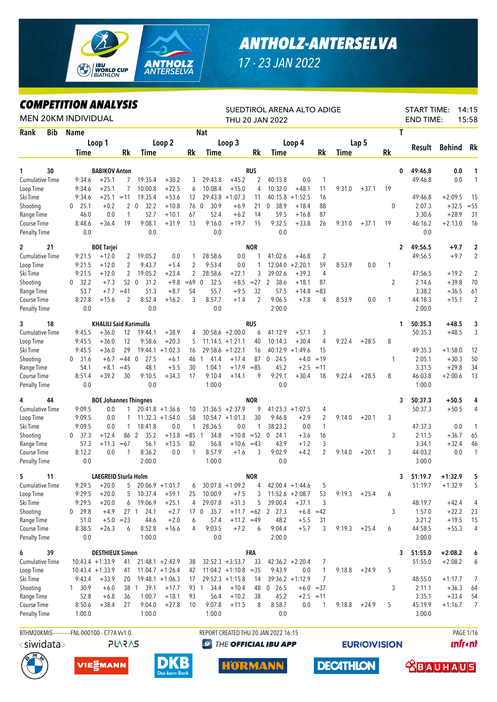

## *ANTHOLZ-ANTERSELVA*

*17 - 23 JAN 2022*

## *COMPETITION ANALYSIS*

|                                     |     | COMPEIIIION ANALYSIS<br><b>MEN 20KM INDIVIDUAL</b> |                               |                     |                    |                    |                 |                      |                        |                | SUEDTIROL ARENA ALTO ADIGE<br><b>THU 20 JAN 2022</b> |                    |                    |        |         |              | <b>START TIME:</b><br><b>END TIME:</b> |               | 14:15<br>15:58          |
|-------------------------------------|-----|----------------------------------------------------|-------------------------------|---------------------|--------------------|--------------------|-----------------|----------------------|------------------------|----------------|------------------------------------------------------|--------------------|--------------------|--------|---------|--------------|----------------------------------------|---------------|-------------------------|
| Rank                                | Bib | <b>Name</b>                                        |                               |                     |                    |                    |                 | <b>Nat</b>           |                        |                |                                                      |                    |                    |        |         | T            |                                        |               |                         |
|                                     |     |                                                    | Loop 1                        |                     |                    | Loop 2             |                 |                      | Loop 3                 |                |                                                      | Loop 4             |                    |        | Lap 5   |              |                                        |               |                         |
|                                     |     | <b>Time</b>                                        |                               | Rk                  | Time               |                    | Rk              | Time                 |                        | Rk             | <b>Time</b>                                          |                    | Rk                 | Time   |         | Rk           | Result                                 | <b>Behind</b> | Rk                      |
|                                     |     |                                                    |                               |                     |                    |                    |                 |                      |                        |                |                                                      |                    |                    |        |         |              |                                        |               |                         |
| 1                                   | 30  |                                                    | <b>BABIKOV Anton</b>          |                     |                    |                    |                 |                      |                        | <b>RUS</b>     |                                                      |                    |                    |        |         | 0            | 49:46.8                                | 0.0           | 1                       |
| <b>Cumulative Time</b><br>Loop Time |     | 9:34.6<br>9:34.6                                   | $+25.1$<br>$+25.1$            | $\overline{7}$<br>7 | 19:35.4<br>10:00.8 | $+30.2$<br>$+22.5$ | 3<br>6          | 29:43.8<br>10:08.4   | $+45.2$<br>$+15.0$     | 2<br>4         | 40:15.8<br>10:32.0                                   | 0.0<br>$+48.1$     | $\mathbf{1}$<br>11 | 9:31.0 | $+37.1$ | 19           | 49:46.8                                | 0.0           | $\mathbf{1}$            |
| Ski Time                            |     | 9:34.6                                             | $+25.1 = 11$                  |                     | 19:35.4            | $+53.6$            | 12              | 29:43.8              | $+1:07.3$              | 11             | 40:15.8                                              | $+1:52.5$          | 16                 |        |         |              | 49:46.8                                | $+2:09.5$     | -15                     |
| Shooting                            |     | 25.1<br>$\mathbf{0}$                               | $+0.2$                        |                     | 20<br>32.2         | $+10.8$            | 76              | 30.9<br>$\mathbf{0}$ | $+6.9$                 | 21             | 38.9<br>$\mathbf{0}$                                 | $+18.4$            | 88                 |        |         | 0            | 2:07.3                                 | $+32.5$       | $=55$                   |
| Range Time                          |     | 46.0                                               | 0.0                           | 1                   | 52.7               | $+10.1$            | 67              | 52.4                 | $+6.2$                 | 14             | 59.5                                                 | $+16.8$            | 87                 |        |         |              | 3:30.6                                 | $+28.9$       | 31                      |
| Course Time                         |     | 8:48.6                                             | $+36.4$                       | 19                  | 9:08.1             | $+31.9$            | 13              | 9:16.0               | $+19.7$                | 15             | 9:32.5                                               | $+33.8$            | 26                 | 9:31.0 | $+37.1$ | 19           | 46:16.2                                | $+2:13.0$     | 16                      |
| <b>Penalty Time</b>                 |     | 0.0                                                |                               |                     | 0.0                |                    |                 | 0.0                  |                        |                | 0.0                                                  |                    |                    |        |         |              | 0.0                                    |               |                         |
| $\mathbf{2}$                        | 21  |                                                    | <b>BOE Tarjei</b>             |                     |                    |                    |                 |                      |                        | <b>NOR</b>     |                                                      |                    |                    |        |         | $\mathbf{2}$ | 49:56.5                                | $+9.7$        | $\overline{\mathbf{c}}$ |
| <b>Cumulative Time</b>              |     | 9:21.5                                             | $+12.0$                       | 2                   | 19:05.2            | 0.0                | 1               | 28:58.6              | 0.0                    | 1              | 41:02.6                                              | $+46.8$            | $\overline{2}$     |        |         |              | 49:56.5                                | $+9.7$        | 2                       |
| Loop Time                           |     | 9:21.5                                             | $+12.0$                       | $\overline{c}$      | 9:43.7             | $+5.4$             | 2               | 9:53.4               | 0.0                    | 1              | 12:04.0                                              | $+2:20.1$          | 59                 | 8:53.9 | 0.0     | 1            |                                        |               |                         |
| Ski Time                            |     | 9:21.5                                             | $+12.0$                       | 2                   | 19:05.2            | $+23.4$            | 2               | 28:58.6              | $+22.1$                | 3              | 39:02.6                                              | $+39.3$            | 4                  |        |         |              | 47:56.5                                | $+19.2$       | $\overline{2}$          |
| Shooting                            |     | 32.2<br>$\mathbf{0}$                               | $+7.3$                        |                     | 52 0<br>31.2       | $+9.8$             | $=69$ 0         | 32.5                 | $+8.5$                 | $= 27$         | $\overline{2}$<br>38.6                               | $+18.1$            | 87                 |        |         | 2            | 2:14.6                                 | $+39.8$       | 70                      |
| Range Time                          |     | 53.7                                               | $+7.7$                        | $=41$               | 51.3               | $+8.7$             | 54              | 55.7                 | $+9.5$                 | 32             | 57.5                                                 | $+14.8$            | $=83$              |        |         |              | 3:38.2                                 | $+36.5$       | 61                      |
| Course Time                         |     | 8:27.8                                             | $+15.6$                       | 2                   | 8:52.4             | $+16.2$            | 3               | 8:57.7               | $+1.4$                 | $\overline{2}$ | 9:06.5                                               | $+7.8$             | 4                  | 8:53.9 | 0.0     | 1            | 44:18.3                                | $+15.1$       | 2                       |
| <b>Penalty Time</b>                 |     | 0.0                                                |                               |                     | 0.0                |                    |                 | 0.0                  |                        |                | 2:00.0                                               |                    |                    |        |         |              | 2:00.0                                 |               |                         |
| 3                                   | 18  |                                                    | <b>KHALILI Said Karimulla</b> |                     |                    |                    |                 |                      |                        | RUS            |                                                      |                    |                    |        |         | 1            | 50:35.3                                | $+48.5$       | 3                       |
| <b>Cumulative Time</b>              |     | 9:45.5                                             | $+36.0$                       | 12                  | 19:44.1            | $+38.9$            | 4               |                      | $30:58.6 + 2:00.0$     | 6              | 41:12.9                                              | $+57.1$            | 3                  |        |         |              | 50:35.3                                | $+48.5$       | 3                       |
| Loop Time                           |     | 9:45.5                                             | $+36.0$                       | 12                  | 9:58.6             | $+20.3$            | 5               |                      | $11:14.5 + 1:21.1$     | 40             | 10:14.3                                              | $+30.4$            | 4                  | 9:22.4 | $+28.5$ | 8            |                                        |               |                         |
| Ski Time                            |     | 9:45.5                                             | $+36.0$                       | 29                  | 19:44.1            | $+1:02.3$          | 16              |                      | 29:58.6 +1:22.1        | 16             | 40:12.9                                              | $+1:49.6$          | 15                 |        |         |              | 49:35.3                                | $+1:58.0$     | 12                      |
| Shooting                            |     | 0, 31.6                                            | $+6.7$                        | $=44$ 0             | 27.5               | $+6.1$             | 46              | 41.4<br>1            | $+17.4$                | 87             | $\mathbf 0$<br>24.5                                  | $+4.0$             | $=19$              |        |         | 1            | 2:05.1                                 | $+30.3$       | 50                      |
| Range Time                          |     | 54.1                                               | $+8.1$                        | $=45$               | 48.1               | $+5.5$             | 30              | 1:04.1               | $+17.9$                | $= 85$         | 45.2                                                 | $+2.5$             | $=11$              |        |         |              | 3:31.5                                 | $+29.8$       | 34                      |
| Course Time                         |     | 8:51.4                                             | $+39.2$                       | 30                  | 9:10.5             | $+34.3$            | 17              | 9:10.4               | $+14.1$                | 9              | 9:29.1                                               | $+30.4$            | 18                 | 9:22.4 | $+28.5$ | 8            | 46:03.8                                | $+2:00.6$     | 13                      |
| <b>Penalty Time</b>                 |     | 0.0                                                |                               |                     | 0.0                |                    |                 | 1:00.0               |                        |                | 0.0                                                  |                    |                    |        |         |              | 1:00.0                                 |               |                         |
| 4                                   | 44  |                                                    | <b>BOE Johannes Thingnes</b>  |                     |                    |                    |                 |                      |                        | <b>NOR</b>     |                                                      |                    |                    |        |         | 3            | 50:37.3                                | $+50.5$       | 4                       |
| <b>Cumulative Time</b>              |     | 9:09.5                                             | 0.0                           | $\mathbf{1}$        |                    | $20:41.8 + 1:36.6$ | 10              |                      | $31:36.5 +2:37.9$      | 9              |                                                      | $41:23.3 +1:07.5$  | 4                  |        |         |              | 50:37.3                                | $+50.5$       | 4                       |
| Loop Time                           |     | 9:09.5                                             | 0.0                           | 1                   |                    | $11:32.3 + 1:54.0$ | 58              |                      | $10:54.7 +1:01.3$      | 30             | 9:46.8                                               | $+2.9$             | $\overline{2}$     | 9:14.0 | $+20.1$ | 3            |                                        |               |                         |
| Ski Time                            |     | 9:09.5                                             | 0.0                           | 1                   | 18:41.8            | 0.0                | 1               | 28:36.5              | 0.0                    | 1              | 38:23.3                                              | 0.0                | $\mathbf{1}$       |        |         |              | 47:37.3                                | $0.0\,$       | $\mathbf{1}$            |
| Shooting                            |     | 0, 37.3                                            | $+12.4$                       |                     | 86 2<br>35.2       | $+13.8$            | $= 85$          | 34.8<br>-1           | $+10.8$                | $= 52$         | 24.1<br>$\mathbf{0}$                                 | $+3.6$             | 16                 |        |         | 3            | 2:11.5                                 | $+36.7$       | 65                      |
| Range Time                          |     | 57.3                                               | $+11.3$                       | $=67$               | 56.1               | $+13.5$            | 82              | 56.8                 | $+10.6$                | $=43$          | 43.9                                                 | $+1.2$             | 3                  |        |         |              | 3:34.1                                 | $+32.4$       | 46                      |
| Course Time                         |     | 8:12.2                                             | 0.0                           | 1                   | 8:36.2             | 0.0                | 1               | 8:57.9               | $+1.6$                 | 3              | 9:02.9                                               | $+4.2$             | $\overline{2}$     | 9:14.0 | $+20.1$ | 3            | 44:03.2                                | 0.0           | 1                       |
| <b>Penalty Time</b>                 |     | 0.0                                                |                               |                     | 2:00.0             |                    |                 | 1:00.0               |                        |                | 0.0                                                  |                    |                    |        |         |              | 3:00.0                                 |               |                         |
| 5.                                  | 11  |                                                    | <b>LAEGREID Sturla Holm</b>   |                     |                    |                    |                 |                      |                        | <b>NOR</b>     |                                                      |                    |                    |        |         | 3            | 51:19.7                                | $+1:32.9$     |                         |
| <b>Cumulative Time</b>              |     | 9:29.5                                             | $+20.0$                       | 5                   |                    | $20:06.9 + 1:01.7$ | 6               |                      | $30:07.8 + 1:09.2$     | 4              |                                                      | $42:00.4 +1:44.6$  | 5                  |        |         |              | 51:19.7                                | $+1:32.9$     | 5                       |
| Loop Time                           |     | 9:29.5                                             | $+20.0$                       | 5                   | 10:37.4            | $+59.1$            | 25              | 10:00.9              | $+7.5$                 | 3              |                                                      | $11:52.6 + 2:08.7$ | 53                 | 9:19.3 | $+25.4$ | 6            |                                        |               |                         |
| Ski Time                            |     | 9:29.5                                             | $+20.0$                       | 6                   | 19:06.9            | $+25.1$            | 4               | 29:07.8              | $+31.3$                | 5              | 39:00.4                                              | $+37.1$            | 3                  |        |         |              | 48:19.7                                | $+42.4$       | 4                       |
| Shooting                            |     | 29.8<br>0                                          | $+4.9$                        | 27 <sub>1</sub>     | 24.1               | $+2.7$             | 17 <sub>0</sub> | 35.7                 | $+11.7 = 62$           |                | 2 27.3                                               |                    | $+6.8 = 42$        |        |         | 3            | 1:57.0                                 | $+22.2$       | 23                      |
| Range Time                          |     | 51.0                                               |                               | $+5.0 = 23$         | 44.6               | $+2.0$             | 6               | 57.4                 | $+11.2$                | $=49$          | 48.2                                                 | $+5.5$             | 31                 |        |         |              | 3:21.2                                 | $+19.5$       | 15                      |
| Course Time                         |     | 8:38.5                                             | $+26.3$                       | 6                   | 8:52.8             | $+16.6$            | 4               | 9:03.5               | $+7.2$                 | 6              | 9:04.4                                               | $+5.7$             | 3                  | 9:19.3 | $+25.4$ | 6            | 44:58.5                                | $+55.3$       | 4                       |
| Penalty Time                        |     | 0.0                                                |                               |                     | 1:00.0             |                    |                 | 0.0                  |                        |                | 2:00.0                                               |                    |                    |        |         |              | 3:00.0                                 |               |                         |
| 6                                   | 39  |                                                    | <b>DESTHIEUX Simon</b>        |                     |                    |                    |                 |                      |                        | <b>FRA</b>     |                                                      |                    |                    |        |         | 3            | 51:55.0                                | $+2:08.2$     | 6                       |
| <b>Cumulative Time</b>              |     |                                                    | $10:43.4 +1:33.9$             | 41                  |                    | $21:48.1 + 2:42.9$ | 38              |                      | $32:52.3 + 3:53.7$     | 33             |                                                      | $42:36.2 +2:20.4$  | 7                  |        |         |              | 51:55.0                                | $+2:08.2$     | 6                       |
| Loop Time                           |     |                                                    | $10:43.4 +1:33.9$             | 41                  |                    | $11:04.7 + 1:26.4$ | 42              |                      | $11:04.2 +1:10.8 = 35$ |                | 9:43.9                                               | 0.0                | $\mathbf{1}$       | 9:18.8 | $+24.9$ | 5            |                                        |               |                         |
| Ski Time                            |     | 9:43.4                                             | $+33.9$                       | 20                  |                    | $19:48.1 + 1:06.3$ | 17              |                      | $29:52.3 +1:15.8$      | 14             |                                                      | $39:36.2 +1:12.9$  | 7                  |        |         |              | 48:55.0                                | $+1:17.7$     | 7                       |
| Shooting                            |     | 1, 30.9                                            | $+6.0$                        |                     | 39.1<br>38 1       | $+17.7$            | 93 1            | 34.4                 | $+10.4$                | 48             | $0$ 26.5                                             |                    | $+6.0 = 37$        |        |         | 3            | 2:11.1                                 | $+36.3$       | 64                      |
| Range Time                          |     | 52.8                                               | $+6.8$                        | 36                  | 1:00.7             | $+18.1$            | 93              | 56.4                 | $+10.2$                | 38             | 45.2                                                 |                    | $+2.5 = 11$        |        |         |              | 3:35.1                                 | $+33.4$       | 54                      |
| Course Time                         |     | 8:50.6                                             | $+38.4$                       | 27                  | 9:04.0             | $+27.8$            | 10              | 9:07.8               | $+11.5$                | 8              | 8:58.7                                               | 0.0                | $\mathbf{1}$       | 9:18.8 | $+24.9$ | 5            | 45:19.9                                | $+1:16.7$     | 7                       |
| <b>Penalty Time</b>                 |     | 1:00.0                                             |                               |                     | 1:00.0             |                    |                 | 1:00.0               |                        |                | 0.0                                                  |                    |                    |        |         |              | 3:00.0                                 |               |                         |
|                                     |     | BTHM20KMIS------------FNL-000100-- C77A Vv1.0.     |                               |                     |                    |                    |                 |                      |                        |                | REPORT CREATED THU 20 JAN 2022 16:15                 |                    |                    |        |         |              |                                        |               | PAGE 1/16               |

<siwidata>



**PLARAS** 



**@ THE OFFICIAL IBU APP** 

HORMANN

**EURIO)VISION** 

**DECATHLON** 

**unfront** 

 **<u>CBAUHAUS</u>**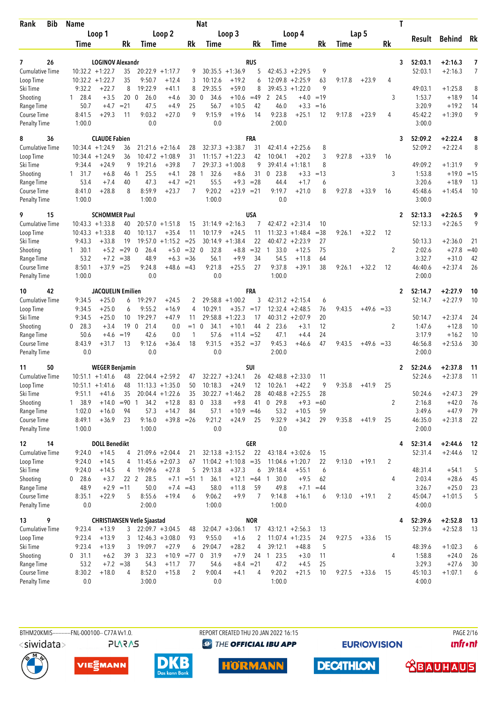| Bib<br>Rank            | <b>Name</b>        |                               |                           |                                    |                      |                | Nat                         |                                          |             |                        |                               |                      |        |              |                | T |                  |                    |                |
|------------------------|--------------------|-------------------------------|---------------------------|------------------------------------|----------------------|----------------|-----------------------------|------------------------------------------|-------------|------------------------|-------------------------------|----------------------|--------|--------------|----------------|---|------------------|--------------------|----------------|
|                        |                    | Loop 1                        |                           |                                    | Loop 2               |                |                             | Loop 3                                   |             |                        | Loop 4                        |                      |        | Lap 5        |                |   |                  |                    |                |
|                        | Time               |                               | Rk                        | Time                               |                      | Rk             | Time                        |                                          | Rk          | Time                   |                               | Rk                   | Time   |              | Rk             |   | Result           | Behind             | Rk             |
|                        |                    |                               |                           |                                    |                      |                |                             |                                          |             |                        |                               |                      |        |              |                |   |                  |                    |                |
| 7<br>26                |                    | <b>LOGINOV Alexandr</b>       |                           |                                    |                      |                |                             |                                          | <b>RUS</b>  |                        |                               |                      |        |              |                | 3 | 52:03.1          | $+2:16.3$          | 7              |
| <b>Cumulative Time</b> |                    | $10:32.2 + 1:22.7$            | 35                        |                                    | $20:22.9 + 1:17.7$   | 9              |                             | $30:35.5 +1:36.9$                        | 5           |                        | $42:45.3 + 2:29.5$            | 9                    |        |              |                |   | 52:03.1          | $+2:16.3$          | $\overline{7}$ |
| Loop Time              |                    | $10:32.2 + 1:22.7$            | 35                        | 9:50.7                             | $+12.4$              | 3              | 10:12.6                     | $+19.2$                                  | 6           | 12:09.8                | $+2:25.9$                     | 63<br>9              | 9:17.8 | $+23.9$      | 4              |   |                  |                    |                |
| Ski Time               | 9:32.2             | $+22.7$                       | 8                         | 19:22.9                            | $+41.1$              | 8              | 29:35.5                     | $+59.0$                                  | 8           |                        | $39:45.3 + 1:22.0$            |                      |        |              |                |   | 49:03.1          | $+1:25.8$          | 8              |
| Shooting<br>Range Time | $1 \t28.4$<br>50.7 | $+3.5$<br>$+4.7$              | 20 <sub>0</sub><br>$= 21$ | 26.0<br>47.5                       | $+4.6$<br>$+4.9$     | 30<br>25       | 34.6<br>$\mathbf 0$<br>56.7 | $+10.6$<br>$+10.5$                       | $=49$<br>42 | 2 24.5<br>46.0         | $+3.3$                        | $+4.0 = 19$<br>$=16$ |        |              | 3              |   | 1:53.7<br>3:20.9 | $+18.9$<br>$+19.2$ | 14<br>14       |
| Course Time            | 8:41.5             | $+29.3$                       | 11                        | 9:03.2                             | $+27.0$              | 9              | 9:15.9                      | $+19.6$                                  | 14          | 9:23.8                 | $+25.1$                       | 12                   | 9:17.8 | $+23.9$      | 4              |   | 45:42.2          | $+1:39.0$          | 9              |
| <b>Penalty Time</b>    | 1:00.0             |                               |                           | 0.0                                |                      |                | 0.0                         |                                          |             | 2:00.0                 |                               |                      |        |              |                |   | 3:00.0           |                    |                |
|                        |                    |                               |                           |                                    |                      |                |                             |                                          |             |                        |                               |                      |        |              |                |   |                  |                    |                |
| 8<br>36                |                    | <b>CLAUDE Fabien</b>          |                           |                                    |                      |                |                             |                                          | FRA         |                        |                               |                      |        |              |                | 3 | 52:09.2          | $+2:22.4$          | 8              |
| <b>Cumulative Time</b> |                    | $10:34.4 + 1:24.9$            | 36<br>36                  |                                    | $21:21.6 + 2:16.4$   | 28<br>31       |                             | $32:37.3 + 3:38.7$<br>$11:15.7 + 1:22.3$ | 31<br>42    |                        | $42:41.4 + 2:25.6$<br>$+20.2$ | 8<br>3               | 9:27.8 | $+33.9$      | 16             |   | 52:09.2          | $+2:22.4$          | 8              |
| Loop Time<br>Ski Time  | 9:34.4             | $10:34.4 + 1:24.9$<br>$+24.9$ | 9                         | 10:47.2<br>19:21.6                 | $+1:08.9$<br>$+39.8$ | 7              |                             | $29:37.3 +1:00.8$                        | 9           | 10:04.1                | $39:41.4 +1:18.1$             | 8                    |        |              |                |   | 49:09.2          | $+1:31.9$          | 9              |
| Shooting               | $1 \quad 31.7$     | $+6.8$                        | 46                        | 25.5<br>-1                         | $+4.1$               | 28 1           | 32.6                        | $+8.6$                                   | 31          | 23.8<br>0              |                               | $+3.3 = 13$          |        |              | 3              |   | 1:53.8           | $+19.0$            | $=15$          |
| Range Time             | 53.4               | $+7.4$                        | 40                        | 47.3                               | $+4.7$               | $= 21$         | 55.5                        |                                          | $+9.3 = 28$ | 44.4                   | $+1.7$                        | 6                    |        |              |                |   | 3:20.6           | $+18.9$            | 13             |
| <b>Course Time</b>     | 8:41.0             | $+28.8$                       | 8                         | 8:59.9                             | $+23.7$              | 7              | 9:20.2                      | $+23.9 = 21$                             |             | 9:19.7                 | $+21.0$                       | 8                    | 9:27.8 | $+33.9$      | 16             |   | 45:48.6          | $+1:45.4$          | 10             |
| <b>Penalty Time</b>    | 1:00.0             |                               |                           | 1:00.0                             |                      |                | 1:00.0                      |                                          |             | 0.0                    |                               |                      |        |              |                |   | 3:00.0           |                    |                |
| 9<br>15                |                    | <b>SCHOMMER Paul</b>          |                           |                                    |                      |                |                             |                                          | USA         |                        |                               |                      |        |              |                | 2 | 52:13.3          | $+2:26.5$          | 9              |
| <b>Cumulative Time</b> |                    | $10:43.3 + 1:33.8$            | 40                        |                                    | $20:57.0 + 1:51.8$   | 15             |                             | $31:14.9 +2:16.3$                        | 7           |                        | $42:47.2 + 2:31.4$            | 10                   |        |              |                |   | 52:13.3          | $+2:26.5$          | 9              |
| Loop Time              |                    | $10:43.3 + 1:33.8$            | 40                        | 10:13.7                            | $+35.4$              | 11             | 10:17.9                     | $+24.5$                                  | 11          |                        | $11:32.3 + 1:48.4$            | $= 38$               | 9:26.1 | $+32.2$      | 12             |   |                  |                    |                |
| Ski Time               | 9:43.3             | $+33.8$                       | 19                        |                                    | $19:57.0 + 1:15.2$   | $= 25$         |                             | $30:14.9 + 1:38.4$                       | 22          |                        | $40:47.2 +2:23.9$             | 27                   |        |              |                |   | 50:13.3          | $+2:36.0$          | 21             |
| Shooting               | $1 \quad 30.1$     | $+5.2$                        | $=29$                     | 26.4<br>$\overline{0}$             | $+5.0$               | $=32$ 0        | 32.8                        | $+8.8$                                   | $=32$       | 33.0<br>$\overline{1}$ | $+12.5$                       | 75                   |        |              | 2              |   | 2:02.6           | $+27.8$            | $=40$          |
| Range Time             | 53.2               | $+7.2$                        | $=38$                     | 48.9                               | $+6.3$               | $= 36$         | 56.1                        | $+9.9$                                   | 34          | 54.5                   | $+11.8$                       | 64                   |        |              |                |   | 3:32.7           | $+31.0$            | 42             |
| Course Time            | 8:50.1             | $+37.9$                       | $=25$                     | 9:24.8                             | +48.6 =43            |                | 9:21.8                      | $+25.5$                                  | 27          | 9:37.8                 | $+39.1$                       | 38                   | 9:26.1 | $+32.2$      | 12             |   | 46:40.6          | $+2:37.4$          | 26             |
| <b>Penalty Time</b>    | 1:00.0             |                               |                           | 0.0                                |                      |                | 0.0                         |                                          |             | 1:00.0                 |                               |                      |        |              |                |   | 2:00.0           |                    |                |
| 42<br>10               |                    | <b>JACQUELIN Emilien</b>      |                           |                                    |                      |                |                             |                                          | FRA         |                        |                               |                      |        |              |                | 2 | 52:14.7          | +2:27.9            | 10             |
| <b>Cumulative Time</b> | 9:34.5             | $+25.0$                       | 6                         | 19:29.7                            | $+24.5$              | 2              |                             | $29:58.8 + 1:00.2$                       | 3           |                        | $42:31.2 +2:15.4$             | 6                    |        |              |                |   | 52:14.7          | $+2:27.9$          | 10             |
| Loop Time              | 9:34.5             | $+25.0$                       | 6                         | 9:55.2                             | $+16.9$              | 4              | 10:29.1                     | $+35.7 = 17$                             |             |                        | $12:32.4 + 2:48.5$            | 76                   | 9:43.5 | $+49.6 = 33$ |                |   |                  |                    |                |
| Ski Time               | 9:34.5             | $+25.0$                       | 10                        | 19:29.7                            | $+47.9$              | 11             | 29:58.8                     | $+1:22.3$                                | 17          |                        | $40:31.2 +2:07.9$             | 20                   |        |              |                |   | 50:14.7          | $+2:37.4$          | 24             |
| Shooting               | $0$ 28.3           | $+3.4$                        | 19                        | 21.4<br>$\overline{0}$             | 0.0                  | $=1$           | $\mathbf{0}$<br>34.1        | $+10.1$                                  | 44          | 2<br>23.6              | $+3.1$                        | 12                   |        |              | $\overline{c}$ |   | 1:47.6           | $+12.8$            | 10             |
| Range Time             | 50.6               | $+4.6$                        | $=19$                     | 42.6                               | 0.0                  | 1              | 57.6                        | $+11.4 = 52$                             |             | 47.1                   | $+4.4$                        | 24                   |        |              |                |   | 3:17.9           | $+16.2$            | 10             |
| Course Time            | 8:43.9             | $+31.7$                       | 13                        | 9:12.6                             | $+36.4$              | 18             | 9:31.5                      | $+35.2 = 37$                             |             | 9:45.3                 | $+46.6$                       | 47                   | 9:43.5 | $+49.6 = 33$ |                |   | 46:56.8          | $+2:53.6$          | 30             |
| <b>Penalty Time</b>    | 0.0                |                               |                           | 0.0                                |                      |                | 0.0                         |                                          |             | 2:00.0                 |                               |                      |        |              |                |   | 2:00.0           |                    |                |
| 50<br>11               |                    | <b>WEGER Benjamin</b>         |                           |                                    |                      |                |                             |                                          | <b>SUI</b>  |                        |                               |                      |        |              |                | 2 | 52:24.6          | $+2:37.8$          | 11             |
| <b>Cumulative Time</b> |                    | $10:51.1 + 1:41.6$            | 48                        |                                    | $22:04.4 + 2:59.2$   | 47             |                             | $32:22.7 + 3:24.1$                       | 26          |                        | $42:48.8 + 2:33.0$            | 11                   |        |              |                |   | 52:24.6          | $+2:37.8$          | 11             |
| Loop Time              |                    | $10:51.1 + 1:41.6$            | 48                        |                                    | $11:13.3 + 1:35.0$   | 50             | 10:18.3                     | $+24.9$                                  | 12          | 10:26.1                | $+42.2$                       | 9                    | 9:35.8 | $+41.9$      | 25             |   |                  |                    |                |
| Ski Time               | 9:51.1             | $+41.6$                       | 35                        |                                    | $20:04.4 + 1:22.6$   | 35             |                             | $30:22.7 +1:46.2$                        | 28          |                        | $40:48.8 + 2:25.5$            | 28                   |        |              |                |   | 50:24.6          | $+2:47.3$          | 29             |
| Shooting               | 1 38.9             | $+14.0$                       | $= 90$                    | 34.2<br>-1                         | $+12.8$              | 83             | 33.8<br>$\mathbf 0$         | $+9.8$                                   | 41          | $0$ 29.8               | $+9.3$                        | $=60$                |        |              | 2              |   | 2:16.8           | $+42.0$            | 76             |
| Range Time             | 1:02.0             | $+16.0$                       | 94                        | 57.3                               | $+14.7$              | 84             | 57.1                        | $+10.9 = 46$                             |             | 53.2                   | $+10.5$                       | 59                   |        |              |                |   | 3:49.6           | $+47.9$            | 79             |
| Course Time            | 8:49.1             | $+36.9$                       | 23                        | 9:16.0                             | $+39.8 = 26$         |                | 9:21.2                      | $+24.9$                                  | 25          | 9:32.9                 | $+34.2$                       | 29                   | 9:35.8 | $+41.9$      | 25             |   | 46:35.0          | $+2:31.8$          | 22             |
| <b>Penalty Time</b>    | 1:00.0             |                               |                           | 1:00.0                             |                      |                | 0.0                         |                                          |             | 0.0                    |                               |                      |        |              |                |   | 2:00.0           |                    |                |
| 12<br>14               |                    | <b>DOLL Benedikt</b>          |                           |                                    |                      |                |                             |                                          | <b>GER</b>  |                        |                               |                      |        |              |                | 4 | 52:31.4          | $+2:44.6$          | 12             |
| <b>Cumulative Time</b> | 9:24.0             | $+14.5$                       | 4                         |                                    | $21:09.6 + 2:04.4$   | 21             |                             | $32:13.8 + 3:15.2$                       | 22          |                        | $43:18.4 + 3:02.6$            | 15                   |        |              |                |   | 52:31.4          | $+2:44.6$          | 12             |
| Loop Time              | 9:24.0             | $+14.5$                       | 4                         |                                    | $11:45.6 + 2:07.3$   | 67             |                             | $11:04.2 +1:10.8 = 35$                   |             |                        | $11:04.6 + 1:20.7$            | 22                   | 9:13.0 | $+19.1$      | 2              |   |                  |                    |                |
| Ski Time               | 9:24.0             | $+14.5$                       | 4                         | 19:09.6                            | $+27.8$              | 5              | 29:13.8                     | $+37.3$                                  | 6           | 39:18.4                | $+55.1$                       | 6                    |        |              |                |   | 48:31.4          | $+54.1$            | 5              |
| Shooting               | $0$ 28.6           | $+3.7$                        | 22 <sub>2</sub>           | 28.5                               | $+7.1$               | $= 51 \quad 1$ | 36.1                        | $+12.1$                                  | $=64$       | 30.0<br>$\overline{1}$ | $+9.5$                        | 62                   |        |              | 4              |   | 2:03.4           | $+28.6$            | 45             |
| Range Time             | 48.9               | $+2.9 = 11$                   |                           | 50.0                               |                      | $+7.4 = 43$    | 58.0                        | $+11.8$                                  | 59          | 49.8                   | $+7.1$                        | $=44$                |        |              |                |   | 3:26.7           | $+25.0$            | 23             |
| Course Time            | 8:35.1             | $+22.9$                       | 5                         | 8:55.6                             | $+19.4$              | 6              | 9:06.2                      | $+9.9$                                   | 7           | 9:14.8                 | $+16.1$                       | 6                    | 9:13.0 | $+19.1$      | 2              |   | 45:04.7          | $+1:01.5$          | 5              |
| <b>Penalty Time</b>    | 0.0                |                               |                           | 2:00.0                             |                      |                | 1:00.0                      |                                          |             | 1:00.0                 |                               |                      |        |              |                |   | 4:00.0           |                    |                |
| 9<br>13                |                    |                               |                           | <b>CHRISTIANSEN Vetle Sjaastad</b> |                      |                |                             |                                          | <b>NOR</b>  |                        |                               |                      |        |              |                | 4 | 52:39.6          | $+2:52.8$          | 13             |
| <b>Cumulative Time</b> | 9:23.4             | $+13.9$                       | 3                         |                                    | $22:09.7 + 3:04.5$   | 48             |                             | $32:04.7 + 3:06.1$                       | 17          |                        | $43:12.1 + 2:56.3$            | 13                   |        |              |                |   | 52:39.6          | $+2:52.8$          | 13             |
| Loop Time              | 9:23.4             | $+13.9$                       | 3                         |                                    | $12:46.3 + 3:08.0$   | 93             | 9:55.0                      | $+1.6$                                   | 2           |                        | $11:07.4 +1:23.5$             | 24                   | 9:27.5 | $+33.6$      | 15             |   |                  |                    |                |
| Ski Time               | 9:23.4             | $+13.9$                       | 3                         | 19:09.7                            | $+27.9$              | 6              | 29:04.7                     | $+28.2$                                  | 4           | 39:12.1                | $+48.8$                       | 5                    |        |              |                |   | 48:39.6          | $+1:02.3$          | 6              |
| Shooting               | $0$ 31.1           | $+6.2$                        | 39 <sup>3</sup>           | 32.3                               | $+10.9$ =77 0        |                | 31.9                        | $+7.9$                                   |             | 24 1 23.5              | $+3.0$                        | 11                   |        |              | 4              |   | 1:58.8           | $+24.0$            | 26             |
| Range Time             | 53.2               |                               | $+7.2 = 38$               | 54.3                               | $+11.7$              | 77             | 54.6                        | $+8.4 = 21$                              |             | 47.2                   | $+4.5$                        | 25                   |        |              |                |   | 3:29.3           | $+27.6$            | 30             |
| Course Time            | 8:30.2             | $+18.0$                       | 4                         | 8:52.0                             | $+15.8$              | 2              | 9:00.4                      | $+4.1$                                   | 4           | 9:20.2                 | $+21.5$                       | 10                   | 9:27.5 | $+33.6$      | 15             |   | 45:10.3          | $+1:07.1$          | 6              |
| <b>Penalty Time</b>    | 0.0                |                               |                           | 3:00.0                             |                      |                | 0.0                         |                                          |             | 1:00.0                 |                               |                      |        |              |                |   | 4:00.0           |                    |                |

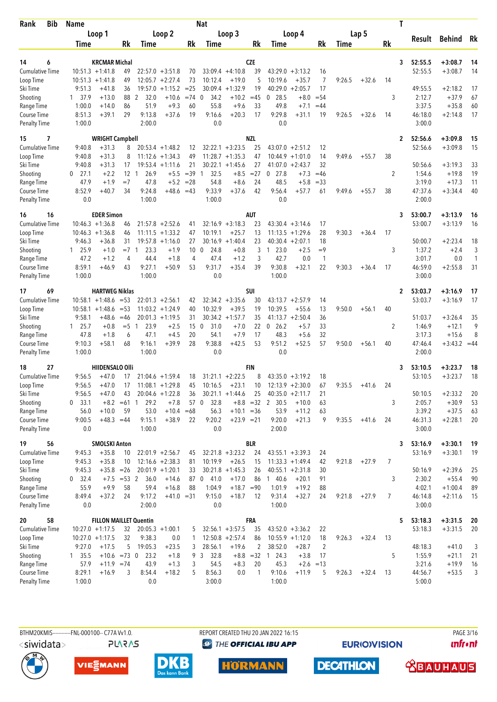| Bib<br>Rank            | <b>Name</b>    |                               |               |            |                          |                 | Nat                  |                                          |             |                                |                    |                |        |         | T              |         |                |              |
|------------------------|----------------|-------------------------------|---------------|------------|--------------------------|-----------------|----------------------|------------------------------------------|-------------|--------------------------------|--------------------|----------------|--------|---------|----------------|---------|----------------|--------------|
|                        |                | Loop 1                        |               |            | Loop 2                   |                 |                      | Loop 3                                   |             |                                | Loop 4             |                |        | Lap 5   |                |         |                |              |
|                        | Time           |                               | Rk            | Time       |                          | Rk              | Time                 |                                          | Rk          | Time                           |                    | Rk             | Time   |         | Rk             | Result  | Behind         | Rk           |
|                        |                |                               |               |            |                          |                 |                      |                                          |             |                                |                    |                |        |         |                |         |                |              |
| 14<br>6                |                | <b>KRCMAR Michal</b>          |               |            |                          |                 |                      |                                          | <b>CZE</b>  |                                |                    |                |        |         | 3              | 52:55.5 | $+3:08.7$      | 14           |
| <b>Cumulative Time</b> |                | $10:51.3 +1:41.8$             | 49            |            | $22:57.0 + 3:51.8$       | 70              |                      | $33:09.4 +4:10.8$                        | 39          |                                | $43:29.0 + 3:13.2$ | 16             |        |         |                | 52:55.5 | $+3:08.7$      | 14           |
| Loop Time              |                | $10:51.3 + 1:41.8$            | 49            | 12:05.7    | $+2:27.4$                | 73              | 10:12.4              | $+19.0$                                  | 5           | 10:19.6                        | $+35.7$            | 7              | 9:26.5 | $+32.6$ | 14             |         |                |              |
| Ski Time               | 9:51.3         | $+41.8$                       | 36            | 19:57.0    | $+1:15.2$                | $=25$           | 30:09.4              | $+1:32.9$                                | 19          | 40:29.0                        | $+2:05.7$          | 17             |        |         |                | 49:55.5 | $+2:18.2$      | 17           |
| Shooting               | 1 37.9         | $+13.0$                       | 88            | 2<br>32.0  | $+10.6$                  | $= 74$          | 34.2<br>$\mathbf 0$  | $+10.2$                                  | $=45$       | 28.5<br>0                      | $+8.0$             | $= 54$         |        |         | 3              | 2:12.7  | $+37.9$        | 67           |
| Range Time             | 1:00.0         | $+14.0$                       | 86            | 51.9       | $+9.3$                   | 60              | 55.8                 | $+9.6$                                   | 33          | 49.8                           | $+7.1$             | $=44$          |        |         |                | 3:37.5  | $+35.8$        | 60           |
| Course Time            | 8:51.3         | $+39.1$                       | 29            | 9:13.8     | $+37.6$                  | 19              | 9:16.6               | $+20.3$                                  | 17          | 9:29.8                         | $+31.1$            | 19             | 9:26.5 | $+32.6$ | 14             | 46:18.0 | $+2:14.8$      | 17           |
| <b>Penalty Time</b>    | 1:00.0         |                               |               | 2:00.0     |                          |                 | 0.0                  |                                          |             | 0.0                            |                    |                |        |         |                | 3:00.0  |                |              |
| 15<br>7                |                | <b>WRIGHT Campbell</b>        |               |            |                          |                 |                      |                                          | <b>NZL</b>  |                                |                    |                |        |         | $\mathbf{2}$   | 52:56.6 | $+3:09.8$      | 15           |
| <b>Cumulative Time</b> | 9:40.8         | $+31.3$                       | 8             |            | $20:53.4 +1:48.2$        | 12              |                      | $32:22.1 + 3:23.5$                       | 25          |                                | $43:07.0 + 2:51.2$ | 12             |        |         |                | 52:56.6 | $+3:09.8$      | 15           |
| Loop Time              | 9:40.8         | $+31.3$                       | 8             |            | $11:12.6 + 1:34.3$       | 49              |                      | $11:28.7 + 1:35.3$                       | 47          |                                | $10:44.9 + 1:01.0$ | 14             | 9:49.6 | $+55.7$ | 38             |         |                |              |
| Ski Time               | 9:40.8         | $+31.3$                       | 17            |            | $19:53.4 +1:11.6$        | 21              | 30:22.1              | $+1:45.6$                                | 27          | 41:07.0                        | $+2:43.7$          | 32             |        |         |                | 50:56.6 | $+3:19.3$      | 33           |
| Shooting               | 0<br>27.1      | $+2.2$                        | 12            | 26.9<br>-1 | $+5.5$                   | $=39$           | 32.5<br>$\mathbf{1}$ | $+8.5$                                   | $=27$       | 0<br>27.8                      | $+7.3$             | $=46$          |        |         | 2              | 1:54.6  | $+19.8$        | 19           |
| Range Time             | 47.9           | $+1.9$                        | $=7$          | 47.8       | $+5.2$                   | $=28$           | 54.8                 | $+8.6$                                   | 24          | 48.5                           | $+5.8$             | $= 33$         |        |         |                | 3:19.0  | $+17.3$        | 11           |
| <b>Course Time</b>     | 8:52.9         | +40.7                         | 34            | 9:24.8     | +48.6 =43                |                 | 9:33.9               | $+37.6$                                  | 42          | 9:56.4                         | +57.7              | 61             | 9:49.6 | $+55.7$ | 38             | 47:37.6 | $+3:34.4$      | 40           |
| <b>Penalty Time</b>    | 0.0            |                               |               | 1:00.0     |                          |                 | 1:00.0               |                                          |             | 0.0                            |                    |                |        |         |                | 2:00.0  |                |              |
| 16<br>16               |                | <b>EDER Simon</b>             |               |            |                          |                 |                      |                                          | AUT         |                                |                    |                |        |         | 3              | 53:00.7 | $+3:13.9$      | 16           |
| <b>Cumulative Time</b> |                | $10:46.3 + 1:36.8$            | 46            |            | $21:57.8 + 2:52.6$       | 41              |                      | $32:16.9 + 3:18.3$                       | 23          |                                | $43:30.4 +3:14.6$  | 17             |        |         |                | 53:00.7 | $+3:13.9$      | 16           |
| Loop Time              |                | $10:46.3 + 1:36.8$            | 46            |            | $11:11.5 + 1:33.2$       | 47              | 10:19.1              | $+25.7$                                  | 13          | 11:13.5                        | $+1:29.6$          | 28             | 9:30.3 | $+36.4$ | 17             |         |                |              |
| Ski Time               | 9:46.3         | $+36.8$                       | 31            |            | $19:57.8 + 1:16.0$       | 27              |                      | $30:16.9 +1:40.4$                        | 23          |                                | $40:30.4 +2:07.1$  | 18             |        |         |                | 50:00.7 | $+2:23.4$      | 18           |
| Shooting               | 1 25.9         | $+1.0$                        | $=7$          | 23.3<br>-1 | $+1.9$                   | 10 <sup>°</sup> | 24.8<br>0            | $+0.8$                                   | 3           | 23.0<br>$\mathbf{1}$           | $+2.5$             | $=9$           |        |         | 3              | 1:37.2  | $+2.4$         | 3            |
| Range Time             | 47.2           | $+1.2$                        | 4             | 44.4       | $+1.8$                   | $\overline{4}$  | 47.4                 | $+1.2$                                   | 3           | 42.7                           | 0.0                | $\mathbf{1}$   |        |         |                | 3:01.7  | 0.0            | $\mathbf{1}$ |
| Course Time            | 8:59.1         | +46.9                         | 43            | 9:27.1     | $+50.9$                  | 53              | 9:31.7               | $+35.4$                                  | 39          | 9:30.8                         | $+32.1$            | 22             | 9:30.3 | $+36.4$ | 17             | 46:59.0 | $+2:55.8$      | 31           |
| <b>Penalty Time</b>    | 1:00.0         |                               |               | 1:00.0     |                          |                 | 0.0                  |                                          |             | 1:00.0                         |                    |                |        |         |                | 3:00.0  |                |              |
| 69<br>17               |                | <b>HARTWEG Niklas</b>         |               |            |                          |                 |                      |                                          | SUI         |                                |                    |                |        |         | $\mathbf{2}$   | 53:03.7 | $+3:16.9$      | 17           |
| <b>Cumulative Time</b> |                | $10:58.1 + 1:48.6$            | $= 53$        |            | $22:01.3 + 2:56.1$       | 42              |                      | $32:34.2 + 3:35.6$                       | 30          | 43:13.7                        | $+2:57.9$          | 14             |        |         |                | 53:03.7 | $+3:16.9$      | 17           |
| Loop Time              |                | $10:58.1 + 1:48.6$            | $= 53$        |            | $11:03.2 +1:24.9$        | 40              | 10:32.9              | $+39.5$                                  | 19          | 10:39.5                        | $+55.6$            | 13             | 9:50.0 | $+56.1$ | 40             |         |                |              |
| Ski Time               | 9:58.1         | +48.6                         | $=46$         |            | $20:01.3 +1:19.5$        | 31              |                      | $30:34.2 +1:57.7$                        | 35          | 41:13.7                        | $+2:50.4$          | 36             |        |         |                | 51:03.7 | $+3:26.4$      | 35           |
| Shooting               | $1 \quad 25.7$ | $+0.8$                        | $= 5 \quad 1$ | 23.9       | $+2.5$                   | 15              | 31.0<br>0            | $+7.0$                                   | 22          | 0, 26.2                        | $+5.7$             | 33             |        |         | 2              | 1:46.9  | $+12.1$        | 9            |
| Range Time             | 47.8           | $+1.8$                        | 6             | 47.1       | $+4.5$                   | 20              | 54.1                 | $+7.9$                                   | 17          | 48.3                           | $+5.6$             | 32             |        |         |                | 3:17.3  | $+15.6$        | 8            |
| Course Time            | 9:10.3         | $+58.1$                       | 68            | 9:16.1     | +39.9                    | 28              | 9:38.8               | $+42.5$                                  | 53          | 9:51.2                         | $+52.5$            | 57             | 9:50.0 | $+56.1$ | 40             | 47:46.4 | $+3:43.2 = 44$ |              |
| <b>Penalty Time</b>    | 1:00.0         |                               |               | 1:00.0     |                          |                 | 0.0                  |                                          |             | 0.0                            |                    |                |        |         |                | 2:00.0  |                |              |
| 27<br>18               |                | <b>HIIDENSALO OIII</b>        |               |            |                          |                 |                      |                                          | FIN         |                                |                    |                |        |         | 3              | 53:10.5 | $+3:23.7$      | 18           |
| <b>Cumulative Time</b> | 9:56.5         | $+47.0$                       | 17            |            | $21:04.6 + 1:59.4$       | 18              |                      | $31:21.1 + 2:22.5$                       | 8           |                                | $43:35.0 + 3:19.2$ | 18             |        |         |                | 53:10.5 | $+3:23.7$      | 18           |
| Loop Time              | 9:56.5         | $+47.0$                       | 17            |            | $11:08.1 + 1:29.8$       | 45              | 10:16.5              | $+23.1$                                  | 10          |                                | $12:13.9 + 2:30.0$ | 67             | 9:35.5 | $+41.6$ | 24             |         |                |              |
| Ski Time               | 9:56.5         | $+47.0$                       | 43            |            | $20:04.6 + 1:22.8$       | 36              |                      | $30:21.1 +1:44.6$                        | 25          | $40:35.0 +2:11.7$              |                    | 21             |        |         |                | 50:10.5 | $+2:33.2$      | 20           |
| Shooting               | 33.1<br>0      | $+8.2 = 61$                   |               | 29.2<br>1  | $+7.8$                   | 57 0            | 32.8                 |                                          | $+8.8 = 32$ | $\overline{2}$<br>30.5         | $+10.0$            | 63             |        |         | 3              | 2:05.7  | $+30.9$        | 53           |
| Range Time             | 56.0           | $+10.0$                       | 59            | 53.0       | $+10.4 = 68$             |                 | 56.3                 | $+10.1 = 36$                             |             | 53.9                           | $+11.2$            | 63             |        |         |                | 3:39.2  | $+37.5$        | 63           |
| Course Time            | 9:00.5         | $+48.3 = 44$                  |               | 9:15.1     | $+38.9$                  | 22              | 9:20.2               | $+23.9 = 21$                             |             | 9:20.0                         | $+21.3$            | 9              | 9:35.5 | $+41.6$ | 24             | 46:31.3 | $+2:28.1$      | 20           |
| <b>Penalty Time</b>    | 0.0            |                               |               | 1:00.0     |                          |                 | 0.0                  |                                          |             | 2:00.0                         |                    |                |        |         |                | 3:00.0  |                |              |
| 19<br>56               |                | <b>SMOLSKI Anton</b>          |               |            |                          |                 |                      |                                          | <b>BLR</b>  |                                |                    |                |        |         | 3              | 53:16.9 | $+3:30.1$      | 19           |
| <b>Cumulative Time</b> | 9:45.3         | $+35.8$                       | 10            |            | $22:01.9 + 2:56.7$       | 45              |                      | $32:21.8 + 3:23.2$                       | 24          |                                | $43:55.1 + 3:39.3$ | 24             |        |         |                | 53:16.9 | $+3:30.1$      | 19           |
| Loop Time              | 9:45.3         | $+35.8$                       | 10            |            | $12:16.6 + 2:38.3$       | 81              | 10:19.9              | $+26.5$                                  | 15          |                                | $11:33.3 + 1:49.4$ | 42             | 9:21.8 | $+27.9$ | 7              |         |                |              |
| Ski Time               | 9:45.3         | $+35.8 = 26$                  |               |            | $20:01.9 + 1:20.1$       | 33              |                      | $30:21.8 +1:45.3$                        | 26          |                                | $40:55.1 + 2:31.8$ | 30             |        |         |                | 50:16.9 | $+2:39.6$      | 25           |
| Shooting               | $0$ 32.4       | $+7.5 = 53$ 2                 |               | 36.0       | $+14.6$                  |                 | 87 0 41.0            | $+17.0$                                  | 86          | 140.6                          | $+20.1$            | 91             |        |         | 3              | 2:30.2  | $+55.4$        | 90           |
| Range Time             | 55.9           | $+9.9$                        | 58            | 59.4       | $+16.8$                  | 88              | 1:04.9               | $+18.7 = 90$                             |             | 1:01.9                         | $+19.2$            | 88             |        |         |                | 4:02.1  | $+1:00.4$      | 89           |
| Course Time            | 8:49.4         | $+37.2$                       | 24            | 9:17.2     | $+41.0 = 31$             |                 | 9:15.0               | $+18.7$                                  | 12          | 9:31.4                         | $+32.7$            | 24             | 9:21.8 | $+27.9$ | $\overline{7}$ | 46:14.8 | $+2:11.6$      | 15           |
| <b>Penalty Time</b>    | 0.0            |                               |               | 2:00.0     |                          |                 | 0.0                  |                                          |             | 1:00.0                         |                    |                |        |         |                | 3:00.0  |                |              |
| 58                     |                | <b>FILLON MAILLET Quentin</b> |               |            |                          |                 |                      |                                          | FRA         |                                |                    |                |        |         | 5              | 53:18.3 | $+3:31.5$      | 20           |
| 20<br>Cumulative Time  |                | $10:27.0 +1:17.5$             |               |            |                          |                 |                      |                                          |             |                                | $43:52.0 + 3:36.2$ |                |        |         |                | 53:18.3 |                | 20           |
| Loop Time              |                | $10:27.0 +1:17.5$             | 32<br>32      | 9:38.3     | $20:05.3 +1:00.1$<br>0.0 | 5<br>1          |                      | $32:56.1 + 3:57.5$<br>$12:50.8 + 2:57.4$ | 35<br>86    |                                | $10:55.9 + 1:12.0$ | 22<br>18       | 9:26.3 | $+32.4$ | 13             |         | $+3:31.5$      |              |
| Ski Time               | 9:27.0         | $+17.5$                       | 5             | 19:05.3    | $+23.5$                  | 3               | 28:56.1              | $+19.6$                                  | 2           | 38:52.0                        | $+28.7$            | $\overline{2}$ |        |         |                | 48:18.3 | $+41.0$        | 3            |
| Shooting               | $1 \quad 35.5$ | $+10.6 = 73$ 0                |               | 23.2       | $+1.8$                   | 9               | $\mathbf{3}$<br>32.8 |                                          |             | $+8.8 = 32 \quad 1 \quad 24.3$ | $+3.8$             | 17             |        |         | 5              | 1:55.9  | $+21.1$        | 21           |
| Range Time             | 57.9           | $+11.9 = 74$                  |               | 43.9       | $+1.3$                   | 3               | 54.5                 | $+8.3$                                   | 20          | 45.3                           | $+2.6 = 13$        |                |        |         |                | 3:21.6  | $+19.9$        | 16           |
| Course Time            | 8:29.1         | $+16.9$                       | 3             | 8:54.4     | $+18.2$                  | 5               | 8:56.3               | 0.0                                      | 1           | 9:10.6                         | $+11.9$            | 5              | 9:26.3 | $+32.4$ | 13             | 44:56.7 | $+53.5$        | 3            |
| <b>Penalty Time</b>    | 1:00.0         |                               |               | 0.0        |                          |                 | 3:00.0               |                                          |             | 1:00.0                         |                    |                |        |         |                | 5:00.0  |                |              |
|                        |                |                               |               |            |                          |                 |                      |                                          |             |                                |                    |                |        |         |                |         |                |              |





VIESMANN

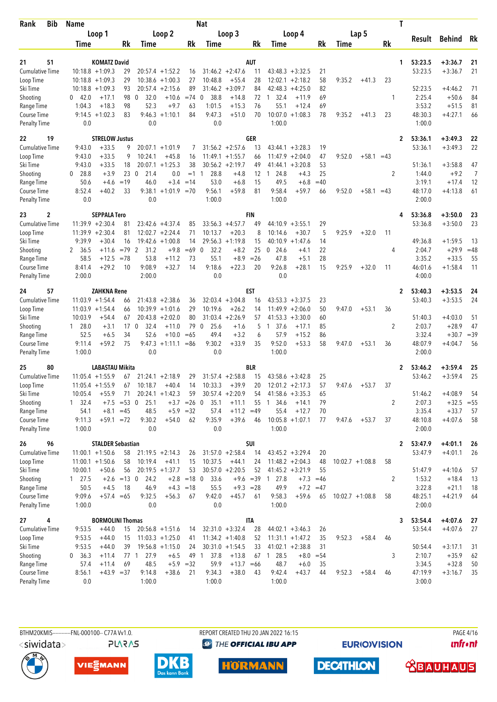| <b>Bib</b><br>Rank                 | <b>Name</b>           |                          |                     |                                 |                    |                 | Nat                    |                    |             |                    |                      |             |             |                    |                | T |                   |                    |             |
|------------------------------------|-----------------------|--------------------------|---------------------|---------------------------------|--------------------|-----------------|------------------------|--------------------|-------------|--------------------|----------------------|-------------|-------------|--------------------|----------------|---|-------------------|--------------------|-------------|
|                                    |                       | Loop 1                   |                     |                                 | Loop 2             |                 |                        | Loop 3             |             |                    | Loop 4               |             |             | Lap 5              |                |   |                   |                    |             |
|                                    | Time                  |                          | Rk                  | Time                            |                    | Rk              | Time                   |                    | Rk          | Time               |                      | Rk          | <b>Time</b> |                    | Rk             |   | Result            | <b>Behind</b>      | Rk          |
|                                    |                       |                          |                     |                                 |                    |                 |                        |                    |             |                    |                      |             |             |                    |                |   |                   |                    |             |
| 51<br>21                           |                       | <b>KOMATZ David</b>      |                     |                                 |                    |                 |                        |                    | <b>AUT</b>  |                    |                      |             |             |                    |                | 1 | 53:23.5           | $+3:36.7$          | 21          |
| <b>Cumulative Time</b>             |                       | $10:18.8 + 1:09.3$       | 29                  |                                 | $20:57.4 + 1:52.2$ | 16              |                        | $31:46.2 +2:47.6$  | 11          |                    | $43:48.3 + 3:32.5$   | 21          |             |                    |                |   | 53:23.5           | $+3:36.7$          | 21          |
| Loop Time                          |                       | $10:18.8 + 1:09.3$       | 29                  |                                 | $10:38.6 + 1:00.3$ | 27              | 10:48.8                | $+55.4$            | 28          | 12:02.1            | $+2:18.2$            | 58          | 9:35.2      | $+41.3$            | 23             |   |                   |                    |             |
| Ski Time                           |                       | $10:18.8 + 1:09.3$       | 93                  | 20:57.4<br>$\mathbf{0}$         | $+2:15.6$          | 89<br>$= 74$    | $\Omega$               | $31:46.2 + 3:09.7$ | 84          | 42:48.3            | $+4:25.0$<br>$+11.9$ | 82<br>69    |             |                    |                |   | 52:23.5           | $+4:46.2$          | 71          |
| Shooting<br>Range Time             | 42.0<br>0<br>1:04.3   | $+17.1$<br>$+18.3$       | 98<br>98            | 32.0<br>52.3                    | $+10.6$<br>$+9.7$  | 63              | 38.8<br>1:01.5         | $+14.8$<br>$+15.3$ | 72<br>76    | 32.4<br>1<br>55.1  | $+12.4$              | 69          |             |                    | 1              |   | 2:25.4<br>3:53.2  | $+50.6$<br>$+51.5$ | 84<br>81    |
| Course Time                        |                       | $9:14.5 + 1:02.3$        | 83                  | 9:46.3                          | $+1:10.1$          | 84              | 9:47.3                 | $+51.0$            | 70          | 10:07.0            | $+1:08.3$            | 78          | 9:35.2      | $+41.3$            | 23             |   | 48:30.3           | $+4:27.1$          | 66          |
| <b>Penalty Time</b>                | 0.0                   |                          |                     | 0.0                             |                    |                 | 0.0                    |                    |             | 1:00.0             |                      |             |             |                    |                |   | 1:00.0            |                    |             |
| 19<br>22                           |                       | <b>STRELOW Justus</b>    |                     |                                 |                    |                 |                        |                    | GER         |                    |                      |             |             |                    |                | 2 | 53:36.1           | $+3:49.3$          | 22          |
| <b>Cumulative Time</b>             | 9:43.0                | $+33.5$                  | 9                   |                                 | $20:07.1 + 1:01.9$ | 7               |                        | $31:56.2 +2:57.6$  | 13          |                    | $43:44.1 + 3:28.3$   | 19          |             |                    |                |   | 53:36.1           | $+3:49.3$          | 22          |
| Loop Time                          | 9:43.0                | $+33.5$                  | g                   | 10:24.1                         | $+45.8$            | 16              |                        | $11:49.1 + 1:55.7$ | 66          |                    | $11:47.9 + 2:04.0$   | 47          | 9:52.0      | $+58.1 = 43$       |                |   |                   |                    |             |
| Ski Time                           | 9:43.0                | $+33.5$                  | 18                  |                                 | $20:07.1 + 1:25.3$ | 38              |                        | $30:56.2 +2:19.7$  | 49          |                    | $41:44.1 + 3:20.8$   | 53          |             |                    |                |   | 51:36.1           | $+3:58.8$          | 47          |
| Shooting                           | 28.8<br>$\mathbf{0}$  | $+3.9$                   | 23                  | $\overline{0}$<br>21.4          | 0.0                | $=1$            | 28.8<br>$\overline{1}$ | $+4.8$             | 12          | 24.8<br>-1         | $+4.3$               | 25          |             |                    | 2              |   | 1:44.0            | $+9.2$             | 7           |
| Range Time                         | 50.6                  | $+4.6$                   | $=19$               | 46.0                            | $+3.4$             | $=14$           | 53.0                   | $+6.8$             | 15          | 49.5               | $+6.8$               | $=40$       |             |                    |                |   | 3:19.1            | $+17.4$            | 12          |
| Course Time                        | 8:52.4                | $+40.2$                  | 33                  |                                 | $9:38.1 +1:01.9$   | $=70$           | 9:56.1                 | $+59.8$            | 81          | 9:58.4             | +59.7                | 66          | 9:52.0      | $+58.1 = 43$       |                |   | 48:17.0           | $+4:13.8$          | 61          |
| <b>Penalty Time</b>                | 0.0                   |                          |                     | 0.0                             |                    |                 | 1:00.0                 |                    |             | 1:00.0             |                      |             |             |                    |                |   | 2:00.0            |                    |             |
| 2<br>23                            |                       | <b>SEPPALA Tero</b>      |                     |                                 |                    |                 |                        |                    | FIN         |                    |                      |             |             |                    |                | 4 | 53:36.8           | $+3:50.0$          | 23          |
| <b>Cumulative Time</b>             |                       | $11:39.9 + 2:30.4$       | 81                  |                                 | $23:42.6 +4:37.4$  | 85              |                        | $33:56.3 +4:57.7$  | 49          |                    | $44:10.9 + 3:55.1$   | 29          |             |                    |                |   | 53:36.8           | $+3:50.0$          | 23          |
| Loop Time                          |                       | $11:39.9 + 2:30.4$       | 81                  |                                 | $12:02.7 + 2:24.4$ | 71              | 10:13.7                | $+20.3$            | 8           | 10:14.6            | $+30.7$              | 5           | 9:25.9      | $+32.0$            | 11             |   |                   |                    |             |
| Ski Time                           | 9:39.9                | $+30.4$                  | 16                  |                                 | $19:42.6 + 1:00.8$ | 14              |                        | $29:56.3 +1:19.8$  | 15          |                    | $40:10.9 +1:47.6$    | 14          |             |                    |                |   | 49:36.8           | $+1:59.5$          | 13          |
| Shooting                           | 2 36.5                | $+11.6$                  | $=79$               | $\overline{2}$<br>31.2          | $+9.8$             | $=69$           | $\mathbf 0$<br>32.2    | $+8.2$             | 25          | 24.6<br>0          | $+4.1$               | 22          |             |                    | 4              |   | 2:04.7            | $+29.9$            | $=48$       |
| Range Time                         | 58.5                  | $+12.5$                  | $=78$               | 53.8                            | $+11.2$            | 73              | 55.1                   | $+8.9$             | $=26$       | 47.8               | $+5.1$               | 28          |             |                    |                |   | 3:35.2            | $+33.5$            | 55          |
| Course Time                        | 8:41.4                | $+29.2$                  | 10                  | 9:08.9                          | $+32.7$            | 14              | 9:18.6                 | $+22.3$            | 20          | 9:26.8             | $+28.1$              | 15          | 9:25.9      | $+32.0$            | 11             |   | 46:01.6           | $+1:58.4$          | -11         |
| <b>Penalty Time</b>                | 2:00.0                |                          |                     | 2:00.0                          |                    |                 | 0.0                    |                    |             | 0.0                |                      |             |             |                    |                |   | 4:00.0            |                    |             |
| 57<br>24                           |                       | <b>ZAHKNA Rene</b>       |                     |                                 |                    |                 |                        |                    | EST         |                    |                      |             |             |                    |                | 2 | 53:40.3           | $+3:53.5$          | 24          |
| <b>Cumulative Time</b>             |                       | $11:03.9 + 1:54.4$       | 66                  |                                 | $21:43.8 + 2:38.6$ | 36              |                        | $32:03.4 +3:04.8$  | 16          | 43:53.3            | $+3:37.5$            | 23          |             |                    |                |   | 53:40.3           | $+3:53.5$          | 24          |
| Loop Time                          |                       | $11:03.9 + 1:54.4$       | 66                  |                                 | $10:39.9 + 1:01.6$ | 29              | 10:19.6                | $+26.2$            | 14          |                    | $11:49.9 + 2:06.0$   | 50          | 9:47.0      | $+53.1$            | 36             |   |                   |                    |             |
| Ski Time                           | 10:03.9               | $+54.4$                  | 67                  | 20:43.8                         | $+2:02.0$          | 80              |                        | $31:03.4 +2:26.9$  | 57          | 41:53.3            | $+3:30.0$            | 60          |             |                    |                |   | 51:40.3           | $+4:03.0$          | 51          |
| Shooting                           | $1\quad 28.0$<br>52.5 | $+3.1$                   | 34                  | 32.4<br>17 <sub>0</sub><br>52.6 | $+11.0$<br>$+10.0$ | 79              | 25.6<br>0<br>49.4      | $+1.6$<br>$+3.2$   | 5           | 1 37.6<br>57.9     | $+17.1$<br>$+15.2$   | 85<br>86    |             |                    | 2              |   | 2:03.7<br>3:32.4  | $+28.9$<br>$+30.7$ | 47<br>$=39$ |
| Range Time<br>Course Time          | 9:11.4                | $+6.5$<br>$+59.2$        | 75                  | 9:47.3                          | $+1:11.1$          | $=65$<br>$= 86$ | 9:30.2                 | $+33.9$            | 6<br>35     | 9:52.0             | $+53.3$              | 58          | 9:47.0      | $+53.1$            | 36             |   | 48:07.9           | $+4:04.7$          | 56          |
| Penalty Time                       | 1:00.0                |                          |                     | 0.0                             |                    |                 | 0.0                    |                    |             | 1:00.0             |                      |             |             |                    |                |   | 2:00.0            |                    |             |
| 25<br>80                           |                       | LABASTAU Mikita          |                     |                                 |                    |                 |                        |                    | BLR         |                    |                      |             |             |                    |                | 2 | 53:46.2           | $+3:59.4$          | 25          |
| <b>Cumulative Time</b>             |                       | $11:05.4 +1:55.9$        | 67                  |                                 | $21:24.1 + 2:18.9$ | 29              |                        | $31:57.4 +2:58.8$  | 15          |                    | $43:58.6 + 3:42.8$   | 25          |             |                    |                |   | 53:46.2           | $+3:59.4$          | 25          |
| Loop Time                          |                       | $11:05.4 +1:55.9$        | 67                  | 10:18.7                         | $+40.4$            | 14              | 10:33.3                | $+39.9$            | 20          |                    | $12:01.2 +2:17.3$    | 57          | 9:47.6      | $+53.7$            | 37             |   |                   |                    |             |
| Ski Time                           | 10:05.4               | $+55.9$                  | 71                  |                                 | $20:24.1 + 1:42.3$ | 59              |                        | $30:57.4 +2:20.9$  | 54          |                    | $41:58.6 + 3:35.3$   | 65          |             |                    |                |   | 51:46.2           | $+4:08.9$          | 54          |
| Shooting                           | $1 \quad 32.4$        |                          | $+7.5 = 53 \quad 0$ | 25.1                            |                    | $+3.7 = 26$ 0   | 35.1                   | $+11.1$            | 55          | 34.6<br>-1         | $+14.1$              | 79          |             |                    | 2              |   | 2:07.3            | $+32.5 = 55$       |             |
| Range Time                         | 54.1                  |                          | $+8.1 = 45$         | 48.5                            |                    | $+5.9 = 32$     | 57.4                   | $+11.2 = 49$       |             | 55.4               | $+12.7$              | 70          |             |                    |                |   | 3:35.4            | $+33.7$            | 57          |
| Course Time                        | 9:11.3                | $+59.1 = 72$             |                     | 9:30.2                          | $+54.0$            | 62              | 9:35.9                 | $+39.6$            | 46          |                    | $10:05.8 + 1:07.1$   | 77          | 9:47.6      | $+53.7$            | 37             |   | 48:10.8           | $+4:07.6$          | 58          |
| <b>Penalty Time</b>                | 1:00.0                |                          |                     | 0.0                             |                    |                 | 0.0                    |                    |             | 1:00.0             |                      |             |             |                    |                |   | 2:00.0            |                    |             |
| 26<br>96                           |                       | <b>STALDER Sebastian</b> |                     |                                 |                    |                 |                        |                    | SUI         |                    |                      |             |             |                    |                | 2 | 53:47.9           | $+4:01.1$          | 26          |
| <b>Cumulative Time</b>             |                       | $11:00.1 + 1:50.6$       | 58                  |                                 | $21:19.5 + 2:14.3$ | 26              |                        | $31:57.0 + 2:58.4$ | 14          |                    | $43:45.2 + 3:29.4$   | 20          |             |                    |                |   | 53:47.9           | $+4:01.1$          | 26          |
| Loop Time                          |                       | $11:00.1 + 1:50.6$       | 58                  | 10:19.4                         | $+41.1$            | 15              | 10:37.5                | $+44.1$            | 24          |                    | $11:48.2 + 2:04.3$   | 48          |             | $10:02.7 + 1:08.8$ | 58             |   |                   |                    |             |
| Ski Time                           | 10:00.1               | $+50.6$                  | 56                  |                                 | $20:19.5 + 1:37.7$ | 53              |                        | $30:57.0 +2:20.5$  | 52          |                    | $41:45.2 +3:21.9$    | 55          |             |                    |                |   | 51:47.9           | $+4:10.6$          | 57          |
| Shooting                           | 127.5                 |                          | $+2.6 = 13 \quad 0$ | 24.2                            |                    | $+2.8 = 180$    | 33.6                   |                    |             | $+9.6 = 39 1 27.8$ |                      | $+7.3 = 46$ |             |                    | $\overline{2}$ |   | 1:53.2            | $+18.4$            | 13          |
| Range Time                         | 50.5                  | $+4.5$                   | 18                  | 46.9                            |                    | $+4.3 = 18$     | 55.5                   |                    | $+9.3 = 28$ | 49.9               | $+7.2$               | $=47$       |             |                    |                |   | 3:22.8            | $+21.1$            | 18          |
| Course Time                        | 9:09.6                | $+57.4 = 65$             |                     | 9:32.5                          | $+56.3$            | 67              | 9:42.0                 | $+45.7$            | 61          | 9:58.3             | +59.6                | 65          |             | $10:02.7 +1:08.8$  | 58             |   | 48:25.1           | $+4:21.9$          | 64          |
| <b>Penalty Time</b>                | 1:00.0                |                          |                     | 0.0                             |                    |                 | 0.0                    |                    |             | 1:00.0             |                      |             |             |                    |                |   | 2:00.0            |                    |             |
| 27<br>4                            |                       | <b>BORMOLINI Thomas</b>  |                     |                                 |                    |                 |                        |                    | IΤA         |                    |                      |             |             |                    |                | 3 | 53:54.4           | $+4:07.6$          | 27          |
| Cumulative Time                    | 9:53.5                | $+44.0$                  | 15                  |                                 | $20:56.8 + 1:51.6$ | 14              |                        | $32:31.0 + 3:32.4$ | 28          |                    | $44:02.1 + 3:46.3$   | 26          |             |                    |                |   | 53:54.4           | $+4:07.6$          | 27          |
| Loop Time                          | 9:53.5                | $+44.0$                  | 15                  |                                 | $11:03.3 +1:25.0$  | 41              |                        | $11:34.2 + 1:40.8$ | 52          |                    | $11:31.1 + 1:47.2$   | 35          | 9:52.3      | $+58.4$            | 46             |   |                   |                    |             |
| Ski Time                           | 9:53.5                | $+44.0$                  | 39                  |                                 | $19:56.8 + 1:15.0$ | 24              |                        | $30:31.0 + 1:54.5$ | 33          |                    | $41:02.1 + 2:38.8$   | 31          |             |                    |                |   | 50:54.4           | $+3:17.1$          | 31          |
| Shooting                           | 0, 36.3               | $+11.4$                  |                     | 27.9<br>77 1                    | $+6.5$             |                 | 37.8<br>49 1           | $+13.8$            |             | 67 1 28.5          |                      | $+8.0 = 54$ |             |                    | 3              |   | 2:10.7            | $+35.9$            | 62          |
| Range Time                         | 57.4                  | $+11.4$                  | 69                  | 48.5                            |                    | $+5.9 = 32$     | 59.9                   | $+13.7 = 66$       |             | 48.7               | $+6.0$               | 35          |             |                    |                |   | 3:34.5            | $+32.8$            | 50          |
| Course Time<br><b>Penalty Time</b> | 8:56.1<br>0.0         | $+43.9 = 37$             |                     | 9:14.8<br>1:00.0                | $+38.6$            | 21              | 9:34.3<br>1:00.0       | $+38.0$            | 43          | 9:42.4<br>1:00.0   | $+43.7$              | 44          | 9:52.3      | $+58.4$            | 46             |   | 47:19.9<br>3:00.0 | $+3:16.7$          | 35          |
|                                    |                       |                          |                     |                                 |                    |                 |                        |                    |             |                    |                      |             |             |                    |                |   |                   |                    |             |







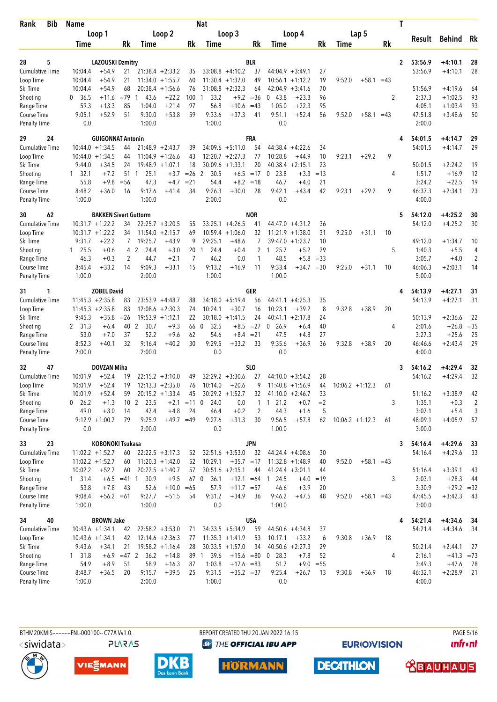| Bib<br>Rank                        | <b>Name</b>        |                               |                |                         |                                         |          | <b>Nat</b>           |                                          |                 |                      |                                          |          |        |                    |           | T            |                   |              |                |
|------------------------------------|--------------------|-------------------------------|----------------|-------------------------|-----------------------------------------|----------|----------------------|------------------------------------------|-----------------|----------------------|------------------------------------------|----------|--------|--------------------|-----------|--------------|-------------------|--------------|----------------|
|                                    |                    | Loop 1                        |                |                         | Loop 2                                  |          |                      | Loop 3                                   |                 |                      | Loop 4                                   |          |        | Lap 5              |           |              |                   |              | Rk             |
|                                    | Time               |                               | Rk             | Time                    |                                         | Rk       | Time                 |                                          | Rk              | Time                 |                                          | Rk       | Time   |                    | <b>Rk</b> |              | Result            | Behind       |                |
|                                    |                    |                               |                |                         |                                         |          |                      |                                          |                 |                      |                                          |          |        |                    |           |              |                   |              |                |
| 5<br>28                            |                    | <b>LAZOUSKI Dzmitry</b>       |                |                         |                                         |          |                      |                                          | <b>BLR</b>      |                      |                                          |          |        |                    |           | $\mathbf{2}$ | 53:56.9           | $+4:10.1$    | 28             |
| <b>Cumulative Time</b>             | 10:04.4            | $+54.9$<br>$+54.9$            | 21<br>21       |                         | $21:38.4 +2:33.2$<br>$11:34.0 + 1:55.7$ | 35<br>60 |                      | $33:08.8 + 4:10.2$<br>$11:30.4 + 1:37.0$ | 37<br>49        |                      | $44:04.9 + 3:49.1$<br>$10:56.1 + 1:12.2$ | 27<br>19 | 9:52.0 | $+58.1$            | $=43$     |              | 53:56.9           | $+4:10.1$    | 28             |
| Loop Time<br>Ski Time              | 10:04.4<br>10:04.4 | $+54.9$                       | 68             |                         | $20:38.4 +1:56.6$                       | 76       |                      | $31:08.8 + 2:32.3$                       | 64              | 42:04.9              | $+3:41.6$                                | 70       |        |                    |           |              | 51:56.9           | $+4:19.6$    | 64             |
| Shooting                           | 0<br>36.5          | $+11.6$                       | $=79$          | 43.6<br>-1              | $+22.2$                                 | 100      | 33.2<br>1            |                                          | $+9.2 = 36$     | 043.8                | $+23.3$                                  | 96       |        |                    | 2         |              | 2:37.3            | $+1:02.5$    | 93             |
| Range Time                         | 59.3               | $+13.3$                       | 85             | 1:04.0                  | $+21.4$                                 | 97       | 56.8                 | $+10.6$                                  | $=43$           | 1:05.0               | $+22.3$                                  | 95       |        |                    |           |              | 4:05.1            | $+1:03.4$    | 93             |
| Course Time                        | 9:05.1             | $+52.9$                       | 51             | 9:30.0                  | $+53.8$                                 | 59       | 9:33.6               | $+37.3$                                  | 41              | 9:51.1               | $+52.4$                                  | 56       | 9:52.0 | $+58.1 = 43$       |           |              | 47:51.8           | $+3:48.6$    | 50             |
| <b>Penalty Time</b>                | 0.0                |                               |                | 1:00.0                  |                                         |          | 1:00.0               |                                          |                 | 0.0                  |                                          |          |        |                    |           |              | 2:00.0            |              |                |
| 29<br>24                           |                    | <b>GUIGONNAT Antonin</b>      |                |                         |                                         |          |                      |                                          | <b>FRA</b>      |                      |                                          |          |        |                    |           | 4            | 54:01.5           | $+4:14.7$    | 29             |
| <b>Cumulative Time</b>             |                    | $10:44.0 + 1:34.5$            | 44             |                         | $21:48.9 + 2:43.7$                      | 39       |                      | $34:09.6 + 5:11.0$                       | 54              |                      | $44:38.4 +4:22.6$                        | 34       |        |                    |           |              | 54:01.5           | $+4:14.7$    | 29             |
| Loop Time                          |                    | $10:44.0 + 1:34.5$            | 44             |                         | $11:04.9 + 1:26.6$                      | 43       |                      | $12:20.7 + 2:27.3$                       | 77              | 10:28.8              | $+44.9$                                  | 10       | 9:23.1 | $+29.2$            | 9         |              |                   |              |                |
| Ski Time                           | 9:44.0             | $+34.5$                       | 24             |                         | $19:48.9 + 1:07.1$                      | 18       |                      | $30:09.6 +1:33.1$                        | 20              |                      | $40:38.4 +2:15.1$                        | 23       |        |                    |           |              | 50:01.5           | $+2:24.2$    | 19             |
| Shooting                           | 32.1<br>1          | $+7.2$                        | 51 1           | 25.1                    | $+3.7$                                  | $=26$    | 2<br>30.5            | $+6.5$                                   | $=17$           | 23.8<br>$\mathbf 0$  | $+3.3$                                   | $=13$    |        |                    | 4         |              | 1:51.7            | $+16.9$      | 12             |
| Range Time                         | 55.8               | $+9.8$                        | $=$ 56         | 47.3                    | $+4.7$                                  | $= 21$   | 54.4                 |                                          | $+8.2 = 18$     | 46.7                 | $+4.0$                                   | 21       |        |                    |           |              | 3:24.2            | $+22.5$      | 19             |
| Course Time                        | 8:48.2             | $+36.0$                       | 16             | 9:17.6                  | +41.4                                   | 34       | 9:26.3               | $+30.0$                                  | 28              | 9:42.1               | $+43.4$                                  | 42       | 9:23.1 | $+29.2$            | 9         |              | 46:37.3           | $+2:34.1$    | 23             |
| <b>Penalty Time</b>                | 1:00.0             |                               |                | 1:00.0                  |                                         |          | 2:00.0               |                                          |                 | 0.0                  |                                          |          |        |                    |           |              | 4:00.0            |              |                |
| 62<br>30                           |                    | <b>BAKKEN Sivert Guttorm</b>  |                |                         |                                         |          |                      |                                          | <b>NOR</b>      |                      |                                          |          |        |                    |           | 5            | 54:12.0           | $+4:25.2$    | 30             |
| <b>Cumulative Time</b>             |                    | $10:31.7 + 1:22.2$            | 34             |                         | $22:25.7 + 3:20.5$                      | 55       |                      | $33:25.1 +4:26.5$                        | 41              |                      | $44:47.0 +4:31.2$                        | 36       |        |                    |           |              | 54:12.0           | $+4:25.2$    | 30             |
| Loop Time                          |                    | $10:31.7 + 1:22.2$            | 34             | 11:54.0                 | $+2:15.7$                               | 69       |                      | $10:59.4 +1:06.0$                        | 32              | 11:21.9              | $+1:38.0$                                | 31       | 9:25.0 | $+31.1$            | 10        |              |                   |              |                |
| Ski Time                           | 9:31.7             | +22.2                         | 7              | 19:25.7                 | $+43.9$                                 | 9        | 29:25.1              | $+48.6$                                  | 7               |                      | $39:47.0 + 1:23.7$                       | 10       |        |                    |           |              | 49:12.0           | $+1:34.7$    | 10             |
| Shooting                           | $1 \quad 25.5$     | $+0.6$                        |                | 4 2<br>24.4             | $+3.0$                                  | 20       | 24.4<br>$\mathbf{1}$ | $+0.4$                                   | 2               | 25.7<br>$\mathbf{1}$ | $+5.2$                                   | 29       |        |                    | 5         |              | 1:40.3            | $+5.5$       | 4              |
| Range Time                         | 46.3               | $+0.3$                        | $\overline{2}$ | 44.7                    | $+2.1$                                  | 7        | 46.2                 | 0.0                                      | 1               | 48.5                 | $+5.8$                                   | $=33$    |        |                    |           |              | 3:05.7            | $+4.0$       | $\overline{2}$ |
| Course Time                        | 8:45.4             | $+33.2$                       | 14             | 9:09.3                  | $+33.1$                                 | 15       | 9:13.2               | $+16.9$                                  | 11              | 9:33.4               | +34.7                                    | $=30$    | 9:25.0 | $+31.1$            | 10        |              | 46:06.3           | $+2:03.1$    | 14             |
| <b>Penalty Time</b>                | 1:00.0             |                               |                | 2:00.0                  |                                         |          | 1:00.0               |                                          |                 | 1:00.0               |                                          |          |        |                    |           |              | 5:00.0            |              |                |
| 31<br>1                            |                    | <b>ZOBEL David</b>            |                |                         |                                         |          |                      |                                          | GER             |                      |                                          |          |        |                    |           | 4            | 54:13.9           | $+4:27.1$    | 31             |
| <b>Cumulative Time</b>             |                    | $11:45.3 + 2:35.8$            | 83             |                         | $23:53.9 +4:48.7$                       | 88       |                      | $34:18.0 + 5:19.4$                       | 56              | 44:41.1              | $+4:25.3$                                | 35       |        |                    |           |              | 54:13.9           | $+4:27.1$    | 31             |
| Loop Time                          |                    | $11:45.3 + 2:35.8$            | 83             |                         | $12:08.6 + 2:30.3$                      | 74       | 10:24.1              | $+30.7$                                  | 16              | 10:23.1              | $+39.2$                                  | 8        | 9:32.8 | $+38.9$            | 20        |              |                   |              |                |
| Ski Time                           | 9:45.3             | $+35.8$                       | $=26$          |                         | $19:53.9 +1:12.1$                       | 22       |                      | $30:18.0 + 1:41.5$                       | 24              |                      | $40:41.1 + 2:17.8$                       | 24       |        |                    |           |              | 50:13.9           | $+2:36.6$    | 22             |
| Shooting                           | 2 31.3             | $+6.4$                        | 40             | 2<br>30.7               | $+9.3$                                  | 66       | $\mathbf 0$<br>32.5  | $+8.5$                                   | $=27$           | 26.9<br>$\mathbf 0$  | $+6.4$                                   | 40       |        |                    | 4         |              | 2:01.6            | $+26.8$      | $=35$          |
| Range Time                         | 53.0               | $+7.0$                        | 37             | 52.2                    | $+9.6$                                  | 62       | 54.6                 |                                          | $+8.4 = 21$     | 47.5                 | $+4.8$                                   | 27       |        |                    |           |              | 3:27.3            | $+25.6$      | 25             |
| Course Time                        | 8:52.3             | $+40.1$                       | 32             | 9:16.4                  | $+40.2$                                 | 30       | 9:29.5               | $+33.2$                                  | 33              | 9:35.6               | $+36.9$                                  | 36       | 9:32.8 | $+38.9$            | 20        |              | 46:46.6           | $+2:43.4$    | 29             |
| <b>Penalty Time</b>                | 2:00.0             |                               |                | 2:00.0                  |                                         |          | 0.0                  |                                          |                 | 0.0                  |                                          |          |        |                    |           |              | 4:00.0            |              |                |
| 47<br>32                           |                    | <b>DOVZAN Miha</b>            |                |                         |                                         |          |                      |                                          | SL <sub>0</sub> |                      |                                          |          |        |                    |           | 3            | 54:16.2           | +4:29.4      | 32             |
| <b>Cumulative Time</b>             | 10:01.9            | $+52.4$                       | 19             |                         | $22:15.2 + 3:10.0$                      | 49       |                      | $32:29.2 + 3:30.6$                       | 27              |                      | $44:10.0 + 3:54.2$                       | 28       |        |                    |           |              | 54:16.2           | $+4:29.4$    | 32             |
| Loop Time                          | 10:01.9            | $+52.4$                       | 19             |                         | $12:13.3 + 2:35.0$                      | 76       | 10:14.0              | $+20.6$                                  | 9               |                      | $11:40.8 + 1:56.9$                       | 44       |        | $10:06.2 + 1:12.3$ | 61        |              |                   |              |                |
| Ski Time                           | 10:01.9            | $+52.4$                       | 59             |                         | $20:15.2 + 1:33.4$                      | 45       |                      | $30:29.2 +1:52.7$                        | 32              |                      | $41:10.0 +2:46.7$                        | 33       |        |                    |           |              | 51:16.2           | $+3:38.9$    | 42             |
| Shooting                           | $0$ 26.2           | $+1.3$                        |                | 10 <sub>2</sub><br>23.5 | $+2.1$                                  | $=11$    | 24.0<br>$\mathbf 0$  | 0.0                                      | 1               | 121.2                | $+0.7$                                   | $=2$     |        |                    | 3         |              | 1:35.1            | $+0.3$       | 2              |
| Range Time                         | 49.0               | $+3.0$                        | 14             | 47.4                    | $+4.8$                                  | 24       | 46.4                 | $+0.2$                                   | 2               | 44.3                 | $+1.6$                                   | 5        |        |                    |           |              | 3:07.1            | $+5.4$       | 3              |
| Course Time<br><b>Penalty Time</b> | 0.0                | $9:12.9 +1:00.7$              | 79             | 9:25.9<br>2:00.0        | $+49.7 = 49$                            |          | 9:27.6<br>0.0        | $+31.3$                                  | 30              | 9:56.5<br>1:00.0     | $+57.8$                                  | 62       |        | $10:06.2 +1:12.3$  | 61        |              | 48:09.1<br>3:00.0 | $+4:05.9$    | 57             |
|                                    |                    |                               |                |                         |                                         |          |                      |                                          |                 |                      |                                          |          |        |                    |           |              |                   |              |                |
| 33<br>23                           |                    | <b>KOBONOKI Tsukasa</b>       |                |                         |                                         |          |                      |                                          | <b>JPN</b>      |                      |                                          |          |        |                    |           | 3            | 54:16.4           | $+4:29.6$    | 33             |
| <b>Cumulative Time</b>             |                    | $11:02.2 + 1:52.7$            | 60             |                         | $22:22.5 + 3:17.3$                      | 52       |                      | $32:51.6 + 3:53.0$                       | 32              |                      | $44:24.4 +4:08.6$<br>$11:32.8 + 1:48.9$  | 30       |        |                    |           |              | 54:16.4           | $+4:29.6$    | 33             |
| Loop Time<br>Ski Time              | 10:02.2            | $11:02.2 + 1:52.7$<br>$+52.7$ | 60<br>60       |                         | $11:20.3 +1:42.0$<br>$20:22.5 +1:40.7$  | 52<br>57 | 10:29.1              | $+35.7 = 17$<br>$30:51.6 +2:15.1$        | 44              |                      | $41:24.4 +3:01.1$                        | 40<br>44 | 9:52.0 | $+58.1 = 43$       |           |              | 51:16.4           | $+3:39.1$    | 43             |
| Shooting                           | $1 \quad 31.4$     |                               | $+6.5 = 41$ 1  | 30.9                    | $+9.5$                                  | 67 0     | 36.1                 | $+12.1 = 64$                             |                 | 1 24.5               | $+4.0 = 19$                              |          |        |                    | 3         |              | 2:03.1            | $+28.3$      | 44             |
| Range Time                         | 53.8               | $+7.8$                        | 43             | 52.6                    | $+10.0 = 65$                            |          | 57.9                 | $+11.7 = 57$                             |                 | 46.6                 | $+3.9$                                   | 20       |        |                    |           |              | 3:30.9            | $+29.2 = 32$ |                |
| Course Time                        | 9:08.4             | $+56.2 = 61$                  |                | 9:27.7                  | $+51.5$                                 | 54       | 9:31.2               | $+34.9$                                  | 36              | 9:46.2               | $+47.5$                                  | 48       | 9:52.0 | $+58.1 = 43$       |           |              | 47:45.5           | $+3:42.3$    | 43             |
| <b>Penalty Time</b>                | 1:00.0             |                               |                | 1:00.0                  |                                         |          | 0.0                  |                                          |                 | 1:00.0               |                                          |          |        |                    |           |              | 3:00.0            |              |                |
| 40<br>34                           |                    | <b>BROWN Jake</b>             |                |                         |                                         |          |                      |                                          | USA             |                      |                                          |          |        |                    |           | 4            | 54:21.4           | $+4:34.6$    | 34             |
| <b>Cumulative Time</b>             |                    | $10:43.6 + 1:34.1$            | 42             |                         | $22:58.2 + 3:53.0$                      | 71       |                      | $34:33.5 + 5:34.9$                       | 59              |                      | $44:50.6 + 4:34.8$                       | 37       |        |                    |           |              | 54:21.4           | $+4:34.6$    | 34             |
| Loop Time                          |                    | $10:43.6 + 1:34.1$            | 42             |                         | $12:14.6 + 2:36.3$                      | 77       |                      | $11:35.3 +1:41.9$                        | 53              | 10:17.1              | $+33.2$                                  | 6        | 9:30.8 | $+36.9$            | 18        |              |                   |              |                |
| Ski Time                           | 9:43.6             | $+34.1$                       | 21             |                         | $19:58.2 +1:16.4$                       | 28       |                      | $30:33.5 +1:57.0$                        | 34              |                      | $40:50.6 + 2:27.3$                       | 29       |        |                    |           |              | 50:21.4           | $+2:44.1$    | 27             |
| Shooting                           | 131.8              |                               | $+6.9$ =47 2   | 36.2                    | $+14.8$                                 |          | 39.6<br>89 1         | $+15.6 = 80$                             |                 | $0$ 28.3             | $+7.8$                                   | 52       |        |                    | 4         |              | 2:16.1            | $+41.3 = 73$ |                |
| Range Time                         | 54.9               | $+8.9$                        | 51             | 58.9                    | $+16.3$                                 | 87       | 1:03.8               | $+17.6 = 83$                             |                 | 51.7                 | $+9.0 = 55$                              |          |        |                    |           |              | 3:49.3            | $+47.6$      | - 78           |
| Course Time                        | 8:48.7             | $+36.5$                       | 20             | 9:15.7                  | $+39.5$                                 | 25       | 9:31.5               | $+35.2 = 37$                             |                 | 9:25.4               | $+26.7$                                  | 13       | 9:30.8 | $+36.9$            | 18        |              | 46:32.1           | $+2:28.9$    | - 21           |
| <b>Penalty Time</b>                | 1:00.0             |                               |                | 2:00.0                  |                                         |          | 1:00.0               |                                          |                 | 0.0                  |                                          |          |        |                    |           |              | 4:00.0            |              |                |

BTHM20KMIS------------FNL-000100-- C77A Vv1.0. **PAGE 5/16** REPORT CREATED THU 20 JAN 2022 16:15 <siwidata> <sup><sup>9</sup> THE OFFICIAL IBU APP</sup> *<u><u>Infront</u>*</u> **PLARAS EURIOVISION HORMANN** 









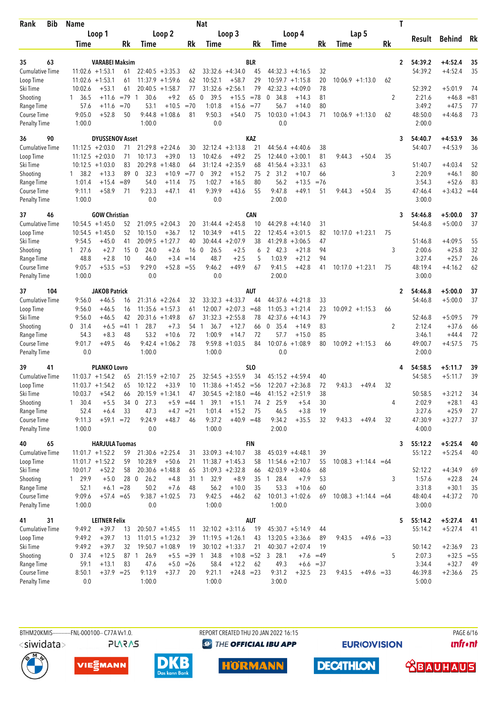| <b>Bib</b><br>Rank                  | <b>Name</b>    |                                          |                 |                      |                                          |                   | <b>Nat</b>           |                              |                 |                              |                    |          |                        |           | T            |                   |                      |          |
|-------------------------------------|----------------|------------------------------------------|-----------------|----------------------|------------------------------------------|-------------------|----------------------|------------------------------|-----------------|------------------------------|--------------------|----------|------------------------|-----------|--------------|-------------------|----------------------|----------|
|                                     |                | Loop 1                                   |                 |                      | Loop 2                                   |                   |                      | Loop 3                       |                 |                              | Loop 4             |          | Lap 5                  |           |              |                   |                      |          |
|                                     | Time           |                                          | Rk              | Time                 |                                          | Rk                | <b>Time</b>          |                              | Rk              | Time                         |                    | Rk       | Time                   | <b>Rk</b> |              | Result            | Behind               | Rk       |
|                                     |                |                                          |                 |                      |                                          |                   |                      |                              |                 |                              |                    |          |                        |           |              |                   |                      |          |
| 63<br>35                            |                | VARABEI Maksim                           |                 |                      |                                          |                   |                      |                              | BLR             |                              |                    |          |                        |           | $\mathbf{2}$ | 54:39.2           | $+4:52.4$            | 35       |
| <b>Cumulative Time</b><br>Loop Time |                | $11:02.6 + 1:53.1$<br>$11:02.6 + 1:53.1$ | 61<br>61        |                      | $22:40.5 + 3:35.3$<br>$11:37.9 + 1:59.6$ | 62<br>62          | 10:52.1              | $33:32.6 +4:34.0$<br>$+58.7$ | 45<br>29        | $44:32.3 +4:16.5$<br>10:59.7 | $+1:15.8$          | 32<br>20 | $10:06.9 + 1:13.0$     | 62        |              | 54:39.2           | $+4:52.4$            | 35       |
| Ski Time                            | 10:02.6        | $+53.1$                                  | 61              |                      | $20:40.5 + 1:58.7$                       | 77                |                      | $31:32.6 +2:56.1$            | 79              | 42:32.3                      | $+4:09.0$          | 78       |                        |           |              | 52:39.2           | $+5:01.9$            | 74       |
| Shooting                            | 36.5<br>1      | +11.6                                    | $=79$           | 30.6<br>-1           | $+9.2$                                   | 65                | 39.5<br>0            | $+15.5$                      | $= 78$          | 0<br>34.8                    | $+14.3$            | 81       |                        | 2         |              | 2:21.6            | $+46.8$              | $= 81$   |
| Range Time                          | 57.6           | $+11.6$                                  | $=70$           | 53.1                 | $+10.5$                                  | $=70$             | 1:01.8               | $+15.6$                      | $= 77$          | 56.7                         | $+14.0$            | 80       |                        |           |              | 3:49.2            | $+47.5$              | 77       |
| Course Time                         | 9:05.0         | $+52.8$                                  | 50              | 9:44.8               | $+1:08.6$                                | 81                | 9:50.3               | $+54.0$                      | 75              | 10:03.0                      | $+1:04.3$          | 71       | $10:06.9 + 1:13.0$     | 62        |              | 48:50.0           | $+4:46.8$            | 73       |
| <b>Penalty Time</b>                 | 1:00.0         |                                          |                 | 1:00.0               |                                          |                   | 0.0                  |                              |                 | 0.0                          |                    |          |                        |           |              | 2:00.0            |                      |          |
| 36<br>90                            |                | <b>DYUSSENOV Asset</b>                   |                 |                      |                                          |                   |                      |                              | KAZ             |                              |                    |          |                        |           | 3            | 54:40.7           | $+4:53.9$            | 36       |
| <b>Cumulative Time</b>              |                | $11:12.5 + 2:03.0$                       | 71              |                      | $21:29.8 + 2:24.6$                       | 30                |                      | $32:12.4 + 3:13.8$           | 21              |                              | $44:56.4 +4:40.6$  | 38       |                        |           |              | 54:40.7           | $+4:53.9$            | 36       |
| Loop Time                           |                | $11:12.5 + 2:03.0$                       | 71              | 10:17.3              | $+39.0$                                  | 13                | 10:42.6              | $+49.2$                      | 25              | 12:44.0                      | $+3:00.1$          | 81       | $+50.4$<br>9:44.3      | 35        |              |                   |                      |          |
| Ski Time                            |                | $10:12.5 + 1:03.0$                       | 83              | 20:29.8              | $+1:48.0$                                | 64                |                      | $31:12.4 +2:35.9$            | 68              | 41:56.4                      | $+3:33.1$          | 63       |                        |           |              | 51:40.7           | $+4:03.4$            | 52       |
| Shooting                            | 38.2<br>1      | $+13.3$                                  | 89              | 32.3<br>$\mathbf 0$  | $+10.9$                                  | $= 77$            | 39.2<br>$\mathbf 0$  | $+15.2$                      | 75              | 2 31.2                       | $+10.7$            | 66       |                        | 3         |              | 2:20.9            | $+46.1$              | 80       |
| Range Time                          | 1:01.4         | $+15.4$                                  | $= 89$          | 54.0                 | $+11.4$                                  | 75                | 1:02.7               | $+16.5$                      | 80              | 56.2                         | $+13.5$            | $=76$    |                        |           |              | 3:54.3            | $+52.6$              | 83       |
| Course Time                         | 9:11.1         | $+58.9$                                  | 71              | 9:23.3               | $+47.1$                                  | 41                | 9:39.9               | $+43.6$                      | 55              | 9:47.8                       | $+49.1$            | 51       | 9:44.3<br>$+50.4$      | 35        |              | 47:46.4           | $+3:43.2 = 44$       |          |
| <b>Penalty Time</b>                 | 1:00.0         |                                          |                 | 0.0                  |                                          |                   | 0.0                  |                              |                 | 2:00.0                       |                    |          |                        |           |              | 3:00.0            |                      |          |
| 37<br>46                            |                | <b>GOW Christian</b>                     |                 |                      |                                          |                   |                      |                              | <b>CAN</b>      |                              |                    |          |                        |           | 3            | 54:46.8           | $+5:00.0$            | 37       |
| <b>Cumulative Time</b>              |                | $10:54.5 + 1:45.0$                       | 52              |                      | $21:09.5 + 2:04.3$                       | 20                |                      | $31:44.4 + 2:45.8$           | 10              | $44:29.8 + 4:14.0$           |                    | 31       |                        |           |              | 54:46.8           | $+5:00.0$            | 37       |
| Loop Time                           |                | $10:54.5 + 1:45.0$                       | 52              | 10:15.0              | $+36.7$                                  | 12                | 10:34.9              | $+41.5$                      | 22              | 12:45.4                      | $+3:01.5$          | 82       | $10:17.0 + 1:23.1$     | 75        |              |                   |                      |          |
| Ski Time                            | 9:54.5         | $+45.0$                                  | 41              |                      | $20:09.5 + 1:27.7$                       | 40                |                      | $30:44.4 + 2:07.9$           | 38              | 41:29.8                      | $+3:06.5$          | 47       |                        |           |              | 51:46.8           | $+4:09.5$            | 55       |
| Shooting                            | $1 \t27.6$     | $+2.7$                                   | 15 <sub>0</sub> | 24.0                 | $+2.6$                                   | 16 <sub>0</sub>   | 26.5                 | $+2.5$                       | 6               | 2 42.3                       | $+21.8$            | 94       |                        | 3         |              | 2:00.6            | $+25.8$              | 32       |
| Range Time                          | 48.8           | $+2.8$                                   | 10              | 46.0                 | $+3.4$                                   | $=14$             | 48.7                 | $+2.5$                       | 5               | 1:03.9                       | $+21.2$            | 94       |                        |           |              | 3:27.4            | $+25.7$              | 26       |
| Course Time                         | 9:05.7         | $+53.5$                                  | $= 53$          | 9:29.0               | $+52.8 = 55$                             |                   | 9:46.2               | $+49.9$                      | 67              | 9:41.5                       | $+42.8$            | 41       | $10:17.0 + 1:23.1$     | 75        |              | 48:19.4           | $+4:16.2$            | 62       |
| <b>Penalty Time</b>                 | 1:00.0         |                                          |                 | 0.0                  |                                          |                   | 0.0                  |                              |                 | 2:00.0                       |                    |          |                        |           |              | 3:00.0            |                      |          |
| 104<br>37                           |                | <b>JAKOB Patrick</b>                     |                 |                      |                                          |                   |                      |                              | AUT             |                              |                    |          |                        |           | 2            | 54:46.8           | $+5:00.0$            | 37       |
| <b>Cumulative Time</b>              | 9:56.0         | $+46.5$                                  | 16              |                      | $21:31.6 + 2:26.4$                       | 32                |                      | $33:32.3 + 4:33.7$           | 44              |                              | $44:37.6 + 4:21.8$ | 33       |                        |           |              | 54:46.8           | $+5:00.0$            | 37       |
| Loop Time                           | 9:56.0         | $+46.5$                                  | 16              |                      | $11:35.6 + 1:57.3$                       | 61                |                      | $12:00.7 + 2:07.3$           | $=68$           | 11:05.3                      | $+1:21.4$          | 23       | $10:09.2 + 1:15.3$     | 66        |              |                   |                      |          |
| Ski Time                            | 9:56.0         | $+46.5$                                  | 42              |                      | $20:31.6 + 1:49.8$                       | 67                | 31:32.3              | $+2:55.8$                    | 78              | 42:37.6                      | $+4:14.3$          | 79       |                        |           |              | 52:46.8           | $+5:09.5$            | 79       |
| Shooting                            | 0<br>31.4      | $+6.5$                                   | $=41$           | 28.7<br>$\mathbf{1}$ | $+7.3$                                   | 54                | 36.7<br>$\mathbf{1}$ | $+12.7$                      | 66              | 0<br>- 35.4                  | $+14.9$            | 83       |                        | 2         |              | 2:12.4            | $+37.6$              | 66       |
| Range Time                          | 54.3           | $+8.3$                                   | 48              | 53.2                 | $+10.6$                                  | 72                | 1:00.9               | $+14.7$                      | 72              | 57.7                         | $+15.0$            | 85       |                        |           |              | 3:46.1            | $+44.4$              | 72       |
| Course Time                         | 9:01.7<br>0.0  | $+49.5$                                  | 46              | 9:42.4<br>1:00.0     | $+1:06.2$                                | 78                | 9:59.8               | $+1:03.5$                    | 84              | 10:07.6<br>0.0               | $+1:08.9$          | 80       | $10:09.2 +1:15.3$      | 66        |              | 49:00.7<br>2:00.0 | $+4:57.5$            | 75       |
| <b>Penalty Time</b>                 |                |                                          |                 |                      |                                          |                   | 1:00.0               |                              |                 |                              |                    |          |                        |           |              |                   |                      |          |
| 41<br>39                            |                | <b>PLANKO Lovro</b>                      |                 |                      |                                          |                   |                      |                              | SL <sub>0</sub> |                              |                    |          |                        |           |              | 54:58.5           | $+5:11.7$            | 39       |
| <b>Cumulative Time</b>              |                | $11:03.7 + 1:54.2$                       | 65              |                      | $21:15.9 + 2:10.7$                       | 25                |                      | $32:54.5 + 3:55.9$           | 34              | $45:15.2 +4:59.4$            |                    | 40       |                        |           |              | 54:58.5           | $+5:11.7$            | 39       |
| Loop Time                           |                | $11:03.7 + 1:54.2$                       | 65              | 10:12.2              | $+33.9$                                  | 10                |                      | $11:38.6 + 1:45.2 = 56$      |                 | $12:20.7 + 2:36.8$           |                    | 72       | 9:43.3<br>$+49.4$      | 32        |              |                   |                      |          |
| Ski Time                            | 10:03.7        | $+54.2$                                  | 66              |                      | $20:15.9 + 1:34.1$                       | 47                |                      | $30:54.5 +2:18.0 = 46$       |                 | $41:15.2 +2:51.9$            |                    | 38       |                        |           |              | 50:58.5           | $+3:21.2$            | 34       |
| Shooting                            | $1 \quad 30.4$ | $+5.5$                                   | 34 0            | 27.3                 | $+5.9$                                   | $=44$             | 39.1<br>1            | $+15.1$                      | 74              | 2 25.9                       | $+5.4$             | 30       |                        | 4         |              | 2:02.9            | $+28.1$              | 43       |
| Range Time<br>Course Time           | 52.4<br>9:11.3 | $+6.4$<br>$+59.1 = 72$                   | 33              | 47.3<br>9:24.9       | $+48.7$                                  | $+4.7 = 21$<br>46 | 1:01.4<br>9:37.2     | $+15.2$<br>$+40.9 = 48$      | 75              | 46.5<br>9:34.2               | $+3.8$<br>$+35.5$  | 19<br>32 | 9:43.3<br>$+49.4$      | 32        |              | 3:27.6<br>47:30.9 | $+25.9$<br>$+3:27.7$ | 27<br>37 |
| <b>Penalty Time</b>                 | 1:00.0         |                                          |                 | 0.0                  |                                          |                   | 1:00.0               |                              |                 | 2:00.0                       |                    |          |                        |           |              | 4:00.0            |                      |          |
| 65<br>40                            |                | <b>HARJULA Tuomas</b>                    |                 |                      |                                          |                   |                      |                              | <b>FIN</b>      |                              |                    |          |                        |           | 3            | 55:12.2           | $+5:25.4$            | 40       |
| Cumulative Time                     |                | $11:01.7 + 1:52.2$                       | 59              |                      | $21:30.6 + 2:25.4$                       | 31                |                      | $33:09.3 +4:10.7$            | 38              | $45:03.9 +4:48.1$            |                    | 39       |                        |           |              | 55:12.2           | $+5:25.4$            | 40       |
| Loop Time                           |                | $11:01.7 + 1:52.2$                       | 59              | 10:28.9              | $+50.6$                                  | 21                |                      | $11:38.7 + 1:45.3$           | 58              | $11:54.6 + 2:10.7$           |                    | 55       | $10:08.3 +1:14.4 = 64$ |           |              |                   |                      |          |
| Ski Time                            | 10:01.7        | $+52.2$                                  | 58              |                      | $20:30.6 +1:48.8$                        | 65                |                      | $31:09.3 + 2:32.8$           | 66              | $42:03.9 + 3:40.6$           |                    | 68       |                        |           |              | 52:12.2           | $+4:34.9$            | 69       |
| Shooting                            | 1 29.9         | $+5.0$                                   | 28 0            | 26.2                 | $+4.8$                                   |                   | 31 1<br>32.9         | $+8.9$                       |                 | 35 1 28.4                    | $+7.9$             | 53       |                        | 3         |              | 1:57.6            | $+22.8$              | 24       |
| Range Time                          | 52.1           |                                          | $+6.1 = 28$     | 50.2                 | $+7.6$                                   | 48                | 56.2                 | $+10.0$                      | 35              | 53.3                         | $+10.6$            | 60       |                        |           |              | 3:31.8            | $+30.1$              | 35       |
| Course Time                         | 9:09.6         | $+57.4 = 65$                             |                 |                      | $9:38.7 +1:02.5$                         | 73                | 9:42.5               | $+46.2$                      | 62              |                              | $10:01.3 +1:02.6$  | 69       | $10:08.3 +1:14.4 = 64$ |           |              | 48:40.4           | $+4:37.2$            | 70       |
| <b>Penalty Time</b>                 | 1:00.0         |                                          |                 | 0.0                  |                                          |                   | 1:00.0               |                              |                 | 1:00.0                       |                    |          |                        |           |              | 3:00.0            |                      |          |
| 31<br>41                            |                | <b>LEITNER Felix</b>                     |                 |                      |                                          |                   |                      |                              | AUT             |                              |                    |          |                        |           | 5            | 55:14.2           | $+5:27.4$            | 41       |
| Cumulative Time                     | 9:49.2         | $+39.7$                                  | 13              |                      | $20:50.7 +1:45.5$                        | 11                |                      | $32:10.2 + 3:11.6$           | 19              | $45:30.7 + 5:14.9$           |                    | 44       |                        |           |              | 55:14.2           | $+5:27.4$            | 41       |
| Loop Time                           | 9:49.2         | $+39.7$                                  | 13              |                      | $11:01.5 +1:23.2$                        | 39                |                      | $11:19.5 + 1:26.1$           | 43              |                              | $13:20.5 + 3:36.6$ | 89       | 9:43.5<br>$+49.6 = 33$ |           |              |                   |                      |          |
| Ski Time                            | 9:49.2         | $+39.7$                                  | 32              |                      | $19:50.7 + 1:08.9$                       | 19                |                      | $30:10.2 + 1:33.7$           | 21              |                              | $40:30.7 + 2:07.4$ | 19       |                        |           |              | 50:14.2           | $+2:36.9$            | 23       |
| Shooting                            | $0$ 37.4       | $+12.5$                                  | 87 1            | 26.9                 |                                          | $+5.5 = 39$ 1     | 34.8                 |                              |                 | $+10.8$ = 52 3 28.1          | $+7.6$             | $=49$    |                        | 5         |              | 2:07.3            | $+32.5 = 55$         |          |
| Range Time                          | 59.1           | $+13.1$                                  | 83              | 47.6                 |                                          | $+5.0 = 26$       | 58.4                 | $+12.2$                      | 62              | 49.3                         | $+6.6 = 37$        |          |                        |           |              | 3:34.4            | $+32.7$              | 49       |
| Course Time                         | 8:50.1         | $+37.9 = 25$                             |                 | 9:13.9               | $+37.7$                                  | 20                | 9:21.1               | $+24.8 = 23$                 |                 | 9:31.2                       | $+32.5$            | 23       | 9:43.5<br>$+49.6 = 33$ |           |              | 46:39.8           | $+2:36.6$            | -25      |
| <b>Penalty Time</b>                 | 0.0            |                                          |                 | 1:00.0               |                                          |                   | 1:00.0               |                              |                 | 3:00.0                       |                    |          |                        |           |              | 5:00.0            |                      |          |





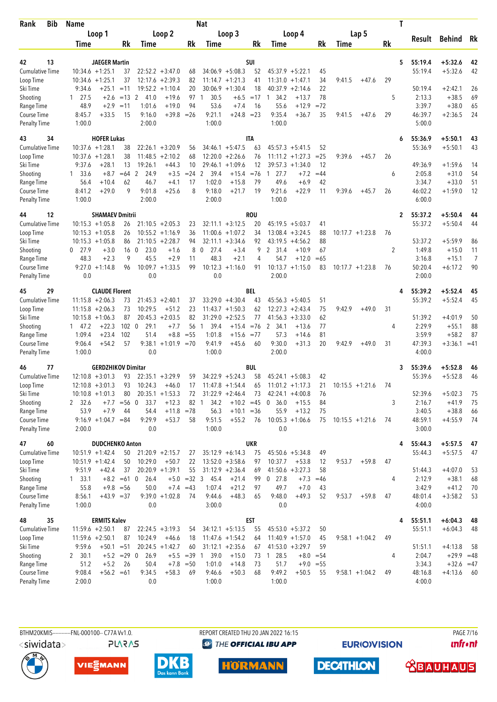| Bib<br>Rank                         | Name             |                                              |               |                         |                                          |                     | Nat                  |                                          |            |                               |             |          |                    |                    |           | T            |                    |                        |                |
|-------------------------------------|------------------|----------------------------------------------|---------------|-------------------------|------------------------------------------|---------------------|----------------------|------------------------------------------|------------|-------------------------------|-------------|----------|--------------------|--------------------|-----------|--------------|--------------------|------------------------|----------------|
|                                     |                  | Loop 1                                       |               |                         | Loop 2                                   |                     |                      | Loop 3                                   |            |                               | Loop 4      |          |                    | Lap 5              |           |              |                    |                        |                |
|                                     | Time             |                                              | Rk            | Time                    |                                          | Rk                  | Time                 |                                          | Rk         | Time                          |             | Rk       | Time               |                    | <b>Rk</b> |              | Result             | Behind                 | Rk             |
|                                     |                  |                                              |               |                         |                                          |                     |                      |                                          |            |                               |             |          |                    |                    |           |              |                    |                        |                |
| 13<br>42                            |                  | <b>JAEGER Martin</b>                         |               |                         |                                          |                     |                      |                                          | SUI        |                               |             |          |                    |                    |           | 5            | 55:19.4            | $+5:32.6$              | 42             |
| <b>Cumulative Time</b><br>Loop Time |                  | $10:34.6 + 1:25.1$<br>$10:34.6 + 1:25.1$     | 37<br>37      |                         | $22:52.2 + 3:47.0$<br>$12:17.6 + 2:39.3$ | 68<br>82            |                      | $34:06.9 + 5:08.3$<br>$11:14.7 + 1:21.3$ | 52<br>41   | $45:37.9 + 5:22.1$<br>11:31.0 | $+1:47.1$   | 45<br>34 | 9:41.5             | $+47.6$            | 29        |              | 55:19.4            | $+5:32.6$              | 42             |
| Ski Time                            | 9:34.6           | $+25.1$                                      | $=11$         | 19:52.2                 | $+1:10.4$                                | 20                  |                      | $30:06.9 +1:30.4$                        | 18         | 40:37.9                       | $+2:14.6$   | 22       |                    |                    |           |              | 50:19.4            | $+2:42.1$              | 26             |
| Shooting                            | $1 \quad 27.5$   | $+2.6$                                       | $=13$ 2       | 41.0                    | $+19.6$                                  | 97                  | 30.5<br>-1           | $+6.5$                                   | $=17$      | 34.2<br>1                     | $+13.7$     | 78       |                    |                    | 5         |              | 2:13.3             | $+38.5$                | 69             |
| Range Time                          | 48.9             | $+2.9$                                       | $=11$         | 1:01.6                  | $+19.0$                                  | 94                  | 53.6                 | $+7.4$                                   | 16         | 55.6                          | $+12.9$     | $=72$    |                    |                    |           |              | 3:39.7             | $+38.0$                | 65             |
| Course Time                         | 8:45.7           | $+33.5$                                      | 15            | 9:16.0                  | $+39.8$                                  | $=26$               | 9:21.1               | $+24.8 = 23$                             |            | 9:35.4                        | $+36.7$     | 35       | 9:41.5             | $+47.6$            | 29        |              | 46:39.7            | $+2:36.5$              | 24             |
| <b>Penalty Time</b>                 | 1:00.0           |                                              |               | 2:00.0                  |                                          |                     | 1:00.0               |                                          |            | 1:00.0                        |             |          |                    |                    |           |              | 5:00.0             |                        |                |
| 43<br>34                            |                  | <b>HOFER Lukas</b>                           |               |                         |                                          |                     |                      |                                          | ITA        |                               |             |          |                    |                    |           | 6            | 55:36.9            | $+5:50.1$              | 43             |
| <b>Cumulative Time</b>              |                  | $10:37.6 + 1:28.1$                           | 38            |                         | $22:26.1 + 3:20.9$                       | 56                  |                      | $34:46.1 + 5:47.5$                       | 63         | $45:57.3 + 5:41.5$            |             | 52       |                    |                    |           |              | 55:36.9            | $+5:50.1$              | 43             |
| Loop Time                           |                  | $10:37.6 + 1:28.1$                           | 38            | 11:48.5                 | $+2:10.2$                                | 68                  |                      | $12:20.0 + 2:26.6$                       | 76         | $11:11.2 + 1:27.3$            |             | $= 25$   | 9:39.6             | $+45.7$            | 26        |              |                    |                        |                |
| Ski Time                            | 9:37.6           | $+28.1$                                      | 13            | 19:26.1                 | $+44.3$                                  | 10                  |                      | $29:46.1 + 1:09.6$                       | 12         | 39:57.3                       | $+1:34.0$   | 12       |                    |                    |           |              | 49:36.9            | $+1:59.6$              | 14             |
| Shooting                            | $1 \quad 33.6$   | $+8.7$                                       | $=64$         | 2<br>24.9               | $+3.5$                                   | $= 24$              | 2<br>39.4            | $+15.4$                                  | $= 76$     | 27.7<br>$\overline{1}$        | $+7.2$      | $=44$    |                    |                    | 6         |              | 2:05.8             | $+31.0$                | 54             |
| Range Time                          | 56.4             | $+10.4$                                      | 62            | 46.7                    | $+4.1$                                   | 17                  | 1:02.0               | $+15.8$                                  | 79         | 49.6                          | $+6.9$      | 42       |                    |                    |           |              | 3:34.7             | $+33.0$                | 51             |
| Course Time                         | 8:41.2           | $+29.0$                                      | 9             | 9:01.8                  | $+25.6$                                  | 8                   | 9:18.0               | $+21.7$                                  | 19         | 9:21.6                        | $+22.9$     | 11       | 9:39.6             | $+45.7$            | 26        |              | 46:02.2            | $+1:59.0$              | 12             |
| <b>Penalty Time</b>                 | 1:00.0           |                                              |               | 2:00.0                  |                                          |                     | 2:00.0               |                                          |            | 1:00.0                        |             |          |                    |                    |           |              | 6:00.0             |                        |                |
| 12<br>44                            |                  | <b>SHAMAEV Dmitrii</b>                       |               |                         |                                          |                     |                      |                                          | <b>ROU</b> |                               |             |          |                    |                    |           | $\mathbf{2}$ | 55:37.2            | $+5:50.4$              | 44             |
| <b>Cumulative Time</b>              |                  | $10:15.3 + 1:05.8$                           | 26            |                         | $21:10.5 + 2:05.3$                       | 23                  |                      | $32:11.1 + 3:12.5$                       | 20         | $45:19.5 + 5:03.7$            |             | 41       |                    |                    |           |              | 55:37.2            | $+5:50.4$              | 44             |
| Loop Time                           |                  | $10:15.3 + 1:05.8$                           | 26            |                         | $10:55.2 + 1:16.9$                       | 36                  |                      | $11:00.6 + 1:07.2$                       | 34         | 13:08.4                       | $+3:24.5$   | 88       |                    | $10:17.7 + 1:23.8$ | 76        |              |                    |                        |                |
| Ski Time                            |                  | $10:15.3 + 1:05.8$                           | 86            |                         | $21:10.5 + 2:28.7$                       | 94                  |                      | $32:11.1 + 3:34.6$                       | 92         | 43:19.5                       | $+4:56.2$   | 88       |                    |                    |           |              | 53:37.2            | $+5:59.9$              | 86             |
| Shooting                            | $0$ 27.9         | $+3.0$                                       |               | 16 <sub>0</sub><br>23.0 | $+1.6$                                   | 8                   | $\mathbf 0$<br>27.4  | $+3.4$                                   | 9          | 2 31.4                        | $+10.9$     | 67       |                    |                    | 2         |              | 1:49.8             | $+15.0$                | 11             |
| Range Time                          | 48.3             | $+2.3$                                       | 9             | 45.5                    | $+2.9$                                   | 11                  | 48.3                 | $+2.1$                                   | 4          | 54.7                          | $+12.0$     | $=65$    |                    |                    |           |              | 3:16.8             | $+15.1$                | $\overline{7}$ |
| Course Time                         |                  | $9:27.0 +1:14.8$                             | 96            |                         | $10:09.7 + 1:33.5$                       | 99                  | 10:12.3              | $+1:16.0$                                | 91         | $10:13.7 + 1:15.0$            |             | 83       | $10:17.7 + 1:23.8$ |                    | 76        |              | 50:20.4            | $+6:17.2$              | 90             |
| <b>Penalty Time</b>                 | 0.0              |                                              |               | 0.0                     |                                          |                     | 0.0                  |                                          |            | 2:00.0                        |             |          |                    |                    |           |              | 2:00.0             |                        |                |
| 29<br>45                            |                  | <b>CLAUDE Florent</b>                        |               |                         |                                          |                     |                      |                                          | BEL        |                               |             |          |                    |                    |           | 4            | 55:39.2            | $+5:52.4$              | 45             |
| <b>Cumulative Time</b>              |                  | $11:15.8 + 2:06.3$                           | 73            |                         | $21:45.3 + 2:40.1$                       | 37                  |                      | $33:29.0 +4:30.4$                        | 43         | $45:56.3 + 5:40.5$            |             | 51       |                    |                    |           |              | 55:39.2            | $+5:52.4$              | 45             |
| Loop Time                           |                  | $11:15.8 + 2:06.3$                           | 73            | 10:29.5                 | $+51.2$                                  | 23                  |                      | $11:43.7 + 1:50.3$                       | 62         | 12:27.3                       | $+2:43.4$   | 75       | 9:42.9             | $+49.0$            | 31        |              |                    |                        |                |
| Ski Time                            |                  | $10:15.8 + 1:06.3$                           | 87            |                         | $20:45.3 + 2:03.5$                       | 82                  |                      | $31:29.0 + 2:52.5$                       | 77         | 41:56.3                       | $+3:33.0$   | 62       |                    |                    |           |              | 51:39.2            | $+4:01.9$              | 50             |
| Shooting                            | 147.2            | $+22.3$                                      | $102 \ 0$     | 29.1                    | $+7.7$                                   | 56                  | 39.4<br>$\mathbf{1}$ | $+15.4$                                  | $= 76$     | $\mathbf{2}$<br>34.1          | $+13.6$     | 77       |                    |                    | 4         |              | 2:29.9             | $+55.1$                | 88             |
| Range Time                          | 1:09.4           | $+23.4$                                      | 102           | 51.4                    | $+8.8$                                   | $= 55$              | 1:01.8               | $+15.6 = 77$                             |            | 57.3                          | $+14.6$     | 81       |                    |                    |           |              | 3:59.9             | $+58.2$                | 87             |
| Course Time<br><b>Penalty Time</b>  | 9:06.4<br>1:00.0 | $+54.2$                                      | 57            | 9:38.1<br>0.0           | $+1:01.9$ =70                            |                     | 9:41.9<br>1:00.0     | $+45.6$                                  | 60         | 9:30.0<br>2:00.0              | $+31.3$     | 20       | 9:42.9             | $+49.0$            | 31        |              | 47:39.3<br>4:00.0  | $+3:36.1 = 41$         |                |
|                                     |                  |                                              |               |                         |                                          |                     |                      |                                          |            |                               |             |          |                    |                    |           |              |                    |                        |                |
| 77<br>46                            |                  | <b>GERDZHIKOV Dimitar</b>                    |               |                         |                                          |                     |                      |                                          | BUL        |                               |             |          |                    |                    |           | 3            | 55:39.6            | $+5:52.8$              | 46             |
| <b>Cumulative Time</b>              |                  | $12:10.8 + 3:01.3$                           | 93            |                         | $22:35.1 + 3:29.9$                       | 59                  |                      | $34:22.9 + 5:24.3$                       | 58         | $45:24.1 + 5:08.3$            |             | 42       |                    |                    |           |              | 55:39.6            | $+5:52.8$              | 46             |
| Loop Time                           |                  | $12:10.8 + 3:01.3$                           | 93            | 10:24.3                 | $+46.0$                                  | 17                  |                      | $11:47.8 + 1:54.4$                       | 65         | $11:01.2 +1:17.3$             |             | 21       | $10:15.5 + 1:21.6$ |                    | 74        |              |                    |                        |                |
| Ski Time                            |                  | $10:10.8 + 1:01.3$                           | 80            |                         | $20:35.1 + 1:53.3$                       | 72                  |                      | $31:22.9 +2:46.4$                        | 73         | $42:24.1 + 4:00.8$            |             | 76       |                    |                    |           |              | 52:39.6            | $+5:02.3$              | 75             |
| Shooting                            | 2 32.6           | $+7.7$                                       | $=$ 56        | 33.7<br>0               | $+12.3$                                  | 82                  | 34.2<br>$\mathbf{1}$ | $+10.2 = 45$                             |            | 36.0<br>0                     | $+15.5$     | 84       |                    |                    | 3         |              | 2:16.7             | $+41.9$                | 75             |
| Range Time<br>Course Time           | 53.9             | $+7.9$<br>$9:16.9 +1:04.7 = 84$              | 44            | 54.4<br>9:29.9          | $+11.8$ =78<br>$+53.7$                   | 58                  | 56.3<br>9:51.5       | $+10.1 = 36$<br>$+55.2$                  | 76         | 55.9<br>$10:05.3 +1:06.6$     | $+13.2$     | 75<br>75 | $10:15.5 + 1:21.6$ |                    | 74        |              | 3:40.5<br>48:59.1  | $+38.8$<br>$+4:55.9$   | 66<br>-74      |
| <b>Penalty Time</b>                 | 2:00.0           |                                              |               | 0.0                     |                                          |                     | 1:00.0               |                                          |            | 0.0                           |             |          |                    |                    |           |              | 3:00.0             |                        |                |
|                                     |                  |                                              |               |                         |                                          |                     |                      |                                          | <b>UKR</b> |                               |             |          |                    |                    |           |              |                    |                        |                |
| 47<br>60<br><b>Cumulative Time</b>  |                  | <b>DUDCHENKO Anton</b><br>$10:51.9 + 1:42.4$ | 50            |                         | $21:20.9 +2:15.7$                        | 27                  |                      | $35:12.9 + 6:14.3$                       | 75         | $45:50.6 + 5:34.8$            |             | 49       |                    |                    |           | 4            | 55:44.3<br>55:44.3 | $+5:57.5$<br>$+5:57.5$ | 47<br>47       |
| Loop Time                           |                  | $10:51.9 + 1:42.4$                           | 50            | 10:29.0                 | $+50.7$                                  | 22                  |                      | $13:52.0 + 3:58.6$                       | 97         | 10:37.7                       | $+53.8$     | 12       | 9:53.7             | $+59.8$            | 47        |              |                    |                        |                |
| Ski Time                            | 9:51.9           | $+42.4$                                      | 37            |                         | $20:20.9 +1:39.1$                        | 55                  |                      | $31:12.9 + 2:36.4$                       | 69         | $41:50.6 + 3:27.3$            |             | 58       |                    |                    |           |              | 51:44.3            | $+4:07.0$              | 53             |
| Shooting                            | 1, 33.1          |                                              | $+8.2 = 61$ 0 | 26.4                    |                                          | $+5.0 = 32 \quad 3$ | 45.4                 | $+21.4$                                  | 99         | $0$ 27.8                      | $+7.3$      | $=46$    |                    |                    | 4         |              | 2:12.9             | $+38.1$                | 68             |
| Range Time                          | 55.8             |                                              | $+9.8 = 56$   | 50.0                    |                                          | $+7.4 = 43$         | 1:07.4               | $+21.2$                                  | 97         | 49.7                          | $+7.0$      | 43       |                    |                    |           |              | 3:42.9             | $+41.2$                | 70             |
| Course Time                         | 8:56.1           | $+43.9 = 37$                                 |               |                         | $9:39.0 +1:02.8$                         | 74                  | 9:44.6               | $+48.3$                                  | 65         | 9:48.0                        | $+49.3$     | 52       | 9:53.7             | $+59.8$            | 47        |              | 48:01.4            | $+3:58.2$              | 53             |
| <b>Penalty Time</b>                 | 1:00.0           |                                              |               | 0.0                     |                                          |                     | 3:00.0               |                                          |            | 0.0                           |             |          |                    |                    |           |              | 4:00.0             |                        |                |
| 35<br>48                            |                  | <b>ERMITS Kalev</b>                          |               |                         |                                          |                     |                      |                                          | <b>EST</b> |                               |             |          |                    |                    |           | 4            | 55:51.1            | $+6:04.3$              | 48             |
| Cumulative Time                     |                  | $11:59.6 + 2:50.1$                           | 87            |                         | $22:24.5 + 3:19.3$                       | 54                  |                      | $34:12.1 + 5:13.5$                       | 55         | $45:53.0 + 5:37.2$            |             | 50       |                    |                    |           |              | 55:51.1            | $+6:04.3$              | 48             |
| Loop Time                           |                  | $11:59.6 + 2:50.1$                           | 87            | 10:24.9                 | $+46.6$                                  | 18                  |                      | $11:47.6 + 1:54.2$                       | 64         | $11:40.9 + 1:57.0$            |             | 45       |                    | $9:58.1 + 1:04.2$  | 49        |              |                    |                        |                |
| Ski Time                            | 9:59.6           | $+50.1 = 51$                                 |               |                         | $20:24.5 +1:42.7$                        | 60                  |                      | $31:12.1 + 2:35.6$                       | 67         | $41:53.0 +3:29.7$             |             | 59       |                    |                    |           |              | 51:51.1            | $+4:13.8$              | 58             |
| Shooting                            | 2, 30.1          |                                              | $+5.2 = 29$ 0 | 26.9                    |                                          | $+5.5 = 39$ 1       | 39.0                 | $+15.0$                                  |            | 73 1 28.5                     | $+8.0 = 54$ |          |                    |                    | 4         |              | 2:04.7             | $+29.9 = 48$           |                |
| Range Time                          | 51.2             | $+5.2$                                       | 26            | 50.4                    |                                          | $+7.8 = 50$         | 1:01.0               | $+14.8$                                  | 73         | 51.7                          | $+9.0 = 55$ |          |                    |                    |           |              | 3:34.3             | $+32.6 = 47$           |                |
| Course Time                         | 9:08.4           | $+56.2 = 61$                                 |               | 9:34.5                  | $+58.3$                                  | 69                  | 9:46.6               | $+50.3$                                  | 68         | 9:49.2                        | $+50.5$     | 55       |                    | $9:58.1 + 1:04.2$  | 49        |              | 48:16.8            | $+4:13.6$              | - 60           |
| <b>Penalty Time</b>                 | 2:00.0           |                                              |               | 0.0                     |                                          |                     | 1:00.0               |                                          |            | 1:00.0                        |             |          |                    |                    |           |              | 4:00.0             |                        |                |



REPORT CREATED THU 20 JAN 2022 16:15 <sup><sup>9</sup> THE OFFICIAL IBU APP</sup>

**EURIOVISION** 

**PAGE 7/16** *<u><u>Infront</u>*</u>







**DECATHLON HORMANN** 

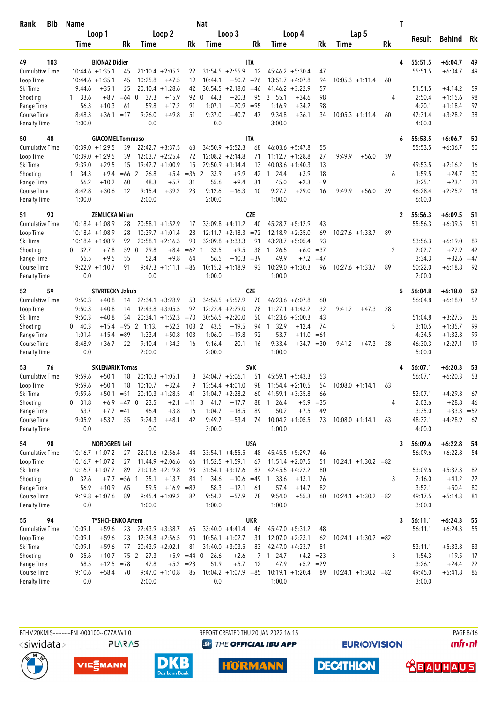| Bib<br>Rank                 | <b>Name</b>            |                               |               |                         |                      |             | Nat                   |                              |              |                                            |             |                         |           | T                 |                        |       |
|-----------------------------|------------------------|-------------------------------|---------------|-------------------------|----------------------|-------------|-----------------------|------------------------------|--------------|--------------------------------------------|-------------|-------------------------|-----------|-------------------|------------------------|-------|
|                             |                        | Loop 1                        |               |                         | Loop 2               |             |                       | Loop 3                       |              | Loop 4                                     |             | Lap 5                   |           |                   |                        |       |
|                             | Time                   |                               | Rk            | Time                    |                      | Rk          | Time                  |                              | Rk           | Time                                       | <b>Rk</b>   | Time                    | <b>Rk</b> | Result            | <b>Behind</b>          | Rk    |
|                             |                        |                               |               |                         |                      |             |                       |                              |              |                                            |             |                         |           |                   |                        |       |
| 103<br>49                   |                        | <b>BIONAZ Didier</b>          |               |                         |                      |             |                       |                              | <b>ITA</b>   |                                            |             |                         |           | 55:51.5<br>4      | $+6:04.7$              | 49    |
| <b>Cumulative Time</b>      |                        | $10:44.6 + 1:35.1$            | 45            |                         | $21:10.4 + 2:05.2$   | 22          |                       | $31:54.5 + 2:55.9$           | 12           | $45:46.2 + 5:30.4$                         | 47          |                         |           | 55:51.5           | $+6:04.7$              | 49    |
| Loop Time                   |                        | $10:44.6 + 1:35.1$<br>$+35.1$ | 45<br>25      | 10:25.8<br>20:10.4      | $+47.5$<br>$+1:28.6$ | 19<br>42    | 10:44.1               | $+50.7$<br>$30:54.5 +2:18.0$ | $=26$        | $13:51.7 + 4:07.8$<br>41:46.2<br>$+3:22.9$ | 94<br>57    | $10:05.3 +1:11.4$       | 60        | 51:51.5           | $+4:14.2$              | 59    |
| Ski Time                    | 9:44.6                 |                               |               |                         |                      |             | 44.3                  |                              | $=46$        | $+34.6$                                    |             |                         |           |                   |                        | 98    |
| Shooting<br>Range Time      | $1 \quad 33.6$<br>56.3 | $+8.7$<br>$+10.3$             | $=64$ 0<br>61 | 37.3<br>59.8            | $+15.9$<br>$+17.2$   | 92<br>91    | $\mathbf 0$<br>1:07.1 | $+20.3$<br>$+20.9$           | 95<br>$= 95$ | 3, 55.1<br>1:16.9<br>$+34.2$               | 98<br>98    |                         | 4         | 2:50.4<br>4:20.1  | $+1:15.6$<br>$+1:18.4$ | 97    |
| Course Time                 | 8:48.3                 | $+36.1 = 17$                  |               | 9:26.0                  | $+49.8$              | 51          | 9:37.0                | $+40.7$                      | 47           | $+36.1$<br>9:34.8                          | 34          | $10:05.3 +1:11.4$       | 60        | 47:31.4           | $+3:28.2$              | 38    |
| Penalty Time                | 1:00.0                 |                               |               | 0.0                     |                      |             | 0.0                   |                              |              | 3:00.0                                     |             |                         |           | 4:00.0            |                        |       |
| 50<br>48                    |                        | <b>GIACOMEL Tommaso</b>       |               |                         |                      |             |                       |                              | <b>ITA</b>   |                                            |             |                         |           | 55:53.5<br>6      | $+6:06.7$              | 50    |
| <b>Cumulative Time</b>      |                        | $10:39.0 + 1:29.5$            | 39            |                         | $22:42.7 + 3:37.5$   | 63          |                       | $34:50.9 + 5:52.3$           | 68           | $46:03.6 + 5:47.8$                         | 55          |                         |           | 55:53.5           | $+6:06.7$              | 50    |
| Loop Time                   |                        | $10:39.0 + 1:29.5$            | 39            |                         | $12:03.7 + 2:25.4$   | 72          |                       | $12:08.2 + 2:14.8$           | 71           | $11:12.7 + 1:28.8$                         | 27          | 9:49.9<br>$+56.0$       | 39        |                   |                        |       |
| Ski Time                    | 9:39.0                 | $+29.5$                       | 15            |                         | $19:42.7 + 1:00.9$   | 15          |                       | $29:50.9 +1:14.4$            | 13           | $40:03.6 +1:40.3$                          | 13          |                         |           | 49:53.5           | $+2:16.2$              | 16    |
| Shooting                    | 1, 34.3                | $+9.4$                        | $=66$         | $\overline{2}$<br>26.8  | $+5.4$               | $= 36$      | 2<br>33.9             | $+9.9$                       | 42           | 24.4<br>$+3.9$<br>$\overline{1}$           | 18          |                         | 6         | 1:59.5            | $+24.7$                | 30    |
| Range Time                  | 56.2                   | $+10.2$                       | 60            | 48.3                    | $+5.7$               | 31          | 55.6                  | $+9.4$                       | 31           | 45.0<br>$+2.3$                             | $=9$        |                         |           | 3:25.1            | $+23.4$                | 21    |
| Course Time                 | 8:42.8                 | $+30.6$                       | 12            | 9:15.4                  | $+39.2$              | 23          | 9:12.6                | $+16.3$                      | 10           | 9:27.7<br>$+29.0$                          | 16          | 9:49.9<br>$+56.0$       | 39        | 46:28.4           | $+2:25.2$              | 18    |
| Penalty Time                | 1:00.0                 |                               |               | 2:00.0                  |                      |             | 2:00.0                |                              |              | 1:00.0                                     |             |                         |           | 6:00.0            |                        |       |
| 93<br>51                    |                        | <b>ZEMLICKA Milan</b>         |               |                         |                      |             |                       |                              | <b>CZE</b>   |                                            |             |                         |           | 55:56.3<br>2      | $+6:09.5$              | 51    |
| <b>Cumulative Time</b>      |                        | $10:18.4 + 1:08.9$            | 28            |                         | $20:58.1 + 1:52.9$   | 17          |                       | $33:09.8 +4:11.2$            | 40           | $45:28.7 + 5:12.9$                         | 43          |                         |           | 55:56.3           | $+6:09.5$              | 51    |
| Loop Time                   |                        | $10:18.4 + 1:08.9$            | 28            |                         | $10:39.7 + 1:01.4$   | 28          |                       | $12:11.7 + 2:18.3 = 72$      |              | $12:18.9 + 2:35.0$                         | 69          | $10:27.6 + 1:33.7$      | 89        |                   |                        |       |
| Ski Time                    |                        | $10:18.4 + 1:08.9$            | 92            |                         | $20:58.1 + 2:16.3$   | 90          |                       | $32:09.8 + 3:33.3$           | 91           | $43:28.7 + 5:05.4$                         | 93          |                         |           | 53:56.3           | $+6:19.0$              | 89    |
| Shooting                    | 0, 32.7                | $+7.8$                        | 59            | $\mathbf{0}$<br>29.8    | $+8.4$               | $=62$ 1     | 33.5                  | $+9.5$                       | 38           | 26.5<br>$\overline{1}$<br>$+6.0$           | $=37$       |                         | 2         | 2:02.7            | $+27.9$                | 42    |
| Range Time                  | 55.5                   | $+9.5$                        | 55            | 52.4                    | $+9.8$               | 64          | 56.5                  | $+10.3$                      | $=39$        | 49.9<br>$+7.2$                             | $=47$       |                         |           | 3:34.3            | $+32.6$                | $=47$ |
| Course Time                 |                        | $9:22.9 +1:10.7$              | 91            | 9:47.3                  | $+1:11.1$            | $=86$       | 10:15.2               | $+1:18.9$                    | 93           | $10:29.0 +1:30.3$                          | 96          | $10:27.6 + 1:33.7$      | 89        | 50:22.0           | $+6:18.8$              | 92    |
| <b>Penalty Time</b>         | 0.0                    |                               |               | 0.0                     |                      |             | 1:00.0                |                              |              | 1:00.0                                     |             |                         |           | 2:00.0            |                        |       |
| 59<br>52                    |                        | <b>STVRTECKY Jakub</b>        |               |                         |                      |             |                       |                              | <b>CZE</b>   |                                            |             |                         |           | 5<br>56:04.8      | $+6:18.0$              | 52    |
| Cumulative Time             | 9:50.3                 | $+40.8$                       | 14            |                         | $22:34.1 + 3:28.9$   | 58          |                       | $34:56.5 + 5:57.9$           | 70           | $46:23.6 + 6:07.8$                         | 60          |                         |           | 56:04.8           | $+6:18.0$              | 52    |
| Loop Time                   | 9:50.3                 | $+40.8$                       | 14            |                         | $12:43.8 + 3:05.5$   | 92          |                       | $12:22.4 + 2:29.0$           | 78           | $11:27.1 + 1:43.2$                         | 32          | 9:41.2<br>$+47.3$       | 28        |                   |                        |       |
| Ski Time                    | 9:50.3                 | $+40.8$                       | 34            |                         | $20:34.1 + 1:52.3$   | $=70$       |                       | $30:56.5 + 2:20.0$           | 50           | 41:23.6<br>$+3:00.3$                       | 43          |                         |           | 51:04.8           | $+3:27.5$              | 36    |
| Shooting                    | $0\quad 40.3$          | $+15.4$                       | $= 95$        | $\overline{2}$<br>1:13. | $+52.2$              | 103         | 2<br>43.5             | $+19.5$                      | 94           | 32.9<br>$\overline{1}$<br>$+12.4$          | 74          |                         | 5         | 3:10.5            | $+1:35.7$              | 99    |
| Range Time                  | 1:01.4                 | $+15.4$                       | $= 89$        | 1:33.4                  | $+50.8$              | 103         | 1:06.0                | $+19.8$                      | 92           | 53.7<br>$+11.0$                            | $=61$       |                         |           | 4:34.5            | $+1:32.8$              | 99    |
| Course Time                 | 8:48.9                 | $+36.7$                       | 22            | 9:10.4                  | $+34.2$              | 16          | 9:16.4                | $+20.1$                      | 16           | 9:33.4<br>$+34.7$                          | $=30$       | 9:41.2<br>$+47.3$       | 28        | 46:30.3           | $+2:27.1$              | 19    |
| <b>Penalty Time</b>         | 0.0                    |                               |               | 2:00.0                  |                      |             | 2:00.0                |                              |              | 1:00.0                                     |             |                         |           | 5:00.0            |                        |       |
| 53<br>76                    |                        | <b>SKLENARIK Tomas</b>        |               |                         |                      |             |                       |                              | <b>SVK</b>   |                                            |             |                         |           | 56:07.1<br>4      | $+6:20.3$              | 53    |
| <b>Cumulative Time</b>      | 9:59.6                 | $+50.1$                       | 18            |                         | $20:10.3 + 1:05.1$   | 8           |                       | $34:04.7 + 5:06.1$           | 51           | $45:59.1 + 5:43.3$                         | 53          |                         |           | 56:07.1           | $+6:20.3$              | 53    |
| Loop Time                   | 9:59.6                 | $+50.1$                       | 18            | 10:10.7                 | $+32.4$              | 9           |                       | $13:54.4 + 4:01.0$           | 98           | $11:54.4 + 2:10.5$                         | 54          | $10:08.0 + 1:14.1$      | 63        |                   |                        |       |
| Ski Time                    | 9:59.6                 | $+50.1 = 51$                  |               |                         | $20:10.3 +1:28.5$    | 41          |                       | $31:04.7 +2:28.2$            | 60           | $41:59.1 + 3:35.8$                         | 66          |                         |           | 52:07.1           | $+4:29.8$              | 67    |
| Shooting                    | $0$ 31.8               |                               | $+6.9 = 47$ 0 | 23.5                    | $+2.1$               | $=11$       | 3<br>41.7             | $+17.7$                      | 88           | 26.4<br>$+5.9$<br>-1                       | $= 35$      |                         | 4         | 2:03.6            | $+28.8$                | 46    |
| Range Time                  | 53.7                   |                               | $+7.7 = 41$   | 46.4                    | $+3.8$               | 16          | 1:04.7                | $+18.5$                      | 89           | 50.2<br>$+7.5$                             | 49          |                         |           | 3:35.0            | $+33.3 = 52$           |       |
| Course Time<br>Penalty Time | 9:05.9<br>0.0          | $+53.7$                       | 55            | 9:24.3<br>0.0           | $+48.1$              | 42          | 9:49.7<br>3:00.0      | $+53.4$                      | 74           | $10:04.2 + 1:05.5$<br>1:00.0               | 73          | $10:08.0 + 1:14.1$      | 63        | 48:32.1<br>4:00.0 | $+4:28.9$              | 67    |
|                             |                        |                               |               |                         |                      |             |                       |                              |              |                                            |             |                         |           |                   |                        |       |
| 54<br>98                    |                        | <b>NORDGREN Leif</b>          |               |                         |                      |             |                       |                              | <b>USA</b>   |                                            |             |                         |           | 56:09.6<br>3      | $+6:22.8$              | 54    |
| Cumulative Time             |                        | $10:16.7 + 1:07.2$            | 27            |                         | $22:01.6 + 2:56.4$   | 44          |                       | $33:54.1 + 4:55.5$           | 48           | $45:45.5 + 5:29.7$                         | 46          |                         |           | 56:09.6           | $+6:22.8$              | 54    |
| Loop Time                   |                        | $10:16.7 + 1:07.2$            | 27            |                         | $11:44.9 + 2:06.6$   | 66          |                       | $11:52.5 + 1:59.1$           | 67           | $11:51.4 +2:07.5$                          | 51          | $10:24.1 + 1:30.2 = 82$ |           |                   |                        |       |
| Ski Time                    |                        | $10:16.7 + 1:07.2$            | 89            |                         | $21:01.6 +2:19.8$    | 93          |                       | $31:54.1 + 3:17.6$           | 87           | $42:45.5 + 4:22.2$                         | 80          |                         |           | 53:09.6           | $+5:32.3$              | 82    |
| Shooting                    | 0 32.6                 |                               | $+7.7 = 56$ 1 | 35.1                    | $+13.7$              |             | 841<br>34.6           | $+10.6 = 49$                 |              | 33.6<br>$+13.1$<br>$\overline{1}$          | 76          |                         | 3         | 2:16.0            | $+41.2$                | 72    |
| Range Time                  | 56.9                   | $+10.9$                       | 65            | 59.5                    | $+16.9 = 89$         |             | 58.3                  | $+12.1$                      | 61           | 57.4<br>$+14.7$                            | 82          |                         |           | 3:52.1            | $+50.4$                | 80    |
| Course Time                 |                        | $9:19.8 + 1:07.6$             | 89            |                         | $9:45.4 +1:09.2$     | 82          | 9:54.2                | $+57.9$                      | 78           | 9:54.0<br>$+55.3$                          | 60          | $10:24.1 + 1:30.2 = 82$ |           | 49:17.5           | $+5:14.3$              | 81    |
| Penalty Time                | 0.0                    |                               |               | 1:00.0                  |                      |             | 1:00.0                |                              |              | 1:00.0                                     |             |                         |           | 3:00.0            |                        |       |
| 94<br>55                    |                        | <b>TYSHCHENKO Artem</b>       |               |                         |                      |             |                       |                              | UKR          |                                            |             |                         |           | 56:11.1<br>3      | $+6:24.3$              | 55    |
| Cumulative Time             | 10:09.1                | $+59.6$                       | 23            |                         | $22:43.9 + 3:38.7$   | 65          |                       | $33:40.0 +4:41.4$            | 46           | $45:47.0 + 5:31.2$                         | 48          |                         |           | 56:11.1           | $+6:24.3$              | 55    |
| Loop Time                   | 10:09.1                | $+59.6$                       | 23            |                         | $12:34.8 + 2:56.5$   | 90          |                       | $10:56.1 + 1:02.7$           | 31           | $12:07.0 + 2:23.1$                         | 62          | $10:24.1 + 1:30.2 = 82$ |           |                   |                        |       |
| Ski Time                    | 10:09.1                | $+59.6$                       | 77            |                         | $20:43.9 + 2:02.1$   | 81          |                       | $31:40.0 + 3:03.5$           | 83           | $42:47.0 +4:23.7$                          | 81          |                         |           | 53:11.1           | $+5:33.8$              | 83    |
| Shooting                    | $0$ 35.6               | $+10.7$                       |               | 75 2<br>27.3            | $+5.9$               | $=44$ 0     | 26.6                  | $+2.6$                       |              | 24.7<br>7 1                                | $+4.2 = 23$ |                         | 3         | 1:54.3            | $+19.5$                | 17    |
| Range Time                  | 58.5                   | $+12.5 = 78$                  |               | 47.8                    |                      | $+5.2 = 28$ | 51.9                  | $+5.7$                       | 12           | 47.9                                       | $+5.2 = 29$ |                         |           | 3:26.1            | $+24.4$                | 22    |
| Course Time                 | 9:10.6                 | $+58.4$                       | 70            |                         | $9:47.0 +1:10.8$     | 85          |                       | $10:04.2 +1:07.9 = 85$       |              | $10:19.1 + 1:20.4$                         | 89          | $10:24.1 + 1:30.2 = 82$ |           | 49:45.0           | $+5:41.8$              | 85    |
| <b>Penalty Time</b>         | 0.0                    |                               |               | 2:00.0                  |                      |             | 0.0                   |                              |              | 1:00.0                                     |             |                         |           | 3:00.0            |                        |       |



REPORT CREATED THU 20 JAN 2022 16:15 <sup><sup>9</sup> THE OFFICIAL IBU APP</sup>

**EURIOVISION** 

**DECATHLON** 

**PAGE 8/16** *<u><u>Infront</u>*</u>





**PLARAS** 





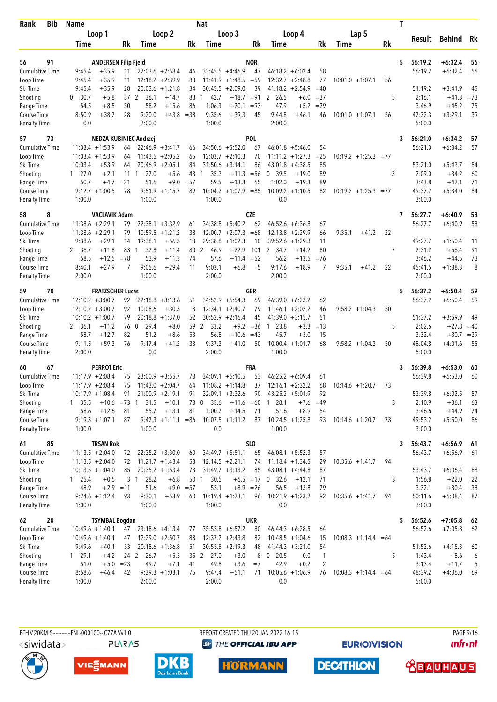| Bib<br>Rank            | <b>Name</b>      |                             |            |                        |                                          |             | Nat                  |                                               |             |                                         |                                     |                         |           | T |                  |                    |              |
|------------------------|------------------|-----------------------------|------------|------------------------|------------------------------------------|-------------|----------------------|-----------------------------------------------|-------------|-----------------------------------------|-------------------------------------|-------------------------|-----------|---|------------------|--------------------|--------------|
|                        |                  | Loop 1                      |            |                        | Loop 2                                   |             |                      | Loop 3                                        |             | Loop 4                                  |                                     | Lap 5                   |           |   |                  |                    |              |
|                        | Time             |                             | Rk         | Time                   |                                          | Rk          | Time                 |                                               | Rk          | Time                                    | Rk                                  | Time                    | <b>Rk</b> |   | Result           | Behind             | Rk           |
|                        |                  |                             |            |                        |                                          |             |                      |                                               |             |                                         |                                     |                         |           |   |                  |                    |              |
| 91<br>56               |                  | <b>ANDERSEN Filip Fjeld</b> |            |                        |                                          |             |                      |                                               | <b>NOR</b>  |                                         |                                     |                         |           | 5 | 56:19.2          | $+6:32.4$          | 56           |
| <b>Cumulative Time</b> | 9:45.4           | $+35.9$                     | 11         |                        | $22:03.6$ +2:58.4                        | 46          |                      | $33:45.5 +4:46.9$                             | 47          | $46:18.2 + 6:02.4$                      | 58                                  |                         |           |   | 56:19.2          | $+6:32.4$          | 56           |
| Loop Time              | 9:45.4<br>9:45.4 | $+35.9$<br>$+35.9$          | 11<br>28   |                        | $12:18.2 + 2:39.9$<br>$20:03.6 + 1:21.8$ | 83<br>34    |                      | $11:41.9 + 1:48.5 = 59$<br>$30:45.5 + 2:09.0$ | 39          | $12:32.7 + 2:48.8$<br>$41:18.2 +2:54.9$ | 77<br>$=40$                         | $10:01.0 + 1:07.1$      | 56        |   | 51:19.2          | $+3:41.9$          | 45           |
| Ski Time               | $\mathbf{0}$     |                             |            |                        |                                          |             |                      |                                               |             | 2 26.5                                  |                                     |                         |           |   |                  |                    |              |
| Shooting<br>Range Time | 30.7<br>54.5     | $+5.8$<br>$+8.5$            | 37 2<br>50 | 36.1<br>58.2           | $+14.7$<br>$+15.6$                       | 88<br>86    | 42.7<br>1:06.3       | $+18.7 = 91$<br>$+20.1$                       | $= 93$      | 47.9                                    | $+6.0$<br>$= 37$<br>$+5.2$<br>$=29$ |                         | 5         |   | 2:16.1<br>3:46.9 | $+41.3$<br>$+45.2$ | $= 73$<br>75 |
| Course Time            | 8:50.9           | $+38.7$                     | 28         | 9:20.0                 | $+43.8$                                  | $=38$       | 9:35.6               | $+39.3$                                       | 45          | 9:44.8<br>$+46.1$                       | 46                                  | $10:01.0 + 1:07.1$      | 56        |   | 47:32.3          | $+3:29.1$          | 39           |
| <b>Penalty Time</b>    | 0.0              |                             |            | 2:00.0                 |                                          |             | 1:00.0               |                                               |             | 2:00.0                                  |                                     |                         |           |   | 5:00.0           |                    |              |
| 73<br>57               |                  | NEDZA-KUBINIEC Andrzej      |            |                        |                                          |             |                      |                                               | <b>POL</b>  |                                         |                                     |                         |           | 3 | 56:21.0          | $+6:34.2$          | 57           |
| <b>Cumulative Time</b> |                  | $11:03.4 +1:53.9$           | 64         |                        | $22:46.9 + 3:41.7$                       | 66          |                      | $34:50.6 + 5:52.0$                            | 67          | $46:01.8 + 5:46.0$                      | 54                                  |                         |           |   | 56:21.0          | $+6:34.2$          | 57           |
| Loop Time              |                  | $11:03.4 +1:53.9$           | 64         |                        | $11:43.5 + 2:05.2$                       | 65          |                      | $12:03.7 + 2:10.3$                            | 70          | $11:11.2 + 1:27.3$                      | $= 25$                              | $10:19.2 + 1:25.3 = 77$ |           |   |                  |                    |              |
| Ski Time               | 10:03.4          | $+53.9$                     | 64         |                        | $20:46.9 + 2:05.1$                       | 84          |                      | $31:50.6 + 3:14.1$                            | 86          | $43:01.8 + 4:38.5$                      | 85                                  |                         |           |   | 53:21.0          | $+5:43.7$          | 84           |
| Shooting               | $1 \quad 27.0$   | $+2.1$                      | 11         | 27.0<br>$\overline{1}$ | $+5.6$                                   | 43          | 35.3<br>1            | $+11.3$                                       | $=$ 56      | 0, 39.5<br>$+19.0$                      | 89                                  |                         | 3         |   | 2:09.0           | $+34.2$            | 60           |
| Range Time             | 50.7             | $+4.7$                      | $= 21$     | 51.6                   | $+9.0$                                   | $= 57$      | 59.5                 | $+13.3$                                       | 65          | 1:02.0<br>$+19.3$                       | 89                                  |                         |           |   | 3:43.8           | $+42.1$            | 71           |
| Course Time            |                  | $9:12.7 +1:00.5$            | 78         |                        | $9:51.9 +1:15.7$                         | 89          |                      | $10:04.2 + 1:07.9 = 85$                       |             | $10:09.2 + 1:10.5$                      | 82                                  | $10:19.2 + 1:25.3 = 77$ |           |   | 49:37.2          | $+5:34.0$          | 84           |
| Penalty Time           | 1:00.0           |                             |            | 1:00.0                 |                                          |             | 1:00.0               |                                               |             | 0.0                                     |                                     |                         |           |   | 3:00.0           |                    |              |
| 8<br>58                |                  | <b>VACLAVIK Adam</b>        |            |                        |                                          |             |                      |                                               | <b>CZE</b>  |                                         |                                     |                         |           | 7 | 56:27.7          | $+6:40.9$          | 58           |
| <b>Cumulative Time</b> |                  | $11:38.6 + 2:29.1$          | 79         |                        | $22:38.1 + 3:32.9$                       | 61          |                      | $34:38.8 + 5:40.2$                            | 62          | $46:52.6 + 6:36.8$                      | 67                                  |                         |           |   | 56:27.7          | $+6:40.9$          | 58           |
| Loop Time              |                  | $11:38.6 + 2:29.1$          | 79         |                        | $10:59.5 + 1:21.2$                       | 38          |                      | $12:00.7 + 2:07.3$                            | $=68$       | $12:13.8 + 2:29.9$                      | 66                                  | 9:35.1<br>$+41.2$       | 22        |   |                  |                    |              |
| Ski Time               | 9:38.6           | $+29.1$                     | 14         | 19:38.1                | $+56.3$                                  | 13          |                      | $29:38.8 + 1:02.3$                            | 10          | $39:52.6 + 1:29.3$                      | 11                                  |                         |           |   | 49:27.7          | $+1:50.4$          | 11           |
| Shooting               | 2 36.7           | $+11.8$                     | 83         | 32.8<br>$\overline{1}$ | $+11.4$                                  | 80 2        | 46.9                 | $+22.9$                                       | 101         | $\mathbf{2}$<br>34.7<br>$+14.2$         | 80                                  |                         | 7         |   | 2:31.2           | $+56.4$            | 91           |
| Range Time             | 58.5             | $+12.5$                     | $= 78$     | 53.9                   | $+11.3$                                  | 74          | 57.6                 | $+11.4$                                       | $= 52$      | 56.2<br>$+13.5$                         | $= 76$                              |                         |           |   | 3:46.2           | $+44.5$            | 73           |
| Course Time            | 8:40.1           | $+27.9$                     | 7          | 9:05.6                 | $+29.4$                                  | 11          | 9:03.1               | $+6.8$                                        | 5           | 9:17.6<br>$+18.9$                       | 7                                   | 9:35.1<br>$+41.2$       | 22        |   | 45:41.5          | $+1:38.3$          | 8            |
| <b>Penalty Time</b>    | 2:00.0           |                             |            | 1:00.0                 |                                          |             | 2:00.0               |                                               |             | 2:00.0                                  |                                     |                         |           |   | 7:00.0           |                    |              |
| 70<br>59               |                  | <b>FRATZSCHER Lucas</b>     |            |                        |                                          |             |                      |                                               | GER         |                                         |                                     |                         |           | 5 | 56:37.2          | $+6:50.4$          | 59           |
| <b>Cumulative Time</b> |                  | $12:10.2 + 3:00.7$          | 92         |                        | $22:18.8 + 3:13.6$                       | 51          |                      | $34:52.9 + 5:54.3$                            | 69          | $46:39.0 + 6:23.2$                      | 62                                  |                         |           |   | 56:37.2          | $+6:50.4$          | 59           |
| Loop Time              |                  | $12:10.2 + 3:00.7$          | 92         | 10:08.6                | $+30.3$                                  | 8           |                      | $12:34.1 + 2:40.7$                            | 79          | $11:46.1 + 2:02.2$                      | 46                                  | $9:58.2 +1:04.3$        | 50        |   |                  |                    |              |
| Ski Time               |                  | $10:10.2 + 1:00.7$          | 79         |                        | $20:18.8 + 1:37.0$                       | 52          |                      | $30:52.9 + 2:16.4$                            | 45          | $41:39.0 + 3:15.7$                      | 51                                  |                         |           |   | 51:37.2          | $+3:59.9$          | 49           |
| Shooting               | 2 36.1           | $+11.2$                     | 76         | $\overline{0}$<br>29.4 | $+8.0$                                   | 59          | $\mathbf{2}$<br>33.2 | $+9.2$                                        | $=36$       | 23.8<br>$\mathbf{1}$                    | $+3.3$<br>$=13$                     |                         | 5         |   | 2:02.6           | $+27.8$            | $=40$        |
| Range Time             | 58.7             | $+12.7$                     | 82         | 51.2                   | $+8.6$                                   | 53          | 56.8                 | $+10.6$                                       | $=43$       | 45.7                                    | $+3.0$<br>15                        |                         |           |   | 3:32.4           | $+30.7$            | $=39$        |
| Course Time            | 9:11.5           | $+59.3$                     | 76         | 9:17.4                 | $+41.2$                                  | 33          | 9:37.3               | $+41.0$                                       | 50          | $10:00.4 + 1:01.7$                      | 68                                  | $9:58.2 + 1:04.3$       | 50        |   | 48:04.8          | $+4:01.6$          | 55           |
| <b>Penalty Time</b>    | 2:00.0           |                             |            | 0.0                    |                                          |             | 2:00.0               |                                               |             | 1:00.0                                  |                                     |                         |           |   | 5:00.0           |                    |              |
| 67<br>60               |                  | <b>PERROT Eric</b>          |            |                        |                                          |             |                      |                                               | FRA         |                                         |                                     |                         |           | 3 | 56:39.8          | $+6:53.0$          | 60           |
| <b>Cumulative Time</b> |                  | $11:17.9 + 2:08.4$          | 75         |                        | $23:00.9 + 3:55.7$                       | 73          |                      | $34:09.1 + 5:10.5$                            | 53          | $46:25.2 + 6:09.4$                      | 61                                  |                         |           |   | 56:39.8          | $+6:53.0$          | 60           |
| Loop Time              |                  | $11:17.9 + 2:08.4$          | 75         |                        | $11:43.0 + 2:04.7$                       | 64          |                      | $11:08.2 +1:14.8$                             | 37          | $12:16.1 + 2:32.2$                      | 68                                  | $10:14.6 + 1:20.7$      | 73        |   |                  |                    |              |
| Ski Time               |                  | $10:17.9 + 1:08.4$          | 91         |                        | $21:00.9 + 2:19.1$                       | 91          |                      | $32:09.1 + 3:32.6$                            | 90          | $43:25.2 + 5:01.9$                      | 92                                  |                         |           |   | 53:39.8          | $+6:02.5$          | 87           |
| Shooting               | 1, 35.5          | $+10.6 = 73$ 1              |            | 31.5                   | $+10.1$                                  | 73 0        | 35.6                 | $+11.6 = 60$                                  |             | 28.1<br>-1                              | $+7.6$<br>$=49$                     |                         | 3         |   | 2:10.9           | $+36.1$            | 63           |
| Range Time             | 58.6             | $+12.6$                     | 81         | 55.7                   | $+13.1$                                  | 81          | 1:00.7               | $+14.5$                                       | 71          | 51.6                                    | $+8.9$<br>54                        |                         |           |   | 3:46.6           | $+44.9$            | 74           |
| Course Time            |                  | $9:19.3 +1:07.1$            | 87         |                        | $9:47.3 +1:11.1 = 86$                    |             |                      | $10:07.5 +1:11.2$                             | 87          | $10:24.5 +1:25.8$                       | 93                                  | $10:14.6 + 1:20.7$      | 73        |   | 49:53.2          | $+5:50.0$          | 86           |
| <b>Penalty Time</b>    | 1:00.0           |                             |            | 1:00.0                 |                                          |             | 0.0                  |                                               |             | 1:00.0                                  |                                     |                         |           |   | 3:00.0           |                    |              |
| 85<br>61               |                  | <b>TRSAN Rok</b>            |            |                        |                                          |             |                      |                                               | <b>SLO</b>  |                                         |                                     |                         |           | 3 | 56:43.7          | $+6:56.9$          | 61           |
| Cumulative Time        |                  | $11:13.5 + 2:04.0$          | 72         |                        | $22:35.2 +3:30.0$                        | 60          |                      | $34:49.7 + 5:51.1$                            | 65          | $46:08.1 + 5:52.3$                      | 57                                  |                         |           |   | 56:43.7          | $+6:56.9$          | 61           |
| Loop Time              |                  | $11:13.5 + 2:04.0$          | 72         |                        | $11:21.7 + 1:43.4$                       | 53          |                      | $12:14.5 + 2:21.1$                            | 74          | $11:18.4 + 1:34.5$                      | 29                                  | $10:35.6 + 1:41.7$      | 94        |   |                  |                    |              |
| Ski Time               |                  | $10:13.5 + 1:04.0$          | 85         |                        | $20:35.2 +1:53.4$                        | 73          |                      | $31:49.7 + 3:13.2$                            | 85          | $43:08.1 + 4:44.8$                      | 87                                  |                         |           |   | 53:43.7          | $+6:06.4$          | 88           |
| Shooting               | 125.4            | $+0.5$                      |            | 3 <sub>1</sub><br>28.2 | $+6.8$                                   |             | 50 1<br>30.5         |                                               |             | $+6.5 = 17$ 0 32.6<br>$+12.1$           | 71                                  |                         | 3         |   | 1:56.8           | $+22.0$            | 22           |
| Range Time             | 48.9             | $+2.9 = 11$                 |            | 51.6                   |                                          | $+9.0 = 57$ | 55.1                 |                                               | $+8.9 = 26$ | 56.5<br>$+13.8$                         | 79                                  |                         |           |   | 3:32.1           | $+30.4$            | 38           |
| Course Time            |                  | $9:24.6 + 1:12.4$           | 93         | 9:30.1                 | $+53.9 = 60$                             |             |                      | $10:19.4 + 1:23.1$                            | 96          | $10:21.9 + 1:23.2$                      | 92                                  | $10:35.6 + 1:41.7$      | 94        |   | 50:11.6          | $+6:08.4$          | 87           |
| <b>Penalty Time</b>    | 1:00.0           |                             |            | 1:00.0                 |                                          |             | 1:00.0               |                                               |             | 0.0                                     |                                     |                         |           |   | 3:00.0           |                    |              |
| 20<br>62               |                  | <b>TSYMBAL Bogdan</b>       |            |                        |                                          |             |                      |                                               | UKR         |                                         |                                     |                         |           | 5 | 56:52.6          | $+7:05.8$          | 62           |
| <b>Cumulative Time</b> |                  | $10:49.6 + 1:40.1$          | 47         |                        | $23:18.6 +4:13.4$                        | 77          |                      | $35:55.8 + 6:57.2$                            | 80          | $46:44.3 + 6:28.5$                      | 64                                  |                         |           |   | 56:52.6          | $+7:05.8$          | 62           |
| Loop Time              |                  | $10:49.6 + 1:40.1$          | 47         |                        | $12:29.0 + 2:50.7$                       | 88          |                      | $12:37.2 +2:43.8$                             | 82          | $10:48.5 + 1:04.6$                      | 15                                  | $10:08.3 +1:14.4 = 64$  |           |   |                  |                    |              |
| Ski Time               | 9:49.6           | $+40.1$                     | 33         |                        | $20:18.6 + 1:36.8$                       | 51          |                      | $30:55.8 + 2:19.3$                            | 48          | $41:44.3 +3:21.0$                       | 54                                  |                         |           |   | 51:52.6          | $+4:15.3$          | 60           |
| Shooting               | 129.1            | $+4.2$                      | 24 2       | 26.7                   | $+5.3$                                   |             | 35 2 27.0            | $+3.0$                                        | 8           | $0$ 20.5                                | 0.0<br>$\mathbf{1}$                 |                         | 5         |   | 1:43.4           | $+8.6$             | 6            |
| Range Time             | 51.0             | $+5.0 = 23$                 |            | 49.7                   | $+7.1$                                   | 41          | 49.8                 | $+3.6$                                        | $=7$        | 42.9                                    | $\overline{2}$<br>$+0.2$            |                         |           |   | 3:13.4           | $+11.7$            | 5            |
| Course Time            | 8:58.6           | $+46.4$                     | 42         |                        | $9:39.3 +1:03.1$                         | 75          | 9:47.4               | $+51.1$                                       | 71          | $10:05.6 + 1:06.9$                      | 76                                  | $10:08.3 +1:14.4 = 64$  |           |   | 48:39.2          | $+4:36.0$          | 69           |
| <b>Penalty Time</b>    | 1:00.0           |                             |            | 2:00.0                 |                                          |             | 2:00.0               |                                               |             | 0.0                                     |                                     |                         |           |   | 5:00.0           |                    |              |

BTHM20KMIS-----------FNL-000100-- C77A Vv1.0. REPORT CREATED THU 20 JAN 2022 16:15 PAGE 9/16 <siwidata>

<sup><sup>9</sup> THE OFFICIAL IBU APP</sup>

**EURIOVISION** 

*<u><u>Infront</u>*</u>





**PLARAS** 



**DECATHLON HORMANN** 

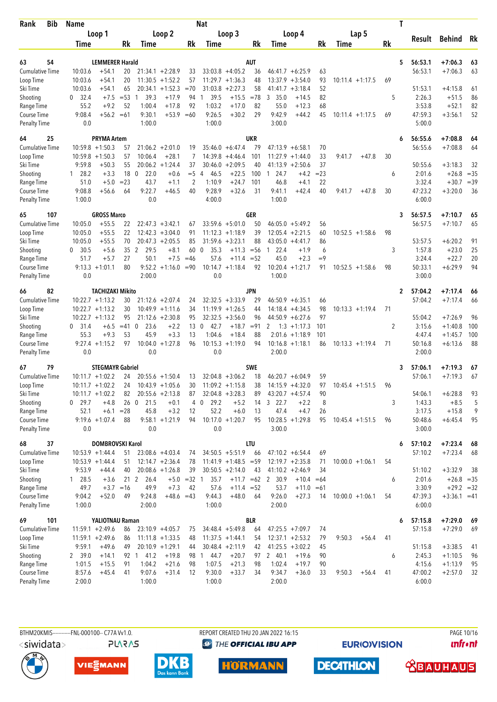| Bib<br>Rank                        | Name               |                                         |             |                         |                                          |                | Nat                  |                                          |            |                                              |              |                    | T            |                   |                |          |
|------------------------------------|--------------------|-----------------------------------------|-------------|-------------------------|------------------------------------------|----------------|----------------------|------------------------------------------|------------|----------------------------------------------|--------------|--------------------|--------------|-------------------|----------------|----------|
|                                    |                    | Loop 1                                  |             |                         | Loop 2                                   |                |                      | Loop 3                                   |            | Loop 4                                       |              | Lap 5              |              |                   |                |          |
|                                    | Time               |                                         | Rk          | Time                    |                                          | Rk             | Time                 |                                          | Rk         | Time                                         | Rk           | Time               | <b>Rk</b>    | Result            | Behind         | Rk       |
|                                    |                    |                                         |             |                         |                                          |                |                      |                                          |            |                                              |              |                    |              |                   |                |          |
| 54<br>63                           |                    | <b>LEMMERER Harald</b>                  |             |                         |                                          |                |                      |                                          | AUT        |                                              |              |                    | 5            | 56:53.1           | $+7:06.3$      | 63       |
| <b>Cumulative Time</b>             | 10:03.6            | $+54.1$                                 | 20          |                         | $21:34.1 + 2:28.9$                       | 33             |                      | $33:03.8 + 4:05.2$                       | 36         | $46:41.7 + 6:25.9$                           | 63           |                    |              | 56:53.1           | $+7:06.3$      | 63       |
| Loop Time<br>Ski Time              | 10:03.6<br>10:03.6 | $+54.1$<br>$+54.1$                      | 20<br>65    |                         | $11:30.5 +1:52.2$<br>$20:34.1 + 1:52.3$  | 57<br>$=70$    |                      | $11:29.7 + 1:36.3$<br>$31:03.8 +2:27.3$  | 48<br>58   | 13:37.9<br>$+3:54.0$<br>41:41.7<br>$+3:18.4$ | 93<br>52     | $10:11.4 + 1:17.5$ | 69           | 51:53.1           | $+4:15.8$      | 61       |
| Shooting                           | 32.4<br>0          | $+7.5$                                  | $= 53$      | 39.3<br>$\mathbf{1}$    | $+17.9$                                  | 94             | 39.5<br>1            | $+15.5$                                  | $= 78$     | 3<br>35.0<br>$+14.5$                         | 82           |                    | 5            | 2:26.3            | $+51.5$        | 86       |
| Range Time                         | 55.2               | $+9.2$                                  | 52          | 1:00.4                  | $+17.8$                                  | 92             | 1:03.2               | $+17.0$                                  | 82         | 55.0<br>$+12.3$                              | 68           |                    |              | 3:53.8            | $+52.1$        | 82       |
| Course Time                        | 9:08.4             | $+56.2 = 61$                            |             | 9:30.1                  | $+53.9$                                  | $=60$          | 9:26.5               | $+30.2$                                  | 29         | 9:42.9<br>$+44.2$                            | 45           | $10:11.4 + 1:17.5$ | 69           | 47:59.3           | $+3:56.1$      | 52       |
| <b>Penalty Time</b>                | 0.0                |                                         |             | 1:00.0                  |                                          |                | 1:00.0               |                                          |            | 3:00.0                                       |              |                    |              | 5:00.0            |                |          |
| 64<br>25                           |                    | <b>PRYMA Artem</b>                      |             |                         |                                          |                |                      |                                          | UKR        |                                              |              |                    | 6            | 56:55.6           | $+7:08.8$      | 64       |
| <b>Cumulative Time</b>             |                    | $10:59.8 + 1:50.3$                      | 57          |                         | $21:06.2 + 2:01.0$                       | 19             |                      | $35:46.0 + 6:47.4$                       | 79         | $47:13.9 + 6:58.1$                           | 70           |                    |              | 56:55.6           | $+7:08.8$      | 64       |
| Loop Time                          |                    | $10:59.8 + 1:50.3$                      | 57          | 10:06.4                 | $+28.1$                                  | 7              |                      | $14:39.8 + 4:46.4$                       | 101        | $11:27.9 + 1:44.0$                           | 33           | $+47.8$<br>9:41.7  | 30           |                   |                |          |
| Ski Time                           | 9:59.8             | $+50.3$                                 | 55          |                         | $20:06.2 + 1:24.4$                       | 37             |                      | $30:46.0 + 2:09.5$                       | 40         | $41:13.9 + 2:50.6$                           | 37           |                    |              | 50:55.6           | $+3:18.3$      | 32       |
| Shooting                           | $1 \quad 28.2$     | $+3.3$                                  | 18          | $\overline{0}$<br>22.0  | $+0.6$                                   | $=$ 5          | 46.5<br>4            | $+22.5$                                  | 100        | 24.7<br>$\overline{1}$<br>$+4.2$             | $= 23$       |                    | 6            | 2:01.6            | $+26.8$        | $= 35$   |
| Range Time                         | 51.0               | $+5.0$                                  | $= 23$      | 43.7                    | $+1.1$                                   | 2              | 1:10.9               | $+24.7$                                  | 101        | 46.8<br>$+4.1$                               | 22           |                    |              | 3:32.4            | $+30.7 = 39$   |          |
| Course Time                        | 9:08.8             | $+56.6$                                 | 64          | 9:22.7                  | +46.5                                    | 40             | 9:28.9               | $+32.6$                                  | 31         | 9:41.1<br>$+42.4$                            | 40           | 9:41.7<br>$+47.8$  | 30           | 47:23.2           | $+3:20.0$      | 36       |
| <b>Penalty Time</b>                | 1:00.0             |                                         |             | 0.0                     |                                          |                | 4:00.0               |                                          |            | 1:00.0                                       |              |                    |              | 6:00.0            |                |          |
| 107<br>65                          |                    | <b>GROSS Marco</b>                      |             |                         |                                          |                |                      |                                          | <b>GER</b> |                                              |              |                    | 3            | 56:57.5           | $+7:10.7$      | 65       |
| <b>Cumulative Time</b>             | 10:05.0            | $+55.5$                                 | 22          |                         | $22:47.3 + 3:42.1$                       | 67             |                      | $33:59.6 + 5:01.0$                       | 50         | $46:05.0 + 5:49.2$                           | 56           |                    |              | 56:57.5           | $+7:10.7$      | 65       |
| Loop Time                          | 10:05.0            | $+55.5$                                 | 22          |                         | $12:42.3 + 3:04.0$                       | 91             |                      | $11:12.3 +1:18.9$                        | 39         | $12:05.4 + 2:21.5$                           | 60           | $10:52.5 + 1:58.6$ | 98           |                   |                |          |
| Ski Time                           | 10:05.0            | $+55.5$                                 | 70          |                         | $20:47.3 + 2:05.5$                       | 85             |                      | $31:59.6 + 3:23.1$                       | 88         | $43:05.0 + 4:41.7$                           | 86           |                    |              | 53:57.5           | $+6:20.2$      | 91       |
| Shooting                           | 30.5<br>0          | $+5.6$                                  | 35          | 2<br>29.5               | $+8.1$                                   | 60             | $\mathbf 0$<br>35.3  | $+11.3$                                  | $= 56$     | 22.4<br>$\mathbf{1}$<br>$+1.9$               | 6            |                    | 3            | 1:57.8            | $+23.0$        | 25       |
| Range Time                         | 51.7               | $+5.7$                                  | 27          | 50.1                    | $+7.5$                                   | $=46$          | 57.6                 | $+11.4$                                  | $= 52$     | 45.0<br>$+2.3$                               | $=9$         |                    |              | 3:24.4            | $+22.7$        | 20       |
| Course Time<br><b>Penalty Time</b> | 0.0                | $9:13.3 +1:01.1$                        | 80          | 2:00.0                  | $9:52.2 +1:16.0 = 90$                    |                | 0.0                  | $10:14.7 + 1:18.4$                       | 92         | $10:20.4 + 1:21.7$<br>1:00.0                 | 91           | $10:52.5 + 1:58.6$ | 98           | 50:33.1<br>3:00.0 | $+6:29.9$      | 94       |
|                                    |                    |                                         |             |                         |                                          |                |                      |                                          |            |                                              |              |                    |              |                   |                |          |
| 82<br>66                           |                    | <b>TACHIZAKI Mikito</b>                 |             |                         |                                          |                |                      |                                          | JPN        |                                              |              |                    | $\mathbf{2}$ | 57:04.2           | $+7:17.4$      | 66       |
| <b>Cumulative Time</b>             |                    | $10:22.7 + 1:13.2$<br>$10:22.7 +1:13.2$ | 30<br>30    |                         | $21:12.6 + 2:07.4$<br>$10:49.9 + 1:11.6$ | 24<br>34       |                      | $32:32.5 + 3:33.9$<br>$11:19.9 + 1:26.5$ | 29<br>44   | $46:50.9 + 6:35.1$<br>$14:18.4 + 4:34.5$     | 66<br>98     | $10:13.3 + 1:19.4$ | 71           | 57:04.2           | $+7:17.4$      | 66       |
| Loop Time<br>Ski Time              |                    | $10:22.7 + 1:13.2$                      | 95          |                         | $21:12.6 + 2:30.8$                       | 95             |                      | $32:32.5 + 3:56.0$                       | 96         | 44:50.9<br>$+6:27.6$                         | 97           |                    |              | 55:04.2           | $+7:26.9$      | 96       |
| Shooting                           | $0\quad 31.4$      | $+6.5$                                  | $=41$       | $\mathbf{0}$<br>23.6    | $+2.2$                                   | 13             | 42.7<br>0            | $+18.7$                                  | $= 91$     | 2<br>$1:3 + 1:17.3$                          | 101          |                    | 2            | 3:15.6            | $+1:40.8$      | 100      |
| Range Time                         | 55.3               | $+9.3$                                  | 53          | 45.9                    | $+3.3$                                   | 13             | 1:04.6               | $+18.4$                                  | 88         | $2:01.6 +1:18.9$                             | 101          |                    |              | 4:47.4            | $+1:45.7$      | 100      |
| Course Time                        |                    | $9:27.4 +1:15.2$                        | 97          | 10:04.0                 | $+1:27.8$                                | 96             |                      | $10:15.3 + 1:19.0$                       | 94         | $10:16.8 + 1:18.1$                           | 86           | $10:13.3 + 1:19.4$ | 71           | 50:16.8           | $+6:13.6$      | 88       |
| <b>Penalty Time</b>                | 0.0                |                                         |             | 0.0                     |                                          |                | 0.0                  |                                          |            | 2:00.0                                       |              |                    |              | 2:00.0            |                |          |
| 79<br>67                           |                    | <b>STEGMAYR Gabriel</b>                 |             |                         |                                          |                |                      |                                          | <b>SWE</b> |                                              |              |                    | 3            | 57:06.1           | $+7:19.3$      | 67       |
| <b>Cumulative Time</b>             |                    | $10:11.7 + 1:02.2$                      | 24          |                         | $20:55.6 + 1:50.4$                       | 13             |                      | $32:04.8 + 3:06.2$                       | 18         | $46:20.7 + 6:04.9$                           | 59           |                    |              | 57:06.1           | $+7:19.3$      | 67       |
| Loop Time                          |                    | $10:11.7 + 1:02.2$                      | 24          |                         | $10:43.9 + 1:05.6$                       | 30             |                      | $11:09.2 +1:15.8$                        | 38         | $14:15.9 + 4:32.0$                           | 97           | $10:45.4 + 1:51.5$ | 96           |                   |                |          |
| Ski Time                           |                    | $10:11.7 + 1:02.2$                      | 82          |                         | $20:55.6 + 2:13.8$                       | 87             |                      | $32:04.8 + 3:28.3$                       | 89         | $43:20.7 + 4:57.4$                           | 90           |                    |              | 54:06.1           | $+6:28.8$      | 93       |
| Shooting                           | $0$ 29.7           | $+4.8$                                  | 26          | $\overline{0}$<br>21.5  | $+0.1$                                   | $\overline{4}$ | 29.2<br>$\mathbf 0$  | $+5.2$                                   | 14         | 322.7<br>$+2.2$                              | 8            |                    | 3            | 1:43.3            | $+8.5$         | 5        |
| Range Time                         | 52.1               | $+6.1$                                  | $= 28$      | 45.8                    | $+3.2$                                   | 12             | 52.2                 | $+6.0$                                   | 13         | 47.4<br>$+4.7$                               | 26           |                    |              | 3:17.5            | $+15.8$        | 9        |
| Course Time                        |                    | $9:19.6 + 1:07.4$                       | 88          |                         | $9:58.1 + 1:21.9$                        | 94             |                      | $10:17.0 + 1:20.7$                       | 95         | $10:28.5 + 1:29.8$                           | 95           | $10:45.4 + 1:51.5$ | 96           | 50:48.6           | $+6:45.4$      | 95       |
| <b>Penalty Time</b>                | 0.0                |                                         |             | 0.0                     |                                          |                | 0.0                  |                                          |            | 3:00.0                                       |              |                    |              | 3:00.0            |                |          |
| 68<br>37                           |                    | DOMBROVSKI Karol                        |             |                         |                                          |                |                      |                                          | LTU        |                                              |              |                    | 6            | 57:10.2           | $+7:23.4$      | 68       |
| <b>Cumulative Time</b>             |                    | $10:53.9 + 1:44.4$                      | 51          |                         | $23:08.6 +4:03.4$                        | 74             |                      | $34:50.5 + 5:51.9$                       | 66         | $47:10.2 + 6:54.4$                           | 69           |                    |              | 57:10.2           | $+7:23.4$      | 68       |
| Loop Time                          |                    | $10:53.9 + 1:44.4$                      | 51          |                         | $12:14.7 + 2:36.4$                       | 78             |                      | $11:41.9 + 1:48.5 = 59$                  |            | $12:19.7 + 2:35.8$                           | 71           | $10:00.0 + 1:06.1$ | 54           |                   |                |          |
| Ski Time                           | 9:53.9             | $+44.4$                                 | 40          |                         | $20:08.6 +1:26.8$                        | 39             |                      | $30:50.5 + 2:14.0$                       | 43         | $41:10.2 +2:46.9$                            | 34           |                    |              | 51:10.2           | $+3:32.9$      | 38       |
| Shooting                           | 1 28.5             | $+3.6$                                  |             | 21 <sub>2</sub><br>26.4 |                                          | $+5.0 = 32 1$  | 35.7                 |                                          |            | $+11.7$ =62 2 30.9                           | $+10.4 = 64$ |                    | 6            | 2:01.6            | $+26.8 = 35$   |          |
| Range Time                         | 49.7               |                                         | $+3.7 = 16$ | 49.9                    | $+7.3$                                   | 42             | 57.6                 | $+11.4 = 52$                             |            | 53.7                                         | $+11.0 = 61$ |                    |              | 3:30.9            | $+29.2 = 32$   |          |
| Course Time<br><b>Penalty Time</b> | 9:04.2<br>1:00.0   | $+52.0$                                 | 49          | 9:24.8<br>2:00.0        | $+48.6 = 43$                             |                | 9:44.3<br>1:00.0     | $+48.0$                                  | 64         | 9:26.0<br>$+27.3$<br>2:00.0                  | 14           | $10:00.0 + 1:06.1$ | 54           | 47:39.3<br>6:00.0 | $+3:36.1 = 41$ |          |
|                                    |                    |                                         |             |                         |                                          |                |                      |                                          |            |                                              |              |                    |              |                   |                |          |
| 101<br>69                          |                    | YALIOTNAU Raman                         |             |                         |                                          |                |                      |                                          | BLR        |                                              |              |                    | 6            | 57:15.8           | $+7:29.0$      | 69       |
| <b>Cumulative Time</b>             |                    | $11:59.1 + 2:49.6$                      | 86          |                         | $23:10.9 +4:05.7$                        | 75             |                      | $34:48.4 + 5:49.8$                       | 64         | $47:25.5 + 7:09.7$                           | 74           |                    |              | 57:15.8           | $+7:29.0$      | 69       |
| Loop Time<br>Ski Time              | 9:59.1             | $11:59.1 + 2:49.6$<br>$+49.6$           | 86          |                         | $11:11.8 + 1:33.5$<br>$20:10.9 + 1:29.1$ | 48<br>44       |                      | $11:37.5 + 1:44.1$<br>$30:48.4 + 2:11.9$ | 54<br>42   | $12:37.1 + 2:53.2$<br>$41:25.5 +3:02.2$      | 79<br>45     | 9:50.3<br>$+56.4$  | 41           | 51:15.8           | $+3:38.5$      | 41       |
| Shooting                           | 2 39.0             | $+14.1$                                 | 49          | 92 1 41.2               | $+19.8$                                  | 98             | 44.7<br>$\mathbf{1}$ | $+20.7$                                  |            | 2 40.1<br>$+19.6$                            |              |                    | 6            | 2:45.3            | $+1:10.5$      |          |
| Range Time                         | 1:01.5             | $+15.5$                                 | 91          | 1:04.2                  | $+21.6$                                  | 98             | 1:07.5               | $+21.3$                                  | 97<br>98   | 1:02.4<br>$+19.7$                            | 90<br>90     |                    |              | 4:15.6            | $+1:13.9$      | 96<br>95 |
| Course Time                        | 8:57.6             | $+45.4$                                 | 41          | 9:07.6                  | $+31.4$                                  | 12             | 9:30.0               | $+33.7$                                  | 34         | 9:34.7<br>$+36.0$                            | 33           | 9:50.3<br>$+56.4$  | 41           | 47:00.2           | $+2:57.0$      | 32       |
| <b>Penalty Time</b>                | 2:00.0             |                                         |             | 1:00.0                  |                                          |                | 1:00.0               |                                          |            | 2:00.0                                       |              |                    |              | 6:00.0            |                |          |







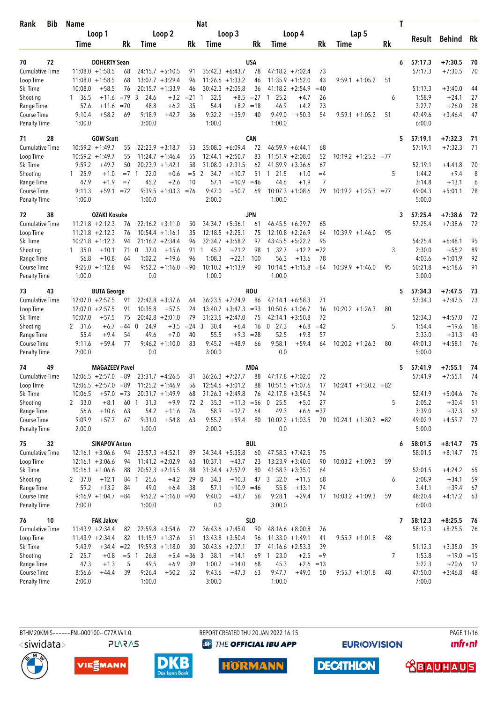| <b>Rank</b><br>Bib     | <b>Name</b>      |                                                    |               |                        |                       |               | <b>Nat</b>           |                                         |             |                |                                         |        |                         |    | T |                   |                        |          |
|------------------------|------------------|----------------------------------------------------|---------------|------------------------|-----------------------|---------------|----------------------|-----------------------------------------|-------------|----------------|-----------------------------------------|--------|-------------------------|----|---|-------------------|------------------------|----------|
|                        |                  | Loop 1                                             |               |                        | Loop 2                |               |                      | Loop 3                                  |             |                | Loop 4                                  |        | Lap 5                   |    |   |                   |                        |          |
|                        | Time             |                                                    | Rk            | Time                   |                       | Rk            | Time                 |                                         | Rk          | Time           |                                         | Rk     | Time                    | Rk |   | Result            | Behind                 | Rk       |
|                        |                  |                                                    |               |                        |                       |               |                      |                                         |             |                |                                         |        |                         |    |   |                   |                        |          |
| 70<br>72               |                  | <b>DOHERTY Sean</b>                                |               |                        |                       |               |                      |                                         | USA         |                |                                         |        |                         |    | 6 | 57:17.3           | $+7:30.5$              | 70       |
| <b>Cumulative Time</b> |                  | $11:08.0 + 1:58.5$                                 | 68            |                        | $24:15.7 + 5:10.5$    | 91            |                      | $35:42.3 + 6:43.7$                      | 78          |                | $47:18.2 + 7:02.4$                      | 73     |                         |    |   | 57:17.3           | $+7:30.5$              | 70       |
| Loop Time              |                  | $11:08.0 + 1:58.5$                                 | 68            |                        | $13:07.7 + 3:29.4$    | 96            |                      | $11:26.6 + 1:33.2$                      | 46          | 11:35.9        | $+1:52.0$                               | 43     | $9:59.1 + 1:05.2$       | 51 |   |                   |                        |          |
| Ski Time               | 10:08.0          | $+58.5$                                            | 76            |                        | $20:15.7 + 1:33.9$    | 46            |                      | $30:42.3 + 2:05.8$                      | 36          |                | $41:18.2 +2:54.9$                       | $=40$  |                         |    |   | 51:17.3           | $+3:40.0$              | 44       |
| Shooting               | 1 36.5           | $+11.6$                                            | $=79$         | $\overline{3}$<br>24.6 | $+3.2$                | $= 21$        | 32.5<br>$\mathbf{1}$ |                                         | $+8.5 = 27$ | 25.2<br>1      | $+4.7$                                  | 26     |                         | 6  |   | 1:58.9            | $+24.1$                | 27       |
| Range Time             | 57.6             | $+11.6$                                            | $=70$         | 48.8                   | $+6.2$                | 35            | 54.4                 | $+8.2$<br>$+35.9$                       | $=18$       | 46.9<br>9:49.0 | $+4.2$                                  | 23     |                         |    |   | 3:27.7<br>47:49.6 | $+26.0$                | 28<br>47 |
| Course Time            | 9:10.4<br>1:00.0 | $+58.2$                                            | 69            | 9:18.9<br>3:00.0       | $+42.7$               | 36            | 9:32.2<br>1:00.0     |                                         | 40          | 1:00.0         | $+50.3$                                 | 54     | $9:59.1 + 1:05.2$       | 51 |   | 6:00.0            | $+3:46.4$              |          |
| <b>Penalty Time</b>    |                  |                                                    |               |                        |                       |               |                      |                                         |             |                |                                         |        |                         |    |   |                   |                        |          |
| 28<br>71               |                  | <b>GOW Scott</b>                                   |               |                        |                       |               |                      |                                         | CAN         |                |                                         |        |                         |    | 5 | 57:19.1           | $+7:32.3$              | -71      |
| <b>Cumulative Time</b> |                  | $10:59.2 + 1:49.7$                                 | 55            |                        | $22:23.9 + 3:18.7$    | 53            |                      | $35:08.0 + 6:09.4$                      | 72          | 46:59.9        | $+6:44.1$                               | 68     |                         |    |   | 57:19.1           | $+7:32.3$              | 71       |
| Loop Time              |                  | $10:59.2 + 1:49.7$                                 | 55            |                        | $11:24.7 + 1:46.4$    | 55            |                      | $12:44.1 + 2:50.7$                      | 83          |                | $11:51.9 + 2:08.0$                      | 52     | $10:19.2 + 1:25.3 = 77$ |    |   |                   |                        |          |
| Ski Time               | 9:59.2           | $+49.7$                                            | 50            |                        | $20:23.9 +1:42.1$     | 58            |                      | $31:08.0 + 2:31.5$                      | 62          |                | $41:59.9 + 3:36.6$                      | 67     |                         |    |   | 52:19.1           | $+4:41.8$              | 70       |
| Shooting               | 125.9            | $+1.0$                                             | $=7.1$        | 22.0                   | $+0.6$                | $= 5$ 2       | 34.7                 | $+10.7$                                 | 51          | 21.5<br>1      | $+1.0$                                  | $=4$   |                         | 5  |   | 1:44.2            | $+9.4$                 | 8        |
| Range Time             | 47.9             | $+1.9$                                             | $=7$          | 45.2                   | $+2.6$                | 10            | 57.1                 | $+10.9$                                 | $=46$       | 44.6           | $+1.9$                                  | 7      |                         |    |   | 3:14.8            | $+13.1$                | 6        |
| Course Time            | 9:11.3           | +59.1                                              | $= 72$        |                        | $9:39.5 +1:03.3 = 76$ |               | 9:47.0               | $+50.7$                                 | 69          |                | $10:07.3 + 1:08.6$                      | 79     | $10:19.2 + 1:25.3 = 77$ |    |   | 49:04.3           | $+5:01.1$              | 78       |
| <b>Penalty Time</b>    | 1:00.0           |                                                    |               | 1:00.0                 |                       |               | 2:00.0               |                                         |             | 1:00.0         |                                         |        |                         |    |   | 5:00.0            |                        |          |
| 38<br>72               |                  | <b>OZAKI Kosuke</b>                                |               |                        |                       |               |                      |                                         | <b>JPN</b>  |                |                                         |        |                         |    | 3 | 57:25.4           | $+7:38.6$              | 72       |
| Cumulative Time        |                  | $11:21.8 + 2:12.3$                                 | 76            |                        | $22:16.2 + 3:11.0$    | 50            |                      | $34:34.7 + 5:36.1$                      | 61          |                | $46:45.5 + 6:29.7$                      | 65     |                         |    |   | 57:25.4           | $+7:38.6$              | 72       |
| Loop Time              |                  | $11:21.8 + 2:12.3$                                 | 76            |                        | $10:54.4 + 1:16.1$    | 35            |                      | $12:18.5 + 2:25.1$                      | 75          | 12:10.8        | $+2:26.9$                               | 64     | $10:39.9 + 1:46.0$      | 95 |   |                   |                        |          |
| Ski Time               |                  | $10:21.8 + 1:12.3$                                 | 94            |                        | $21:16.2 + 2:34.4$    | 96            |                      | $32:34.7 + 3:58.2$                      | 97          |                | $43:45.5 + 5:22.2$                      | 95     |                         |    |   | 54:25.4           | $+6:48.1$              | 95       |
| Shooting               | $1 \quad 35.0$   | $+10.1$                                            |               | 37.0<br>71 0           | $+15.6$               | 91            | 45.2<br>$\mathbf{1}$ | $+21.2$                                 | 98          | 1, 32.7        | $+12.2$                                 | $= 72$ |                         | 3  |   | 2:30.0            | $+55.2$                | 89       |
| Range Time             | 56.8             | $+10.8$                                            | 64            | 1:02.2                 | $+19.6$               | 96            | 1:08.3               | $+22.1$                                 | 100         | 56.3           | $+13.6$                                 | 78     |                         |    |   | 4:03.6            | $+1:01.9$              | 92       |
| Course Time            |                  | $9:25.0 +1:12.8$                                   | 94            | 9:52.2                 | $+1:16.0$             | $= 90$        |                      | $10:10.2 +1:13.9$                       | 90          | 10:14.5        | $+1:15.8$                               | $= 84$ | $10:39.9 + 1:46.0$      | 95 |   | 50:21.8           | $+6:18.6$              | 91       |
| <b>Penalty Time</b>    | 1:00.0           |                                                    |               | 0.0                    |                       |               | 1:00.0               |                                         |             | 1:00.0         |                                         |        |                         |    |   | 3:00.0            |                        |          |
| 73<br>43               |                  | <b>BUTA George</b>                                 |               |                        |                       |               |                      |                                         | <b>ROU</b>  |                |                                         |        |                         |    | 5 | 57:34.3           | $+7:47.5$              | 73       |
| <b>Cumulative Time</b> |                  | $12:07.0 + 2:57.5$                                 | 91            |                        | $22:42.8 + 3:37.6$    | 64            |                      | $36:23.5 +7:24.9$                       | 86          |                | $47:14.1 + 6:58.3$                      | 71     |                         |    |   | 57:34.3           | $+7:47.5$              | 73       |
| Loop Time              |                  | $12:07.0 + 2:57.5$                                 | 91            | 10:35.8                | $+57.5$               | 24            |                      | $13:40.7 + 3:47.3$                      | $= 93$      |                | $10:50.6 + 1:06.7$                      | 16     | $10:20.2 + 1:26.3$      | 80 |   |                   |                        |          |
| Ski Time               | 10:07.0          | $+57.5$                                            | 75            |                        | $20:42.8 + 2:01.0$    | 79            |                      | $31:23.5 +2:47.0$                       | 75          |                | $42:14.1 + 3:50.8$                      | 72     |                         |    |   | 52:34.3           | $+4:57.0$              | 72       |
| Shooting               | 2 31.6           | $+6.7$                                             | $=44$ 0       | 24.9                   | $+3.5$                | $= 24$        | 30.4<br>3            | $+6.4$                                  | 16          | $0$ 27.3       | $+6.8$                                  | $=42$  |                         | 5  |   | 1:54.4            | $+19.6$                | 18       |
| Range Time             | 55.4             | $+9.4$                                             | 54            | 49.6                   | $+7.0$                | 40            | 55.5                 | $+9.3$                                  | $= 28$      | 52.5           | $+9.8$                                  | 57     |                         |    |   | 3:33.0            | $+31.3$                | 43       |
| Course Time            | 9:11.6           | $+59.4$                                            | 77            | 9:46.2                 | $+1:10.0$             | 83            | 9:45.2               | $+48.9$                                 | 66          | 9:58.1         | $+59.4$                                 | 64     | $10:20.2 + 1:26.3$      | 80 |   | 49:01.3           | $+4:58.1$              | 76       |
| <b>Penalty Time</b>    | 2:00.0           |                                                    |               | 0.0                    |                       |               | 3:00.0               |                                         |             | 0.0            |                                         |        |                         |    |   | 5:00.0            |                        |          |
| 49<br>74               |                  | <b>MAGAZEEV Pavel</b>                              |               |                        |                       |               |                      |                                         | <b>MDA</b>  |                |                                         |        |                         |    |   | 57:41.9           |                        |          |
| <b>Cumulative Time</b> |                  |                                                    |               |                        | $23:31.7 +4:26.5$     |               |                      |                                         | 88          |                |                                         | 72     |                         |    | 5 | 57:41.9           | $+7:55.1$<br>$+7:55.1$ | 74<br>74 |
| Loop Time              |                  | $12:06.5 + 2:57.0 = 89$<br>$12:06.5 + 2:57.0 = 89$ |               |                        | $11:25.2 +1:46.9$     | 81<br>56      |                      | $36:26.3 +7:27.7$<br>$12:54.6 + 3:01.2$ | 88          |                | $47:17.8$ +7:02.0<br>$10:51.5 + 1:07.6$ | 17     | $10:24.1 + 1:30.2 = 82$ |    |   |                   |                        |          |
| Ski Time               | 10:06.5          | $+57.0 = 73$                                       |               |                        | $20:31.7 +1:49.9$     | 68            |                      | $31:26.3 +2:49.8$                       | 76          |                | $42:17.8 + 3:54.5$                      | 74     |                         |    |   | 52:41.9           | $+5:04.6$              | 76       |
| Shooting               | 2 33.0           | $+8.1$                                             | 60            | 31.3<br>$\mathbf{1}$   | $+9.9$                | 72 2          | 35.3                 | $+11.3 = 56$                            |             | 25.5<br>0      | $+5.0$                                  | 27     |                         | 5  |   | 2:05.2            | $+30.4$                | 51       |
| Range Time             | 56.6             | $+10.6$                                            | 63            | 54.2                   | $+11.6$               | 76            | 58.9                 | $+12.7$                                 | 64          | 49.3           | $+6.6$                                  | $= 37$ |                         |    |   | 3:39.0            | $+37.3$                | 62       |
| Course Time            | 9:09.9           | $+57.7$                                            | 67            | 9:31.0                 | $+54.8$               | 63            | 9:55.7               | $+59.4$                                 | 80          |                | $10:02.2 +1:03.5$                       | 70     | $10:24.1 + 1:30.2 = 82$ |    |   | 49:02.9           | $+4:59.7$              | 77       |
| <b>Penalty Time</b>    | 2:00.0           |                                                    |               | 1:00.0                 |                       |               | 2:00.0               |                                         |             | 0.0            |                                         |        |                         |    |   | 5:00.0            |                        |          |
|                        |                  |                                                    |               |                        |                       |               |                      |                                         |             |                |                                         |        |                         |    |   |                   |                        |          |
| 75<br>32               |                  | <b>SINAPOV Anton</b>                               |               |                        |                       |               |                      |                                         | <b>BUL</b>  |                |                                         |        |                         |    | 6 | 58:01.5           | $+8:14.7$              | 75       |
| <b>Cumulative Time</b> |                  | $12:16.1 + 3:06.6$                                 | 94            |                        | $23:57.3 +4:52.1$     | 89            |                      | $34:34.4 + 5:35.8$                      | 60          |                | $47:58.3 +7:42.5$                       | 75     |                         |    |   | 58:01.5           | $+8:14.7$              | -75      |
| Loop Time              |                  | $12:16.1 + 3:06.6$                                 | 94            |                        | $11:41.2 +2:02.9$     | 63            | 10:37.1              | $+43.7$                                 | 23          |                | $13:23.9 + 3:40.0$                      | 90     | $10:03.2 +1:09.3$       | 59 |   |                   |                        |          |
| Ski Time               |                  | $10:16.1 + 1:06.6$                                 | 88            |                        | $20:57.3 +2:15.5$     | 88            |                      | $31:34.4 + 2:57.9$                      | 80          |                | $41:58.3 + 3:35.0$                      | 64     |                         |    |   | 52:01.5           | $+4:24.2$              | 65       |
| Shooting               | 2, 37.0          | $+12.1$                                            |               | 25.6<br>84 1           | $+4.2$                |               | 34.3<br>29 0         | $+10.3$                                 | 47          | 3 32.0         | $+11.5$                                 | 68     |                         | 6  |   | 2:08.9            | $+34.1$                | 59       |
| Range Time             | 59.2             | $+13.2$                                            | 84            | 49.0                   | $+6.4$                | 38            | 57.1                 | $+10.9 = 46$                            |             | 55.8           | $+13.1$                                 | 74     |                         |    |   | 3:41.1            | $+39.4$                | 67       |
| Course Time            |                  | $9:16.9 +1:04.7 = 84$                              |               |                        | $9:52.2 +1:16.0 = 90$ |               | 9:40.0               | $+43.7$                                 | 56          | 9:28.1         | $+29.4$                                 | 17     | $10:03.2 +1:09.3$       | 59 |   | 48:20.4           | $+4:17.2$              | 63       |
| <b>Penalty Time</b>    | 2:00.0           |                                                    |               | 1:00.0                 |                       |               | 0.0                  |                                         |             | 3:00.0         |                                         |        |                         |    |   | 6:00.0            |                        |          |
| 76<br>10               |                  | <b>FAK Jakov</b>                                   |               |                        |                       |               |                      |                                         | <b>SLO</b>  |                |                                         |        |                         |    | 7 | 58:12.3           | $+8:25.5$              | 76       |
| Cumulative Time        |                  | $11:43.9 +2:34.4$                                  | 82            |                        | $22:59.8 + 3:54.6$    | 72            |                      | $36:43.6 +7:45.0$                       | 90          |                | $48:16.6 + 8:00.8$                      | 76     |                         |    |   | 58:12.3           | $+8:25.5$              | 76       |
| Loop Time              |                  | $11:43.9 + 2:34.4$                                 | 82            |                        | $11:15.9 + 1:37.6$    | 51            |                      | $13:43.8 + 3:50.4$                      | 96          |                | $11:33.0 + 1:49.1$                      | 41     | $9:55.7 +1:01.8$        | 48 |   |                   |                        |          |
| Ski Time               | 9:43.9           | $+34.4 = 22$                                       |               |                        | $19:59.8 +1:18.0$     | 30            |                      | $30:43.6 + 2:07.1$                      | 37          |                | $41:16.6 + 2:53.3$                      | 39     |                         |    |   | 51:12.3           | $+3:35.0$              | 39       |
| Shooting               | 2, 25.7          | $+0.8$                                             | $= 5 \quad 1$ | 26.8                   |                       | $+5.4 = 36$ 3 | 38.1                 | $+14.1$                                 |             | 69 1 23.0      | $+2.5$                                  | $=9$   |                         | 7  |   | 1:53.8            | $+19.0 = 15$           |          |
| Range Time             | 47.3             | $+1.3$                                             | 5             | 49.5                   | $+6.9$                | 39            | 1:00.2               | $+14.0$                                 | 68          | 45.3           | $+2.6 = 13$                             |        |                         |    |   | 3:22.3            | $+20.6$                | -17      |
| Course Time            | 8:56.6           | $+44.4$                                            | 39            | 9:26.4                 | $+50.2$               | 52            | 9:43.6               | $+47.3$                                 | 63          | 9:47.7         | $+49.0$                                 | 50     | $9:55.7 +1:01.8$        | 48 |   | 47:50.0           | $+3:46.8$              | 48       |
| <b>Penalty Time</b>    | 2:00.0           |                                                    |               | 1:00.0                 |                       |               | 3:00.0               |                                         |             | 1:00.0         |                                         |        |                         |    |   | 7:00.0            |                        |          |







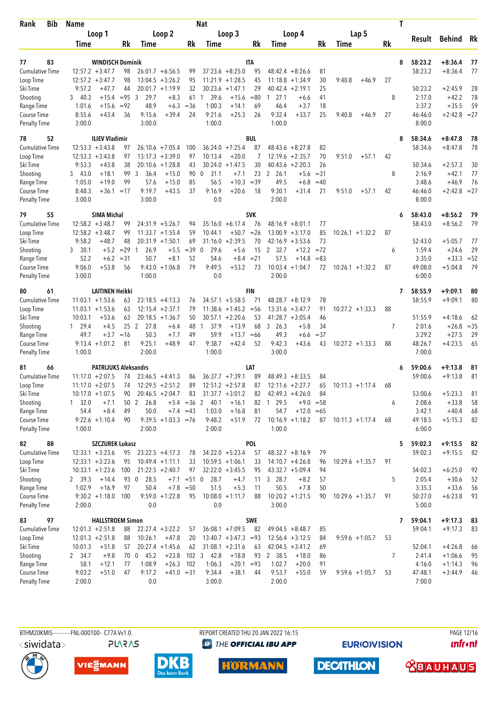| Bib<br>Rank                        | <b>Name</b>      |                                          |              |                        |                                         |                  | <b>Nat</b>           |                                          |             |                                          |              |             |                    |                   |           | T |                   |                           |          |
|------------------------------------|------------------|------------------------------------------|--------------|------------------------|-----------------------------------------|------------------|----------------------|------------------------------------------|-------------|------------------------------------------|--------------|-------------|--------------------|-------------------|-----------|---|-------------------|---------------------------|----------|
|                                    |                  | Loop 1                                   |              |                        | Loop 2                                  |                  |                      | Loop 3                                   |             |                                          | Loop 4       |             |                    | Lap 5             |           |   | Result            | Behind                    | Rk       |
|                                    | Time             |                                          | Rk           | Time                   |                                         | Rk               | Time                 |                                          | Rk          | Time                                     |              | <b>Rk</b>   | Time               |                   | <b>Rk</b> |   |                   |                           |          |
| 83<br>77                           |                  | <b>WINDISCH Dominik</b>                  |              |                        |                                         |                  |                      |                                          | ITA         |                                          |              |             |                    |                   |           | 8 | 58:23.2           | $+8:36.4$                 |          |
| <b>Cumulative Time</b>             |                  | $12:57.2 + 3:47.7$                       | 98           |                        | $26:01.7 + 6:56.5$                      | 99               |                      | $37:23.6 + 8:25.0$                       | 95          | $48:42.4 + 8:26.6$                       |              | 81          |                    |                   |           |   | 58:23.2           | $+8:36.4$                 | 77<br>77 |
| Loop Time                          |                  | $12:57.2 + 3:47.7$                       | 98           |                        | $13:04.5 + 3:26.2$                      | 95               |                      | $11:21.9 + 1:28.5$                       | 45          | $11:18.8 + 1:34.9$                       |              | 30          | 9:40.8             | $+46.9$           | 27        |   |                   |                           |          |
| Ski Time                           | 9:57.2           | $+47.7$                                  | 44           |                        | $20:01.7 +1:19.9$                       | 32               |                      | $30:23.6 +1:47.1$                        | 29          | $40:42.4 + 2:19.1$                       |              | 25          |                    |                   |           |   | 50:23.2           | $+2:45.9$                 | 28       |
| Shooting                           | 340.3            | $+15.4$                                  | $= 95.3$     | 29.7                   | $+8.3$                                  | 61               | 39.6<br>1            | $+15.6$                                  | $= 80$      | $1 \t27.1$                               | $+6.6$       | 41          |                    |                   | 8         |   | 2:17.0            | $+42.2$                   | 78       |
| Range Time                         | 1:01.6           | $+15.6$                                  | $= 92$       | 48.9                   | $+6.3$                                  | $= 36$           | 1:00.3               | $+14.1$                                  | 69          | 46.4                                     | $+3.7$       | 18          |                    |                   |           |   | 3:37.2            | $+35.5$                   | 59       |
| Course Time                        | 8:55.6           | $+43.4$                                  | 36           | 9:15.6                 | $+39.4$                                 | 24               | 9:21.6               | $+25.3$                                  | 26          | 9:32.4                                   | $+33.7$      | 25          | 9:40.8             | $+46.9$           | 27        |   | 46:46.0           | $+2:42.8$                 | $=27$    |
| <b>Penalty Time</b>                | 3:00.0           |                                          |              | 3:00.0                 |                                         |                  | 1:00.0               |                                          |             | 1:00.0                                   |              |             |                    |                   |           |   | 8:00.0            |                           |          |
| 52<br>78                           |                  | <b>ILIEV Vladimir</b>                    |              |                        |                                         |                  |                      |                                          | <b>BUL</b>  |                                          |              |             |                    |                   |           | 8 | 58:34.6           | $+8:47.8$                 | 78       |
| <b>Cumulative Time</b>             |                  | $12:53.3 + 3:43.8$                       | 97           |                        | $26:10.6 + 7:05.4$                      | 100              |                      | $36:24.0 +7:25.4$                        | 87          | $48:43.6 + 8:27.8$                       |              | 82          |                    |                   |           |   | 58:34.6           | $+8:47.8$                 | 78       |
| Loop Time                          |                  | $12:53.3 + 3:43.8$                       | 97           |                        | $13:17.3 + 3:39.0$                      | 97               | 10:13.4              | $+20.0$                                  | 7           | $12:19.6 + 2:35.7$                       |              | 70          | 9:51.0             | $+57.1$           | 42        |   |                   |                           |          |
| Ski Time                           | 9:53.3           | $+43.8$                                  | 38           |                        | $20:10.6 + 1:28.8$                      | 43               |                      | $30:24.0 +1:47.5$                        | 30          | 40:43.6                                  | $+2:20.3$    | 26          |                    |                   |           |   | 50:34.6           | $+2:57.3$                 | 30       |
| Shooting                           | 3 43.0           | $+18.1$                                  | 99           | 3<br>36.4              | $+15.0$                                 | 90 0             | 31.1                 | $+7.1$                                   | 23          | 2, 26.1                                  | $+5.6$       | $=31$       |                    |                   | 8         |   | 2:16.9            | $+42.1$                   | 77       |
| Range Time                         | 1:05.0<br>8:48.3 | $+19.0$                                  | 99           | 57.6<br>9:19.7         | $+15.0$<br>$+43.5$                      | 85<br>37         | 56.5<br>9:16.9       | $+10.3$<br>$+20.6$                       | $=39$<br>18 | 49.5<br>9:30.1                           | $+6.8$       | $=40$<br>21 |                    |                   | 42        |   | 3:48.6<br>46:46.0 | $+46.9$<br>$+2:42.8 = 27$ | 76       |
| Course Time<br><b>Penalty Time</b> | 3:00.0           |                                          | $+36.1 = 17$ | 3:00.0                 |                                         |                  | 0.0                  |                                          |             | 2:00.0                                   | +31.4        |             | 9:51.0             | $+57.1$           |           |   | 8:00.0            |                           |          |
|                                    |                  |                                          |              |                        |                                         |                  |                      |                                          |             |                                          |              |             |                    |                   |           |   |                   |                           |          |
| 55<br>79                           |                  | <b>SIMA Michal</b>                       |              |                        |                                         |                  |                      |                                          | <b>SVK</b>  |                                          |              |             |                    |                   |           | 6 | 58:43.0           | $+8:56.2$                 | 79       |
| <b>Cumulative Time</b>             |                  | $12:58.2 + 3:48.7$                       | 99           |                        | $24:31.9 + 5:26.7$                      | 94               |                      | $35:16.0 + 6:17.4$                       | 76          | $48:16.9 + 8:01.1$                       |              | 77          |                    |                   |           |   | 58:43.0           | $+8:56.2$                 | 79       |
| Loop Time<br>Ski Time              | 9:58.2           | $12:58.2 + 3:48.7$<br>$+48.7$            | 99<br>48     |                        | $11:33.7 + 1:55.4$<br>$20:31.9 +1:50.1$ | 59<br>69         | 10:44.1              | $+50.7$<br>$31:16.0 + 2:39.5$            | $=26$<br>70 | $13:00.9 + 3:17.0$<br>$42:16.9 + 3:53.6$ |              | 85<br>73    | $10:26.1 + 1:32.2$ |                   | 87        |   | 52:43.0           | $+5:05.7$                 | 77       |
| Shooting                           | 30.1<br>3        | $+5.2$                                   | $=29$        | 26.9<br>$\mathbf{1}$   | $+5.5$                                  | $=39$            | $\mathbf{0}$<br>29.6 | $+5.6$                                   | 15          | 2<br>32.7                                | $+12.2$      | $= 72$      |                    |                   | 6         |   | 1:59.4            | $+24.6$                   | 29       |
| Range Time                         |                  | 52.2<br>$+6.2$                           | $= 31$       | 50.7                   | $+8.1$                                  | 52               | 54.6                 |                                          | $+8.4 = 21$ | 57.5                                     | $+14.8$      | $= 83$      |                    |                   |           |   | 3:35.0            | $+33.3$                   | $= 52$   |
| Course Time                        | 9:06.0           | $+53.8$                                  | 56           | 9:43.0                 | $+1:06.8$                               | 79               | 9:49.5               | $+53.2$                                  | 73          | 10:03.4                                  | $+1:04.7$    | 72          | $10:26.1 + 1:32.2$ |                   | 87        |   | 49:08.0           | $+5:04.8$                 | 79       |
| <b>Penalty Time</b>                | 3:00.0           |                                          |              | 1:00.0                 |                                         |                  | 0.0                  |                                          |             | 2:00.0                                   |              |             |                    |                   |           |   | 6:00.0            |                           |          |
| 80<br>61                           |                  | <b>LAITINEN Heikki</b>                   |              |                        |                                         |                  |                      |                                          | FIN         |                                          |              |             |                    |                   |           | 7 | 58:55.9           | +9:09.1                   | 80       |
| <b>Cumulative Time</b>             |                  | $11:03.1 + 1:53.6$                       | 63           |                        | $23:18.5 + 4:13.3$                      | 76               |                      | $34:57.1 + 5:58.5$                       | 71          | $48:28.7 + 8:12.9$                       |              | 78          |                    |                   |           |   | 58:55.9           | $+9:09.1$                 | 80       |
| Loop Time                          |                  | $11:03.1 + 1:53.6$                       | 63           |                        | $12:15.4 + 2:37.1$                      | 79               |                      | $11:38.6 + 1:45.2 = 56$                  |             | 13:31.6                                  | $+3:47.7$    | 91          | $10:27.2 + 1:33.3$ |                   | 88        |   |                   |                           |          |
| Ski Time                           | 10:03.1          | $+53.6$                                  | 63           |                        | $20:18.5 + 1:36.7$                      | 50               |                      | $30:57.1 + 2:20.6$                       | 53          | $41:28.7 + 3:05.4$                       |              | 46          |                    |                   |           |   | 51:55.9           | $+4:18.6$                 | 62       |
| Shooting                           | 1 29.4           | $+4.5$                                   | 25           | $\overline{2}$<br>27.8 | $+6.4$                                  | 48               | 37.9<br>$\mathbf{1}$ | $+13.9$                                  | 68          | 3, 26.3                                  | $+5.8$       | 34          |                    |                   | 7         |   | 2:01.6            | $+26.8$                   | $= 35$   |
| Range Time                         |                  | 49.7<br>$+3.7$                           | $=16$        | 50.3                   | $+7.7$                                  | 49               | 59.9                 | $+13.7 = 66$                             |             | 49.3                                     | $+6.6$       | $=37$       |                    |                   |           |   | 3:29.2            | $+27.5$                   | 29       |
| Course Time                        |                  | $9:13.4 +1:01.2$                         | 81           | 9:25.1                 | $+48.9$                                 | 47               | 9:38.7               | $+42.4$                                  | 52          | 9:42.3                                   | $+43.6$      | 43          | $10:27.2 + 1:33.3$ |                   | 88        |   | 48:26.7           | $+4:23.5$                 | 65       |
| <b>Penalty Time</b>                | 1:00.0           |                                          |              | 2:00.0                 |                                         |                  | 1:00.0               |                                          |             | 3:00.0                                   |              |             |                    |                   |           |   | 7:00.0            |                           |          |
| 81<br>66                           |                  | <b>PATRIJUKS Aleksandrs</b>              |              |                        |                                         |                  |                      |                                          | LAT         |                                          |              |             |                    |                   |           |   | 59:00.6           | $+9:13.8$                 | 81       |
| <b>Cumulative Time</b>             |                  | $11:17.0 + 2:07.5$                       | 74           |                        | $23:46.5 +4:41.3$                       | 86               |                      | $36:37.7 +7:39.1$                        | 89          | 48:49.3                                  | $+8:33.5$    | 84          |                    |                   |           |   | 59:00.6           | $+9:13.8$                 | 81       |
| Loop Time                          |                  | $11:17.0 + 2:07.5$                       | 74           |                        | $12:29.5 + 2:51.2$                      | 89               |                      | $12:51.2 + 2:57.8$                       | 87          | $12:11.6 + 2:27.7$                       |              | 65          | $10:11.3 + 1:17.4$ |                   | 68        |   |                   |                           |          |
| Ski Time                           |                  | $10:17.0 + 1:07.5$                       | 90           |                        | $20:46.5 + 2:04.7$                      | 83               |                      | $31:37.7 + 3:01.2$                       | 82          | $42:49.3 +4:26.0$                        |              | 84          |                    |                   |           |   | 53:00.6           | $+5:23.3$                 | 81       |
| Shooting                           | 1 32.0           | $+7.1$                                   |              | 26.8<br>50 2           |                                         | $+5.4 = 36$ 2    | 40.1                 | $+16.1$                                  | 82          | 29.5<br>1                                | $+9.0$       | $= 58$      |                    |                   | 6         |   | 2:08.6            | $+33.8$                   | 58       |
| Range Time                         |                  | $+8.4$<br>54.4                           | 49           | 50.0                   |                                         | $+7.4 = 43$      | 1:03.0               | $+16.8$                                  | 81          | 54.7                                     | $+12.0 = 65$ |             |                    |                   |           |   | 3:42.1            | $+40.4$                   | 68       |
| Course Time<br>Penalty Time        | 1:00.0           | $9:22.6 +1:10.4$                         | 90           | 2:00.0                 | $9:39.5 +1:03.3 = 76$                   |                  | 9:48.2<br>2:00.0     | $+51.9$                                  | 72          | $10:16.9 + 1:18.2$<br>1:00.0             |              | 87          | $10:11.3 + 1:17.4$ |                   | 68        |   | 49:18.5<br>6:00.0 | $+5:15.3$                 | 82       |
|                                    |                  |                                          |              |                        |                                         |                  |                      |                                          |             |                                          |              |             |                    |                   |           |   |                   |                           |          |
| 82<br>88                           |                  | <b>SZCZUREK Lukasz</b>                   |              |                        |                                         |                  |                      |                                          | <b>POL</b>  |                                          |              |             |                    |                   |           | 5 | 59:02.3           | $+9:15.5$                 | 82       |
| <b>Cumulative Time</b>             |                  | $12:33.1 + 3:23.6$                       | 95           |                        | $23:22.5 +4:17.3$                       | 78               |                      | $34:22.0 + 5:23.4$                       | 57          | $48:32.7 + 8:16.9$                       |              | 79          |                    |                   |           |   | 59:02.3           | $+9:15.5$                 | 82       |
| Loop Time<br>Ski Time              |                  | $12:33.1 + 3:23.6$<br>$10:33.1 + 1:23.6$ | 95<br>100    |                        | $10:49.4 + 1:11.1$<br>$21:22.5 +2:40.7$ | 33<br>97         |                      | $10:59.5 + 1:06.1$<br>$32:22.0 + 3:45.5$ | 33<br>95    | $14:10.7 + 4:26.8$<br>$43:32.7 + 5:09.4$ |              | 96<br>94    | $10:29.6 + 1:35.7$ |                   | 91        |   | 54:02.3           | $+6:25.0$                 | 92       |
| Shooting                           | 2 39.3           | $+14.4$                                  |              | 93 0<br>28.5           |                                         | $+7.1 = 51$ 0    | 28.7                 | $+4.7$                                   | 11          | 3 28.7                                   | $+8.2$       | 57          |                    |                   | 5         |   | 2:05.4            | $+30.6$                   | 52       |
| Range Time                         | 1:02.9           | $+16.9$                                  | 97           | 50.4                   |                                         | $+7.8 = 50$      | 51.5                 | $+5.3$                                   | 11          | 50.5                                     | $+7.8$       | 50          |                    |                   |           |   | 3:35.3            | $+33.6$                   | 56       |
| Course Time                        |                  | $9:30.2 +1:18.0$                         | 100          |                        | $9:59.0 +1:22.8$                        | 95               |                      | $10:08.0 + 1:11.7$                       | 88          | $10:20.2 + 1:21.5$                       |              | 90          | $10:29.6 +1:35.7$  |                   | 91        |   | 50:27.0           | $+6:23.8$                 | 93       |
| <b>Penalty Time</b>                | 2:00.0           |                                          |              | 0.0                    |                                         |                  | 0.0                  |                                          |             | 3:00.0                                   |              |             |                    |                   |           |   | 5:00.0            |                           |          |
| 97<br>83                           |                  | <b>HALLSTROEM Simon</b>                  |              |                        |                                         |                  |                      |                                          | <b>SWE</b>  |                                          |              |             |                    |                   |           | 7 | 59:04.1           | $+9:17.3$                 | 83       |
| <b>Cumulative Time</b>             |                  | $12:01.3 + 2:51.8$                       | 88           |                        | $22:27.4$ +3:22.2                       | 57               |                      | $36:08.1 + 7:09.5$                       | 82          | $49:04.5 + 8:48.7$                       |              | 85          |                    |                   |           |   | 59:04.1           | $+9:17.3$                 | 83       |
| Loop Time                          |                  | $12:01.3 + 2:51.8$                       | 88           | 10:26.1                | $+47.8$                                 | 20               |                      | $13:40.7 + 3:47.3 = 93$                  |             | $12:56.4 + 3:12.5$                       |              | 84          |                    | $9:59.6 +1:05.7$  | 53        |   |                   |                           |          |
| Ski Time                           | 10:01.3          | $+51.8$                                  | 57           |                        | $20:27.4 +1:45.6$                       | 62               |                      | $31:08.1 + 2:31.6$                       | 63          | $42:04.5 +3:41.2$                        |              | 69          |                    |                   |           |   | 52:04.1           | $+4:26.8$                 | 66       |
| Shooting                           | 2 34.7           | $+9.8$                                   |              | 70 0 45.2              | $+23.8$                                 | 102 <sub>3</sub> | 42.8                 | $+18.8$                                  | 93          | 2 38.5                                   | $+18.0$      | 86          |                    |                   | 7         |   | 2:41.4            | $+1:06.6$                 | 95       |
| Range Time                         |                  | 58.1<br>$+12.1$                          | 77           | 1:08.9                 | $+26.3$                                 | 102              | 1:06.3               | $+20.1 = 93$                             |             | 1:02.7                                   | $+20.0$      | 91          |                    |                   |           |   | 4:16.0            | $+1:14.3$                 | 96       |
| Course Time                        | 9:03.2           | $+51.0$                                  | 47           | 9:17.2                 | $+41.0 = 31$                            |                  | 9:34.4               | $+38.1$                                  | 44          | 9:53.7                                   | $+55.0$      | 59          |                    | $9:59.6 + 1:05.7$ | 53        |   | 47:48.1           | $+3:44.9$                 | 46       |
| <b>Penalty Time</b>                | 2:00.0           |                                          |              | 0.0                    |                                         |                  | 3:00.0               |                                          |             | 2:00.0                                   |              |             |                    |                   |           |   | 7:00.0            |                           |          |





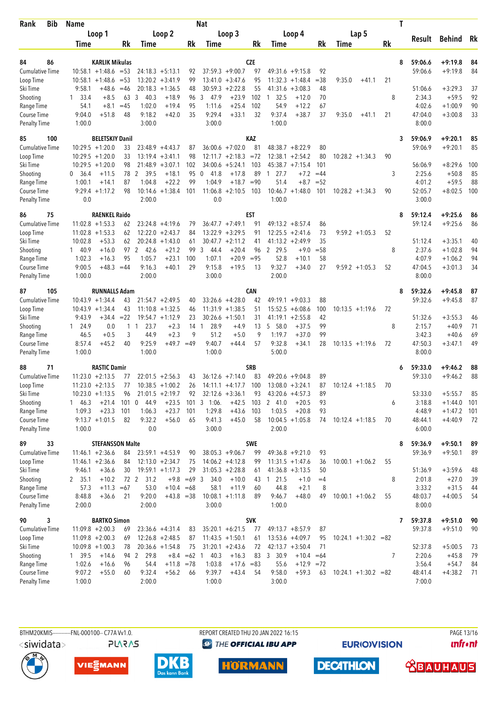| <b>Bib</b><br>Rank                 | <b>Name</b>         |                         |             |                  |                                          |               | <b>Nat</b>           |                                         |            |                      |                      |          |                         |         |           | T |                   |           |          |
|------------------------------------|---------------------|-------------------------|-------------|------------------|------------------------------------------|---------------|----------------------|-----------------------------------------|------------|----------------------|----------------------|----------|-------------------------|---------|-----------|---|-------------------|-----------|----------|
|                                    |                     | Loop 1                  |             |                  | Loop 2                                   |               |                      | Loop 3                                  |            |                      | Loop 4               |          | Lap 5                   |         |           |   |                   |           |          |
|                                    | Time                |                         | Rk          | Time             |                                          | Rk            | <b>Time</b>          |                                         | Rk         | Time                 |                      | Rk       | Time                    |         | <b>Rk</b> |   | Result            | Behind    | Rk       |
|                                    |                     |                         |             |                  |                                          |               |                      |                                         |            |                      |                      |          |                         |         |           |   |                   |           |          |
| 86<br>84                           |                     | KARLIK Mikulas          |             |                  |                                          |               |                      |                                         | <b>CZE</b> |                      |                      |          |                         |         |           | 8 | 59:06.6           | $+9:19.8$ | 84       |
| <b>Cumulative Time</b>             |                     | $10:58.1 + 1:48.6 = 53$ |             |                  | $24:18.3 + 5:13.1$                       | 92            |                      | $37:59.3 +9:00.7$                       | 97         |                      | $49:31.6 + 9:15.8$   | 92       |                         |         |           |   | 59:06.6           | $+9:19.8$ | 84       |
| Loop Time                          |                     | $10:58.1 + 1:48.6$      | $=$ 53      |                  | $13:20.2 + 3:41.9$<br>$20:18.3 + 1:36.5$ | 99<br>48      |                      | $13:41.0 + 3:47.6$<br>$30:59.3 +2:22.8$ | 95<br>55   | 11:32.3              | $+1:48.4$            | $= 38$   | 9:35.0                  | $+41.1$ | 21        |   |                   | $+3:29.3$ | 37       |
| Ski Time<br>Shooting               | 9:58.1<br>33.4<br>1 | +48.6<br>$+8.5$         | $=46$<br>63 | 3<br>40.3        | $+18.9$                                  | 96            | 3<br>47.9            | $+23.9$                                 | 102        | 41:31.6<br>32.5<br>1 | $+3:08.3$<br>$+12.0$ | 48<br>70 |                         |         | 8         |   | 51:06.6<br>2:34.3 | $+59.5$   | 92       |
| Range Time                         | 54.1                | $+8.1$                  | $=45$       | 1:02.0           | $+19.4$                                  | 95            | 1:11.6               | $+25.4$                                 | 102        | 54.9                 | $+12.2$              | 67       |                         |         |           |   | 4:02.6            | $+1:00.9$ | 90       |
| Course Time                        | 9:04.0              | $+51.8$                 | 48          | 9:18.2           | $+42.0$                                  | 35            | 9:29.4               | $+33.1$                                 | 32         | 9:37.4               | $+38.7$              | 37       | 9:35.0                  | $+41.1$ | 21        |   | 47:04.0           | $+3:00.8$ | 33       |
| <b>Penalty Time</b>                | 1:00.0              |                         |             | 3:00.0           |                                          |               | 3:00.0               |                                         |            | 1:00.0               |                      |          |                         |         |           |   | 8:00.0            |           |          |
| 85<br>100                          |                     | <b>BELETSKIY Danil</b>  |             |                  |                                          |               |                      |                                         | KAZ        |                      |                      |          |                         |         |           | 3 | 59:06.9           | $+9:20.1$ | 85       |
| <b>Cumulative Time</b>             |                     | $10:29.5 + 1:20.0$      | 33          |                  | $23:48.9 + 4:43.7$                       | 87            |                      | $36:00.6 +7:02.0$                       | 81         |                      | $48:38.7 + 8:22.9$   | 80       |                         |         |           |   | 59:06.9           | $+9:20.1$ | 85       |
| Loop Time                          |                     | $10:29.5 + 1:20.0$      | 33          |                  | $13:19.4 + 3:41.1$                       | 98            |                      | $12:11.7 + 2:18.3$                      | $= 72$     |                      | $12:38.1 + 2:54.2$   | 80       | $10:28.2 + 1:34.3$      |         | 90        |   |                   |           |          |
| Ski Time                           |                     | $10:29.5 + 1:20.0$      | 98          |                  | $21:48.9 + 3:07.1$                       | 102           | 34:00.6              | $+5:24.1$                               | 103        |                      | $45:38.7 +7:15.4$    | 101      |                         |         |           |   | 56:06.9           | $+8:29.6$ | 100      |
| Shooting                           | 36.4<br>0           | $+11.5$                 |             | 78 2<br>39.5     | $+18.1$                                  | 95            | 41.8<br>0            | $+17.8$                                 | 89         | 27.7<br>$\mathbf{1}$ | $+7.2$               | $=44$    |                         |         | 3         |   | 2:25.6            | $+50.8$   | 85       |
| Range Time                         | 1:00.1              | $+14.1$                 | 87          | 1:04.8           | $+22.2$                                  | 99            | 1:04.9               | $+18.7$                                 | $= 90$     | 51.4                 | $+8.7$               | $= 52$   |                         |         |           |   | 4:01.2            | $+59.5$   | 88       |
| Course Time                        |                     | $9:29.4 +1:17.2$        | 98          |                  | $10:14.6 + 1:38.4$                       | 101           | 11:06.8              | $+2:10.5$                               | 103        |                      | $10:46.7 + 1:48.0$   | 101      | $10:28.2 + 1:34.3$      |         | 90        |   | 52:05.7           | $+8:02.5$ | 100      |
| <b>Penalty Time</b>                | 0.0                 |                         |             | 2:00.0           |                                          |               | 0.0                  |                                         |            | 1:00.0               |                      |          |                         |         |           |   | 3:00.0            |           |          |
| 75<br>86                           |                     | <b>RAENKEL Raido</b>    |             |                  |                                          |               |                      |                                         | <b>EST</b> |                      |                      |          |                         |         |           | 8 | 59:12.4           | $+9:25.6$ | 86       |
| <b>Cumulative Time</b>             |                     | $11:02.8 + 1:53.3$      | 62          |                  | $23:24.8 +4:19.6$                        | 79            |                      | $36:47.7 +7:49.1$                       | 91         |                      | $49:13.2 + 8:57.4$   | 86       |                         |         |           |   | 59:12.4           | $+9:25.6$ | 86       |
| Loop Time                          |                     | $11:02.8 + 1:53.3$      | 62          |                  | $12:22.0 + 2:43.7$                       | 84            |                      | $13:22.9 + 3:29.5$                      | 91         | 12:25.5              | $+2:41.6$            | 73       | $9:59.2 + 1:05.3$       |         | 52        |   |                   |           |          |
| Ski Time                           | 10:02.8             | $+53.3$                 | 62          |                  | $20:24.8 + 1:43.0$                       | 61            |                      | $30:47.7 + 2:11.2$                      | 41         |                      | $41:13.2 +2:49.9$    | 35       |                         |         |           |   | 51:12.4           | $+3:35.1$ | 40       |
| Shooting                           | 140.9               | $+16.0$                 |             | 97 2 42.6        | $+21.2$                                  | 99            | 3<br>44.4            | $+20.4$                                 | 96         | 2 29.5               | $+9.0$               | $= 58$   |                         |         | 8         |   | 2:37.6            | $+1:02.8$ | 94       |
| Range Time                         | 1:02.3              | $+16.3$                 | 95          | 1:05.7           | $+23.1$                                  | 100           | 1:07.1               | $+20.9$                                 | $= 95$     | 52.8                 | $+10.1$              | 58       |                         |         |           |   | 4:07.9            | $+1:06.2$ | 94       |
| Course Time                        | 9:00.5              | $+48.3$                 | $=44$       | 9:16.3           | $+40.1$                                  | 29            | 9:15.8               | $+19.5$                                 | 13         | 9:32.7               | $+34.0$              | 27       | $9:59.2 + 1:05.3$       |         | 52        |   | 47:04.5           | $+3:01.3$ | 34       |
| <b>Penalty Time</b>                | 1:00.0              |                         |             | 2:00.0           |                                          |               | 3:00.0               |                                         |            | 2:00.0               |                      |          |                         |         |           |   | 8:00.0            |           |          |
| 105<br>87                          |                     | <b>RUNNALLS Adam</b>    |             |                  |                                          |               |                      |                                         | <b>CAN</b> |                      |                      |          |                         |         |           | 8 | 59:32.6           | $+9:45.8$ | 87       |
| <b>Cumulative Time</b>             |                     | $10:43.9 + 1:34.4$      | 43          |                  | $21:54.7 + 2:49.5$                       | 40            |                      | $33:26.6 + 4:28.0$                      | 42         |                      | $49:19.1 + 9:03.3$   | 88       |                         |         |           |   | 59:32.6           | $+9:45.8$ | 87       |
| Loop Time                          |                     | $10:43.9 + 1:34.4$      | 43          |                  | $11:10.8 + 1:32.5$                       | 46            |                      | $11:31.9 + 1:38.5$                      | 51         | 15:52.5              | $+6:08.6$            | 100      | $10:13.5 + 1:19.6$      |         | 72        |   |                   |           |          |
| Ski Time                           | 9:43.9              | $+34.4$                 | $= 22$      |                  | $19:54.7 +1:12.9$                        | 23            | 30:26.6              | $+1:50.1$                               | 31         | 41:19.1              | $+2:55.8$            | 42       |                         |         |           |   | 51:32.6           | $+3:55.3$ | 46       |
| Shooting                           | 1 24.9              | 0.0                     |             | 23.7<br>1 1      | $+2.3$                                   | 14            | 28.9<br>$\mathbf{1}$ | $+4.9$                                  | 13         | 5 58.0               | $+37.5$              | 99       |                         |         | 8         |   | 2:15.7            | $+40.9$   | 71       |
| Range Time                         | 46.5                | $+0.5$<br>$+45.2$       | 3<br>40     | 44.9<br>9:25.9   | $+2.3$<br>$+49.7 = 49$                   | 9             | 51.2<br>9:40.7       | $+5.0$                                  | 9<br>57    | 1:19.7<br>9:32.8     | $+37.0$<br>$+34.1$   | 99<br>28 |                         |         |           |   | 3:42.3<br>47:50.3 | $+40.6$   | 69<br>49 |
| Course Time<br><b>Penalty Time</b> | 8:57.4<br>1:00.0    |                         |             | 1:00.0           |                                          |               | 1:00.0               | $+44.4$                                 |            | 5:00.0               |                      |          | $10:13.5 + 1:19.6$      |         | 72        |   | 8:00.0            | $+3:47.1$ |          |
| 71<br>88                           |                     | <b>RASTIC Damir</b>     |             |                  |                                          |               |                      |                                         | <b>SRB</b> |                      |                      |          |                         |         |           | 6 | 59:33.0           | $+9:46.2$ | 88       |
| <b>Cumulative Time</b>             |                     | $11:23.0 +2:13.5$       | 77          |                  | $22:01.5 + 2:56.3$                       | 43            |                      | $36:12.6$ +7:14.0                       | 83         |                      | $49:20.6 + 9:04.8$   | 89       |                         |         |           |   | 59:33.0           | $+9:46.2$ | 88       |
| Loop Time                          |                     | $11:23.0 + 2:13.5$      | 77          |                  | $10:38.5 + 1:00.2$                       | 26            |                      | $14:11.1 + 4:17.7$                      | 100        |                      | $13:08.0 + 3:24.1$   | 87       | $10:12.4 + 1:18.5$      |         | 70        |   |                   |           |          |
| Ski Time                           |                     | $10:23.0 +1:13.5$       | 96          |                  | $21:01.5 +2:19.7$                        | 92            |                      | $32:12.6 + 3:36.1$                      | 93         |                      | $43:20.6 + 4:57.3$   | 89       |                         |         |           |   | 53:33.0           | $+5:55.7$ | 85       |
| Shooting                           | 146.3               | $+21.4$                 | 101         | 44.9<br>0        | $+23.5$                                  | 101           | $3 - 1:06$ .         | $+42.5$                                 | 103        | 241.0                | $+20.5$              | 93       |                         |         | 6         |   | 3:18.8            | $+1:44.0$ | 101      |
| Range Time                         | 1:09.3              | $+23.3$                 | 101         | 1:06.3           | $+23.7$                                  | 101           | 1:29.8               | $+43.6$                                 | 103        | 1:03.5               | $+20.8$              | 93       |                         |         |           |   | 4:48.9            | $+1:47.2$ | 101      |
| Course Time                        |                     | $9:13.7 +1:01.5$        | 82          | 9:32.2           | $+56.0$                                  | 65            | 9:41.3               | $+45.0$                                 | 58         |                      | $10:04.5 + 1:05.8$   | 74       | $10:12.4 +1:18.5$       |         | 70        |   | 48:44.1           | $+4:40.9$ | 72       |
| <b>Penalty Time</b>                | 1:00.0              |                         |             | 0.0              |                                          |               | 3:00.0               |                                         |            | 2:00.0               |                      |          |                         |         |           |   | 6:00.0            |           |          |
| 89<br>33                           |                     | <b>STEFANSSON Malte</b> |             |                  |                                          |               |                      |                                         | <b>SWE</b> |                      |                      |          |                         |         |           | 8 | 59:36.9           | $+9:50.1$ | 89       |
| <b>Cumulative Time</b>             |                     | $11:46.1 + 2:36.6$      | 84          |                  | $23:59.1 + 4:53.9$                       | 90            |                      | $38:05.3 +9:06.7$                       | 99         |                      | $49:36.8 + 9:21.0$   | 93       |                         |         |           |   | 59:36.9           | $+9:50.1$ | 89       |
| Loop Time                          |                     | $11:46.1 + 2:36.6$      | 84          |                  | $12:13.0 + 2:34.7$                       | 75            |                      | $14:06.2 + 4:12.8$                      | 99         |                      | $11:31.5 + 1:47.6$   | 36       | $10:00.1 + 1:06.2$      |         | 55        |   |                   |           |          |
| Ski Time                           | 9:46.1              | $+36.6$                 | 30          |                  | $19:59.1 + 1:17.3$                       | 29            |                      | $31:05.3 + 2:28.8$                      | 61         |                      | $41:36.8 + 3:13.5$   | 50       |                         |         |           |   | 51:36.9           | $+3:59.6$ | 48       |
| Shooting                           | 2, 35.1             | $+10.2$                 |             | 72 2<br>31.2     | $+9.8$                                   | $=69$ 3       | 34.0                 | $+10.0$                                 | 43         | 1 21.5               | $+1.0$               | $=4$     |                         |         | 8         |   | 2:01.8            | $+27.0$   | 39       |
| Range Time                         | 57.3                | $+11.3$                 | $=67$       | 53.0             | $+10.4 = 68$                             |               | 58.1                 | $+11.9$                                 | 60         | 44.8                 | $+2.1$               | 8        |                         |         |           |   | 3:33.2            | $+31.5$   | 44       |
| Course Time                        | 8:48.8              | $+36.6$                 | 21          | 9:20.0           | $+43.8 = 38$                             |               |                      | $10:08.1 + 1:11.8$                      | 89         | 9:46.7               | $+48.0$              | 49       | $10:00.1 + 1:06.2$      |         | 55        |   | 48:03.7           | $+4:00.5$ | 54       |
| Penalty Time                       | 2:00.0              |                         |             | 2:00.0           |                                          |               | 3:00.0               |                                         |            | 1:00.0               |                      |          |                         |         |           |   | 8:00.0            |           |          |
| 90<br>3                            |                     | <b>BARTKO Simon</b>     |             |                  |                                          |               |                      |                                         | <b>SVK</b> |                      |                      |          |                         |         |           | 7 | 59:37.8           | $+9:51.0$ | 90       |
| <b>Cumulative Time</b>             |                     | $11:09.8 + 2:00.3$      | 69          |                  | $23:36.6 + 4:31.4$                       | 83            |                      | $35:20.1 + 6:21.5$                      | 77         |                      | $49:13.7 + 8:57.9$   | 87       |                         |         |           |   | 59:37.8           | $+9:51.0$ | 90       |
| Loop Time                          |                     | $11:09.8 + 2:00.3$      | 69          |                  | $12:26.8 + 2:48.5$                       | 87            |                      | $11:43.5 + 1:50.1$                      | 61         |                      | $13:53.6 + 4:09.7$   | 95       | $10:24.1 + 1:30.2 = 82$ |         |           |   |                   |           |          |
| Ski Time                           |                     | $10:09.8 + 1:00.3$      | 78          |                  | $20:36.6 + 1:54.8$                       | 75            |                      | $31:20.1 + 2:43.6$                      | 72         |                      | $42:13.7 + 3:50.4$   | 71       |                         |         |           |   | 52:37.8           | $+5:00.5$ | 73       |
| Shooting                           | 1 39.5              | $+14.6$                 | 94          | 29.8<br>2        |                                          | $+8.4 = 62$ 1 | 40.3                 | $+16.3$                                 |            | 83 3 30.9            | $+10.4$              | $=64$    |                         |         | 7         |   | 2:20.6            | $+45.8$   | 79       |
| Range Time                         | 1:02.6              | $+16.6$                 | 96          | 54.4             | $+11.8$ =78                              |               | 1:03.8               | $+17.6 = 83$                            |            | 55.6                 | $+12.9 = 72$         |          |                         |         |           |   | 3:56.4            | $+54.7$   | 84       |
| Course Time<br><b>Penalty Time</b> | 9:07.2<br>1:00.0    | $+55.0$                 | 60          | 9:32.4<br>2:00.0 | $+56.2$                                  | 66            | 9:39.7<br>1:00.0     | $+43.4$                                 | 54         | 9:58.0<br>3:00.0     | $+59.3$              | 63       | $10:24.1 + 1:30.2 = 82$ |         |           |   | 48:41.4<br>7:00.0 | $+4:38.2$ | 71       |
|                                    |                     |                         |             |                  |                                          |               |                      |                                         |            |                      |                      |          |                         |         |           |   |                   |           |          |



PAGE 13/16 **unfront** 





**HORMANN** 

**DECATHLON** 

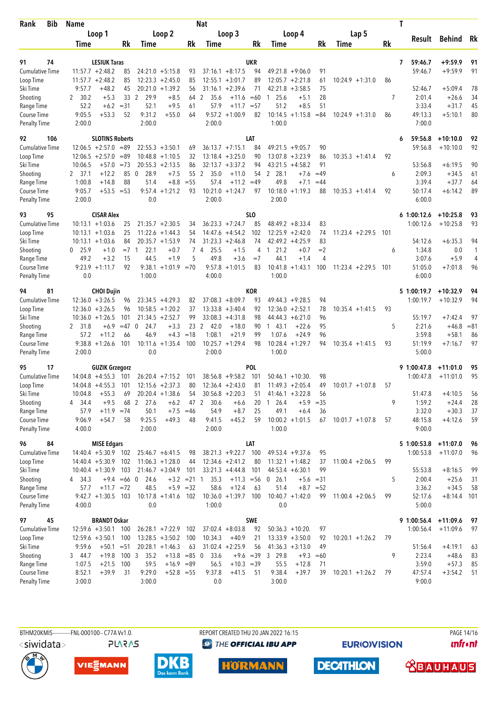| <b>Bib</b><br>Rank                  | <b>Name</b>    |                                                  |               |                      |                                          |                | <b>Nat</b>             |                                             |                  |                                          |                |                    |           | T                       |                          |          |
|-------------------------------------|----------------|--------------------------------------------------|---------------|----------------------|------------------------------------------|----------------|------------------------|---------------------------------------------|------------------|------------------------------------------|----------------|--------------------|-----------|-------------------------|--------------------------|----------|
|                                     |                | Loop 1                                           |               |                      | Loop 2                                   |                |                        | Loop 3                                      |                  | Loop 4                                   |                | Lap 5              |           | Result                  | Behind                   | Rk       |
|                                     | Time           |                                                  | Rk            | Time                 |                                          | Rk             | Time                   |                                             | Rk               | Time                                     | <b>Rk</b>      | Time               | <b>Rk</b> |                         |                          |          |
|                                     |                |                                                  |               |                      |                                          |                |                        |                                             |                  |                                          |                |                    |           |                         |                          |          |
| 74<br>91<br><b>Cumulative Time</b>  |                | <b>LESIUK Taras</b><br>$11:57.7 + 2:48.2$        |               |                      |                                          |                |                        | $37:16.1 + 8:17.5$                          | <b>UKR</b><br>94 |                                          | 91             |                    |           | 59:46.7<br>7<br>59:46.7 | $+9:59.9$<br>$+9:59.9$   | 91<br>91 |
| Loop Time                           |                | $11:57.7 + 2:48.2$                               | 85<br>85      |                      | $24:21.0 + 5:15.8$<br>$12:23.3 + 2:45.0$ | 93<br>85       |                        | $12:55.1 + 3:01.7$                          | 89               | $49:21.8 + 9:06.0$<br>$12:05.7 + 2:21.8$ | 61             | $10:24.9 + 1:31.0$ | 86        |                         |                          |          |
| Ski Time                            | 9:57.7         | $+48.2$                                          | 45            |                      | $20:21.0 + 1:39.2$                       | 56             |                        | $31:16.1 + 2:39.6$                          | 71               | 42:21.8<br>$+3:58.5$                     | 75             |                    |           | 52:46.7                 | $+5:09.4$                | 78       |
| Shooting                            | 2, 30.2        | $+5.3$                                           |               | 29.9<br>33 2         | $+8.5$                                   | 64             | 2<br>35.6              | $+11.6 = 60$                                |                  | 25.6<br>$+5.1$<br>1                      | 28             |                    | 7         | 2:01.4                  | $+26.6$                  | 34       |
| Range Time                          | 52.2           | $+6.2$                                           | $= 31$        | 52.1                 | $+9.5$                                   | 61             | 57.9                   | $+11.7$                                     | $= 57$           | 51.2<br>$+8.5$                           | 51             |                    |           | 3:33.4                  | $+31.7$                  | 45       |
| Course Time                         | 9:05.5         | $+53.3$                                          | 52            | 9:31.2               | $+55.0$                                  | 64             | 9:57.2                 | $+1:00.9$                                   | 82               | $10:14.5 + 1:15.8$                       | $= 84$         | $10:24.9 + 1:31.0$ | 86        | 49:13.3                 | $+5:10.1$                | 80       |
| <b>Penalty Time</b>                 | 2:00.0         |                                                  |               | 2:00.0               |                                          |                | 2:00.0                 |                                             |                  | 1:00.0                                   |                |                    |           | 7:00.0                  |                          |          |
| 92<br>106                           |                | <b>SLOTINS Roberts</b>                           |               |                      |                                          |                |                        |                                             | LAT              |                                          |                |                    |           | 59:56.8<br>6            | $+10:10.0$               | 92       |
| <b>Cumulative Time</b>              |                | $12:06.5 + 2:57.0 = 89$                          |               |                      | $22:55.3 + 3:50.1$                       | 69             |                        | $36:13.7 +7:15.1$                           | 84               | $49:21.5 +9:05.7$                        | 90             |                    |           | 59:56.8                 | $+10:10.0$               | 92       |
| Loop Time                           |                | $12:06.5 + 2:57.0$                               | $=89$         |                      | $10:48.8 + 1:10.5$                       | 32             |                        | $13:18.4 + 3:25.0$                          | 90               | 13:07.8<br>$+3:23.9$                     | 86             | $10:35.3 + 1:41.4$ | 92        |                         |                          |          |
| Ski Time                            | 10:06.5        | $+57.0 = 73$                                     |               |                      | $20:55.3 + 2:13.5$                       | 86             |                        | $32:13.7 + 3:37.2$                          | 94               | 43:21.5<br>$+4:58.2$                     | 91             |                    |           | 53:56.8                 | $+6:19.5$                | 90       |
| Shooting                            | 2 37.1         | $+12.2$                                          | 85            | $\mathbf{0}$<br>28.9 | $+7.5$                                   | 55 2           | 35.0                   | $+11.0$                                     | 54               | 2 28.1<br>$+7.6$                         | $=49$          |                    | 6         | 2:09.3                  | $+34.5$                  | 61       |
| Range Time                          | 1:00.8         | $+14.8$                                          | 88            | 51.4                 | $+8.8$                                   | $=55$          | 57.4                   | $+11.2$                                     | $=49$            | 49.8<br>$+7.1$                           | $=44$          |                    |           | 3:39.4                  | $+37.7$                  | 64       |
| Course Time                         | 9:05.7         | $+53.5 = 53$                                     |               | 9:57.4               | $+1:21.2$                                | 93             | 10:21.0                | $+1:24.7$                                   | 97               | $10:18.0 + 1:19.3$                       | 88             | $10:35.3 +1:41.4$  | 92        | 50:17.4                 | $+6:14.2$                | 89       |
| <b>Penalty Time</b>                 | 2:00.0         |                                                  |               | 0.0                  |                                          |                | 2:00.0                 |                                             |                  | 2:00.0                                   |                |                    |           | 6:00.0                  |                          |          |
| 95<br>93                            |                | <b>CISAR Alex</b>                                |               |                      |                                          |                |                        |                                             | SL <sub>0</sub>  |                                          |                |                    |           | $6$ 1:00:12.6           | $+10:25.8$               | 93       |
| <b>Cumulative Time</b>              |                | $10:13.1 + 1:03.6$                               | 25            |                      | $21:35.7 + 2:30.5$                       | 34             |                        | $36:23.3 +7:24.7$                           | 85               | $48:49.2 + 8:33.4$                       | 83             |                    |           | 1:00:12.6               | $+10:25.8$               | 93       |
| Loop Time                           |                | $10:13.1 + 1:03.6$                               | 25            |                      | $11:22.6 + 1:44.3$                       | 54             |                        | $14:47.6 + 4:54.2$                          | 102              | $12:25.9 + 2:42.0$                       | 74             | $11:23.4 +2:29.5$  | 101       |                         |                          |          |
| Ski Time                            |                | $10:13.1 + 1:03.6$                               | 84            |                      | $20:35.7 + 1:53.9$                       | 74             |                        | $31:23.3 +2:46.8$                           | 74               | $42:49.2 +4:25.9$                        | 83             |                    |           | 54:12.6                 | $+6:35.3$                | 94       |
| Shooting                            | $0$ 25.9       | $+1.0$                                           | $= 7 \quad 1$ | 22.1                 | $+0.7$                                   | $\overline{7}$ | 25.5<br>$\overline{4}$ | $+1.5$                                      | 4                | 21.2<br>$+0.7$<br>$\mathbf{1}$           | $=2$           |                    | 6         | 1:34.8                  | 0.0                      | 1        |
| Range Time                          | 49.2           | $+3.2$                                           | 15            | 44.5                 | $+1.9$                                   | 5              | 49.8                   | $+3.6$                                      | $=7$             | $+1.4$<br>44.1                           | $\overline{4}$ |                    |           | 3:07.6                  | $+5.9$                   | 4        |
| Course Time                         |                | $9:23.9 +1:11.7$                                 | 92            |                      | $9:38.1 +1:01.9 = 70$                    |                | 9:57.8                 | $+1:01.5$                                   | 83               | $10:41.8 + 1:43.1$                       | 100            | $11:23.4 +2:29.5$  | 101       | 51:05.0                 | $+7:01.8$                | 96       |
| <b>Penalty Time</b>                 | 0.0            |                                                  |               | 1:00.0               |                                          |                | 4:00.0                 |                                             |                  | 1:00.0                                   |                |                    |           | 6:00.0                  |                          |          |
| 81<br>94                            |                | <b>CHOI Dujin</b>                                |               |                      |                                          |                |                        |                                             | KOR              |                                          |                |                    |           | 5 1:00:19.7             | $+10:32.9$               | 94       |
| <b>Cumulative Time</b>              |                | $12:36.0 + 3:26.5$                               | 96            |                      | $23:34.5 +4:29.3$                        | 82             |                        | $37:08.3 + 8:09.7$                          | 93               | $49:44.3 + 9:28.5$                       | 94             |                    |           | 1:00:19.7               | $+10:32.9$               | 94       |
| Loop Time                           |                | $12:36.0 + 3:26.5$                               | 96            |                      | $10:58.5 + 1:20.2$                       | 37             |                        | $13:33.8 + 3:40.4$                          | 92               | 12:36.0<br>$+2:52.1$                     | 78             | $10:35.4 + 1:41.5$ | 93        |                         |                          |          |
| Ski Time                            |                | $10:36.0 + 1:26.5$                               | 101           |                      | $21:34.5 + 2:52.7$                       | 99             |                        | $33:08.3 +4:31.8$                           | 98               | $44:44.3 + 6:21.0$                       | 96             |                    |           | 55:19.7                 | $+7:42.4$                | 97       |
| Shooting                            | 2 31.8         | $+6.9$                                           | $=47$         | $\Omega$<br>24.7     | $+3.3$                                   | 23             | 2<br>42.0              | $+18.0$                                     | 90               | $+22.6$<br>1 43.1                        | 95             |                    | 5         | 2:21.6                  | $+46.8$                  | $= 81$   |
| Range Time                          | 57.2           | $+11.2$                                          | 66            | 46.9                 | $+4.3$                                   | $=18$          | 1:08.1                 | $+21.9$                                     | 99               | 1:07.6<br>$+24.9$                        | 96             |                    |           | 3:59.8                  | $+58.1$                  | 86       |
| Course Time                         |                | $9:38.8 +1:26.6$                                 | 101           | 10:11.6              | $+1:35.4$                                | 100            |                        | $10:25.7 + 1:29.4$                          | 98               | $10:28.4 + 1:29.7$                       | 94             | $10:35.4 +1:41.5$  | 93        | 51:19.9                 | $+7:16.7$                | 97       |
| <b>Penalty Time</b>                 | 2:00.0         |                                                  |               | 0.0                  |                                          |                | 2:00.0                 |                                             |                  | 1:00.0                                   |                |                    |           | 5:00.0                  |                          |          |
| 17<br>95                            |                | <b>GUZIK Grzegorz</b>                            |               |                      |                                          |                |                        |                                             | <b>POL</b>       |                                          |                |                    |           | 9 1:00:47.8             | $+11:01.0$               | 95       |
| <b>Cumulative Time</b>              |                | $14:04.8 + 4:55.3$                               | 101           |                      | $26:20.4$ +7:15.2                        | 101            |                        | $38:56.8 + 9:58.2$                          | 101              | $50:46.1 + 10:30$                        | 98             |                    |           | 1:00:47.8               | $+11:01.0$               | 95       |
| Loop Time                           |                | $14:04.8 + 4:55.3$                               | 101           |                      | $12:15.6 + 2:37.3$                       | 80             |                        | $12:36.4 + 2:43.0$                          | 81               | $11:49.3 + 2:05.4$                       | 49             | $10:01.7 +1:07.8$  | 57        |                         |                          |          |
| Ski Time                            | 10:04.8        | $+55.3$                                          | 69            |                      | $20:20.4 +1:38.6$                        | 54             |                        | $30:56.8 + 2:20.3$                          | 51               | $41:46.1 + 3:22.8$                       | 56             |                    |           | 51:47.8                 | $+4:10.5$                | 56       |
| Shooting                            | 34.4<br>4      | $+9.5$                                           |               | 68 2<br>27.6         | $+6.2$                                   | 47 2           | 30.6                   | $+6.6$                                      | 20               | 26.4<br>$+5.9$                           | $= 35$         |                    | 9         | 1:59.2                  | $+24.4$                  | 28       |
| Range Time                          | 57.9<br>9:06.9 | $+11.9$<br>$+54.7$                               | $= 74$<br>58  | 50.1<br>9:25.5       | $+7.5$<br>$+49.3$                        | $=46$          | 54.9<br>9:41.5         | $+8.7$<br>$+45.2$                           | 25<br>59         | 49.1<br>$+6.4$<br>$10:00.2 + 1:01.5$     | 36             | $10:01.7 +1:07.8$  |           | 3:32.0<br>48:15.8       | $+30.3$<br>$+4:12.6$     | 37<br>59 |
| Course Time<br><b>Penalty Time</b>  | 4:00.0         |                                                  |               | 2:00.0               |                                          | 48             | 2:00.0                 |                                             |                  | 1:00.0                                   | 67             |                    | 57        | 9:00.0                  |                          |          |
|                                     |                |                                                  |               |                      |                                          |                |                        |                                             |                  |                                          |                |                    |           |                         |                          |          |
| 84<br>96                            |                | <b>MISE Edgars</b>                               |               |                      |                                          |                |                        |                                             | LAT              |                                          |                |                    |           | 5 1:00:53.8             | $+11:07.0$<br>$+11:07.0$ | 96       |
| <b>Cumulative Time</b><br>Loop Time |                | $14:40.4 + 5:30.9$ 102<br>$14:40.4 + 5:30.9$ 102 |               |                      | $25:46.7 + 6:41.5$<br>$11:06.3 +1:28.0$  | 98             |                        | $38:21.3 +9:22.7$ 100<br>$12:34.6 + 2:41.2$ | 80               | $49:53.4 + 9:37.6$<br>$11:32.1 + 1:48.2$ | 95<br>37       | $11:00.4 +2:06.5$  | 99        | 1:00:53.8               |                          | 96       |
| Ski Time                            |                | $10:40.4 + 1:30.9$ 103                           |               |                      | $21:46.7 + 3:04.9$                       | 44<br>101      |                        | $33:21.3 +4:44.8$                           | 101              | $44:53.4 + 6:30.1$                       | 99             |                    |           | 55:53.8                 | $+8:16.5$                | 99       |
| Shooting                            | 4 34.3         |                                                  | $+9.4 = 66$ 0 | 24.6                 |                                          | $+3.2 = 21$ 1  | 35.3                   | $+11.3 = 56$                                |                  | $0$ 26.1                                 | $+5.6 = 31$    |                    | 5         | 2:00.4                  | $+25.6$                  | 31       |
| Range Time                          | 57.7           | $+11.7 = 72$                                     |               | 48.5                 |                                          | $+5.9 = 32$    | 58.6                   | $+12.4$                                     | 63               | 51.4                                     | $+8.7 = 52$    |                    |           | 3:36.2                  | $+34.5$                  | 58       |
| Course Time                         |                | $9:42.7 +1:30.5$ 103                             |               |                      | $10:17.8 + 1:41.6$ 102                   |                |                        | $10:36.0 + 1:39.7$ 100                      |                  | $10:40.7 + 1:42.0$                       | 99             | $11:00.4 +2:06.5$  | 99        | 52:17.6                 | $+8:14.4$ 101            |          |
| <b>Penalty Time</b>                 | 4:00.0         |                                                  |               | 0.0                  |                                          |                | 1:00.0                 |                                             |                  | 0.0                                      |                |                    |           | 5:00.0                  |                          |          |
| 45<br>97                            |                | <b>BRANDT Oskar</b>                              |               |                      |                                          |                |                        |                                             | <b>SWE</b>       |                                          |                |                    |           | 9 1:00:56.4             | $+11:09.6$               | 97       |
| <b>Cumulative Time</b>              |                | $12:59.6 + 3:50.1$ 100                           |               |                      | $26:28.1 + 7:22.9$ 102                   |                |                        | $37:02.4 + 8:03.8$                          | 92               | $50:36.3 + 10:20$ .                      | 97             |                    |           | 1:00:56.4               | $+11:09.6$               | 97       |
| Loop Time                           |                | $12:59.6 + 3:50.1$                               | 100           |                      | $13:28.5 + 3:50.2$                       | 100            | 10:34.3                | $+40.9$                                     | 21               | $13:33.9 + 3:50.0$                       | 92             | $10:20.1 + 1:26.2$ | 79        |                         |                          |          |
| Ski Time                            | 9:59.6         | $+50.1 = 51$                                     |               |                      | $20:28.1 + 1:46.3$                       | 63             |                        | $31:02.4 +2:25.9$                           | 56               | $41:36.3 +3:13.0$                        | 49             |                    |           | 51:56.4                 | $+4:19.1$                | 63       |
| Shooting                            | 3 44.7         | $+19.8$ 100 3                                    |               | 35.2                 | $+13.8$ =85 0                            |                | 33.6                   |                                             | $+9.6 = 39$      | 3 29.8<br>$+9.3$                         | $=60$          |                    | 9         | 2:23.4                  | $+48.6$                  | 83       |
| Range Time                          | 1:07.5         | $+21.5$                                          | 100           | 59.5                 | $+16.9 = 89$                             |                | 56.5                   | $+10.3 = 39$                                |                  | 55.5<br>$+12.8$                          | 71             |                    |           | 3:59.0                  | $+57.3$                  | 85       |
| Course Time                         | 8:52.1         | $+39.9$                                          | 31            | 9:29.0               | $+52.8 = 55$                             |                | 9:37.8                 | $+41.5$                                     | 51               | 9:38.4<br>$+39.7$                        | 39             | $10:20.1 + 1:26.2$ | 79        | 47:57.4                 | $+3:54.2$                | 51       |
| <b>Penalty Time</b>                 | 3:00.0         |                                                  |               | 3:00.0               |                                          |                | 0.0                    |                                             |                  | 3:00.0                                   |                |                    |           | 9:00.0                  |                          |          |

BTHM20KMIS-----------FNL-000100-- C77A Vv1.0. REPORT CREATED THU 20 JAN 2022 16:15 PAGE 14/16 <siwidata> **PLARAS** 

<sup><sup>9</sup> THE OFFICIAL IBU APP</sup>

**EURIOVISION** 



VIESMANN



**DECATHLON HORMANN** 



**unfront**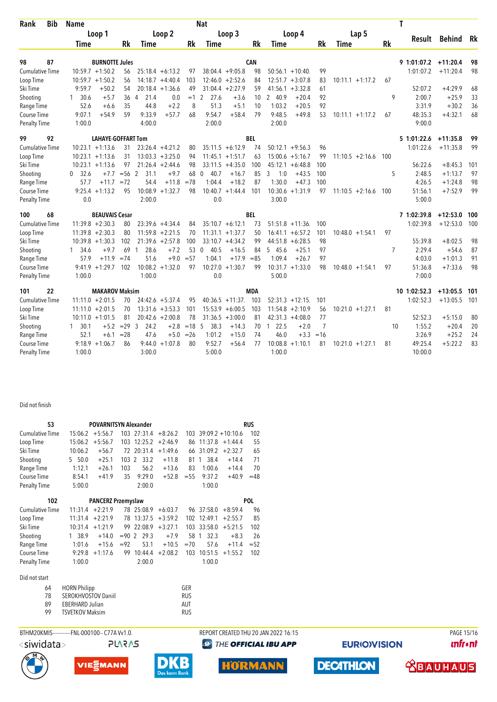| Rank                         | <b>Bib</b> | <b>Name</b> |                           |          |                        |                                          |           | <b>Nat</b>       |                    |            |                                           |          |                    |     | Τ                    |            |          |
|------------------------------|------------|-------------|---------------------------|----------|------------------------|------------------------------------------|-----------|------------------|--------------------|------------|-------------------------------------------|----------|--------------------|-----|----------------------|------------|----------|
|                              |            |             | Loop 1                    |          |                        | Loop 2                                   |           |                  | Loop 3             |            | Loop 4                                    |          | Lap 5              |     |                      |            |          |
|                              |            | Time        |                           | Rk       | Time                   |                                          | Rk        | Time             |                    | Rk         | Time                                      | Rk       | Time               | Rk  | Result               | Behind     | Rk       |
|                              | 87         |             | <b>BURNOTTE Jules</b>     |          |                        |                                          |           |                  |                    | <b>CAN</b> |                                           |          |                    |     | 9 1:01:07.2 +11:20.4 |            |          |
| 98<br><b>Cumulative Time</b> |            |             | $10:59.7 + 1:50.2$        |          |                        |                                          |           |                  | $38:04.4 +9:05.8$  |            |                                           |          |                    |     | 1:01:07.2            | $+11:20.4$ | 98<br>98 |
| Loop Time                    |            |             | $10:59.7 + 1:50.2$        | 56<br>56 |                        | $25:18.4 + 6:13.2$<br>$14:18.7 + 4:40.4$ | 97<br>103 |                  | $12:46.0 + 2:52.6$ | 98<br>84   | $50:56.1 + 10:40$<br>12:51.7<br>$+3:07.8$ | 99<br>83 | $10:11.1 + 1:17.2$ | 67  |                      |            |          |
| Ski Time                     |            | 9:59.7      | $+50.2$                   | 54       |                        | $20:18.4 + 1:36.6$                       | 49        |                  | $31:04.4 +2:27.9$  | 59         | $+3:32.8$<br>41:56.1                      | 61       |                    |     | 52:07.2              | $+4:29.9$  | 68       |
| Shooting                     |            | 30.6<br>1   | $+5.7$                    | 36       | 21.4<br>$\overline{4}$ | 0.0                                      | $=1$      | 2<br>27.6        | $+3.6$             | 10         | 2 40.9<br>$+20.4$                         | 92       |                    | 9   | 2:00.7               | $+25.9$    | 33       |
| Range Time                   |            | 52.6        | $+6.6$                    | 35       | 44.8                   | $+2.2$                                   | 8         | 51.3             | $+5.1$             | 10         | 1:03.2<br>$+20.5$                         | 92       |                    |     | 3:31.9               | $+30.2$    | 36       |
| Course Time                  |            | 9:07.1      | $+54.9$                   | 59       | 9:33.9                 | $+57.7$                                  | 68        | 9:54.7           | $+58.4$            | 79         | 9:48.5<br>$+49.8$                         | 53       | $10:11.1 + 1:17.2$ | 67  | 48:35.3              | $+4:32.1$  | 68       |
| <b>Penalty Time</b>          |            | 1:00.0      |                           |          | 4:00.0                 |                                          |           | 2:00.0           |                    |            | 2:00.0                                    |          |                    |     | 9:00.0               |            |          |
|                              |            |             |                           |          |                        |                                          |           |                  |                    |            |                                           |          |                    |     |                      |            |          |
| 99                           | 92         |             | <b>LAHAYE-GOFFART Tom</b> |          |                        |                                          |           |                  |                    | <b>BEL</b> |                                           |          |                    |     | 5 1:01:22.6          | $+11:35.8$ | 99       |
| <b>Cumulative Time</b>       |            |             | $10:23.1 + 1:13.6$        | 31       |                        | $23:26.4 +4:21.2$                        | 80        |                  | $35:11.5 + 6:12.9$ | 74         | $50:12.1 + 9:56.3$                        | 96       |                    |     | 1:01:22.6            | $+11:35.8$ | 99       |
| Loop Time                    |            |             | $10:23.1 + 1:13.6$        | 31       |                        | $13:03.3 + 3:25.0$                       | 94        |                  | $11:45.1 + 1:51.7$ | 63         | 15:00.6<br>$+5:16.7$                      | 99       | $11:10.5 + 2:16.6$ | 100 |                      |            |          |
| Ski Time                     |            |             | $10:23.1 + 1:13.6$        | 97       |                        | $21:26.4 +2:44.6$                        | 98        |                  | $33:11.5 +4:35.0$  | 100        | $+6:48.8$<br>45:12.1                      | 100      |                    |     | 56:22.6              | $+8:45.3$  | 101      |
| Shooting                     |            | 32.6<br>0   | $+7.7$                    | $= 56$   | $\overline{2}$<br>31.1 | $+9.7$                                   | 68        | 40.7<br>0        | $+16.7$            | 85         | 3<br>1:0<br>$+43.5$                       | 100      |                    | 5   | 2:48.5               | $+1:13.7$  | 97       |
| Range Time                   |            | 57.7        | $+11.7$                   | $= 72$   | 54.4                   | $+11.8$                                  | $=78$     | 1:04.4           | $+18.2$            | 87         | 1:30.0<br>$+47.3$                         | 100      |                    |     | 4:26.5               | $+1:24.8$  | 98       |
| Course Time                  |            |             | $9:25.4 +1:13.2$          | 95       | 10:08.9                | $+1:32.7$                                | 98        |                  | $10:40.7 + 1:44.4$ | 101        | $10:30.6 + 1:31.9$                        | 97       | $11:10.5 + 2:16.6$ | 100 | 51:56.1              | $+7:52.9$  | 99       |
| <b>Penalty Time</b>          |            | 0.0         |                           |          | 2:00.0                 |                                          |           | 0.0              |                    |            | 3:00.0                                    |          |                    |     | 5:00.0               |            |          |
| 100                          | 68         |             | <b>BEAUVAIS Cesar</b>     |          |                        |                                          |           |                  |                    | BEL        |                                           |          |                    |     | 7 1:02:39.8          | $+12:53.0$ | 100      |
| <b>Cumulative Time</b>       |            |             | $11:39.8 + 2:30.3$        | 80       |                        | $23:39.6 +4:34.4$                        | 84        |                  | $35:10.7 + 6:12.1$ | 73         | $51:51.8 + 11:36$                         | 100      |                    |     | 1:02:39.8            | $+12:53.0$ | 100      |
| Loop Time                    |            |             | $11:39.8 + 2:30.3$        | 80       |                        | $11:59.8 + 2:21.5$                       | 70        |                  | $11:31.1 + 1:37.7$ | 50         | $+6:57.2$<br>16:41.1                      | 101      | $10:48.0 + 1:54.1$ | 97  |                      |            |          |
| Ski Time                     |            |             | $10:39.8 + 1:30.3$        | 102      |                        | $21:39.6 + 2:57.8$                       | 100       |                  | $33:10.7 + 4:34.2$ | 99         | $+6:28.5$<br>44:51.8                      | 98       |                    |     | 55:39.8              | $+8:02.5$  | 98       |
| Shooting                     |            | 1 34.6      | $+9.7$                    | 69       | 28.6<br>$\overline{1}$ | $+7.2$                                   | 53        | 40.5<br>$\Omega$ | $+16.5$            | 84         | $+25.1$<br>5 45.6                         | 97       |                    | 7   | 2:29.4               | $+54.6$    | 87       |
| Range Time                   |            | 57.9        | $+11.9$                   | $= 74$   | 51.6                   | $+9.0$                                   | $= 57$    | 1:04.1           | $+17.9$            | $= 85$     | 1:09.4<br>$+26.7$                         | 97       |                    |     | 4:03.0               | $+1:01.3$  | 91       |
| Course Time                  |            |             | $9:41.9 +1:29.7$          | 102      | 10:08.2                | $+1:32.0$                                | 97        | 10:27.0          | $+1:30.7$          | 99         | 10:31.7<br>$+1:33.0$                      | 98       | $10:48.0 + 1:54.1$ | 97  | 51:36.8              | $+7:33.6$  | 98       |
| <b>Penalty Time</b>          |            | 1:00.0      |                           |          | 1:00.0                 |                                          |           | 0.0              |                    |            | 5:00.0                                    |          |                    |     | 7:00.0               |            |          |
| 101                          | 22         |             | <b>MAKAROV Maksim</b>     |          |                        |                                          |           |                  |                    | <b>MDA</b> |                                           |          |                    |     | 10 1:02:52.3         | $+13:05.5$ | - 101    |
| <b>Cumulative Time</b>       |            |             | $11:11.0 + 2:01.5$        | 70       |                        | $24:42.6 + 5:37.4$                       | 95        |                  | $40:36.5 +11:37$ . | 103        | $52:31.3 + 12:15.$                        | 101      |                    |     | 1:02:52.3            | $+13:05.5$ | 101      |
| Loop Time                    |            |             | $11:11.0 + 2:01.5$        | 70       |                        | $13:31.6 + 3:53.3$                       | 101       |                  | $15:53.9 + 6:00.5$ | 103        | $11:54.8 + 2:10.9$                        | 56       | $10:21.0 + 1:27.1$ | 81  |                      |            |          |
| Ski Time                     |            |             | $10:11.0 + 1:01.5$        | 81       |                        | $20:42.6 + 2:00.8$                       | 78        |                  | $31:36.5 + 3:00.0$ | 81         | $42:31.3 +4:08.0$                         | 77       |                    |     | 52:52.3              | $+5:15.0$  | 80       |
| Shooting                     |            | 1, 30.1     | $+5.2$                    | $= 29$   | 3<br>24.2              | $+2.8$                                   | $=18$     | -5<br>38.3       | $+14.3$            | 70         | 22.5<br>$+2.0$<br>$\mathbf{1}$            | 7        |                    | 10  | 1:55.2               | $+20.4$    | 20       |
| Range Time                   |            | 52.1        | $+6.1$                    | $= 28$   | 47.6                   | $+5.0$                                   | $=26$     | 1:01.2           | $+15.0$            | 74         | 46.0<br>$+3.3$                            | $=16$    |                    |     | 3:26.9               | $+25.2$    | 24       |
| Course Time                  |            | 9:18.9      | $+1:06.7$                 | 86       | 9:44.0                 | $+1:07.8$                                | 80        | 9:52.7           | $+56.4$            | 77         | 10:08.8<br>$+1:10.1$                      | 81       | $10:21.0 + 1:27.1$ | 81  | 49:25.4              | $+5:22.2$  | 83       |
| Penalty Time                 |            | 1:00.0      |                           |          | 3:00.0                 |                                          |           | 5:00.0           |                    |            | 1:00.0                                    |          |                    |     | 10:00.0              |            |          |

## Did not finish

| 53                     |           | <b>POVARNITSYN Alexander</b> |        |                        |           |        |         |                     | <b>RUS</b> |
|------------------------|-----------|------------------------------|--------|------------------------|-----------|--------|---------|---------------------|------------|
| <b>Cumulative Time</b> | 15:06.2   | $+5:56.7$                    | 103    | 27:31.4                | $+8:26.2$ | 103    |         | $39:09.2 + 10:10.6$ | 102        |
| Loop Time              | 15:06.2   | $+5:56.7$                    | 103    | 12:25.2                | $+2:46.9$ | 86     | 11:37.8 | $+1:44.4$           | 55         |
| Ski Time               | 10:06.2   | $+56.7$                      |        | 72 20:31.4             | $+1:49.6$ | 66     | 31:09.2 | $+2:32.7$           | 65         |
| Shooting               | 50.0<br>5 | $+25.1$                      | 103    | 33.2<br>$\mathfrak{p}$ | $+11.8$   | 81     | 38.4    | $+14.4$             | 71         |
| Range Time             | 1:12.1    | $+26.1$                      | 103    | 56.2                   | $+13.6$   | 83     | 1:00.6  | $+14.4$             | 70         |
| Course Time            | 8:54.1    | $+41.9$                      | 35     | 9:29.0                 | $+52.8$   | $= 55$ | 9:37.2  | $+40.9$             | $=48$      |
| <b>Penalty Time</b>    | 5:00.0    |                              |        | 2:00.0                 |           |        | 1:00.0  |                     |            |
| 102                    |           |                              |        | <b>POL</b>             |           |        |         |                     |            |
| <b>Cumulative Time</b> | 11:31.4   | $+2:21.9$                    |        | 78 25:08.9             | $+6:03.7$ | 96     | 37:58.0 | $+8:59.4$           | 96         |
| Loop Time              | 11:31.4   | $+2:21.9$                    | 78     | 13:37.5                | $+3:59.2$ | 102    | 12:49.1 | $+2:55.7$           | 85         |
| Ski Time               | 10:31.4   | $+1:21.9$                    | 99     | 22:08.9                | $+3:27.1$ | 103    | 33:58.0 | $+5:21.5$           | 102        |
| Shooting               | 38.9      | $+14.0$                      | $= 90$ | 29.3<br>$\mathcal{P}$  | $+7.9$    | 58.    | 32.3    | $+8.3$              | 26         |
| Range Time             | 1:01.6    | $+15.6$                      | $= 92$ | 53.1                   | $+10.5$   | $=70$  | 57.6    | $+11.4$             | $= 52$     |
| 9:29.8<br>Course Time  |           | $+1:17.6$                    | 99     | 10:44.4                | $+2:08.2$ | 103    | 10:51.5 | $+1:55.2$           | 102        |

## Did not start

| 64 | <b>HORN Philipp</b>        | GFR        |
|----|----------------------------|------------|
| 78 | <b>SEROKHVOSTOV Daniil</b> | <b>RUS</b> |
| 89 | <b>EBERHARD Julian</b>     | AUT        |
| 99 | <b>TSVETKOV Maksim</b>     | <b>RUS</b> |

Penalty Time 1:00.0 2:00.0 2:00.0 1:00.0





VIESMANN

DI

BTHM20KMIS-----------FNL-000100-- C77A W1.0. REPORT CREATED THU 20 JAN 2022 16:15 PAGE 15/16 **@** THE OFFICIAL IBU APP